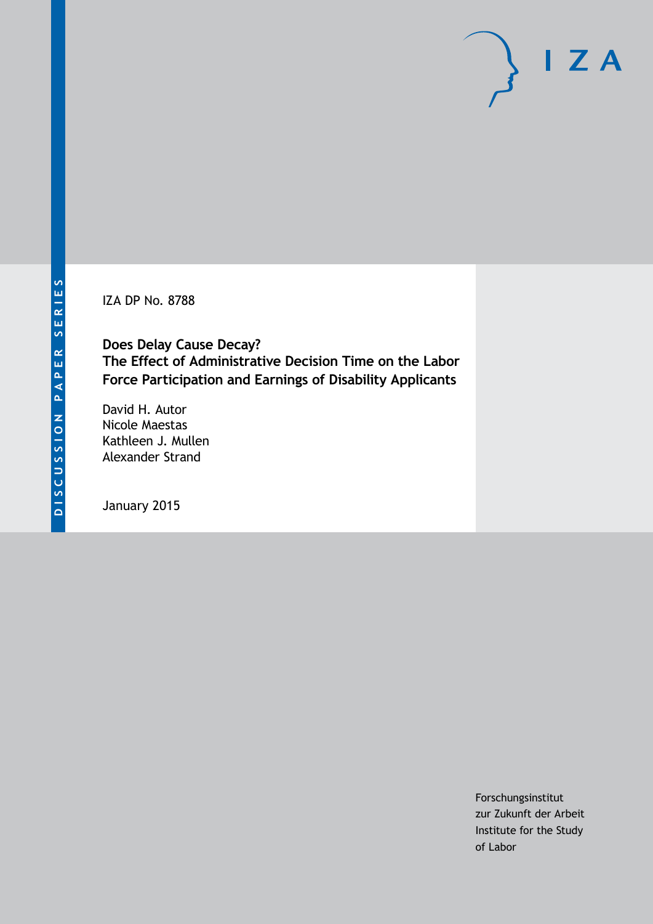IZA DP No. 8788

**Does Delay Cause Decay? The Effect of Administrative Decision Time on the Labor Force Participation and Earnings of Disability Applicants**

David H. Autor Nicole Maestas Kathleen J. Mullen Alexander Strand

January 2015

Forschungsinstitut zur Zukunft der Arbeit Institute for the Study of Labor

 $I Z A$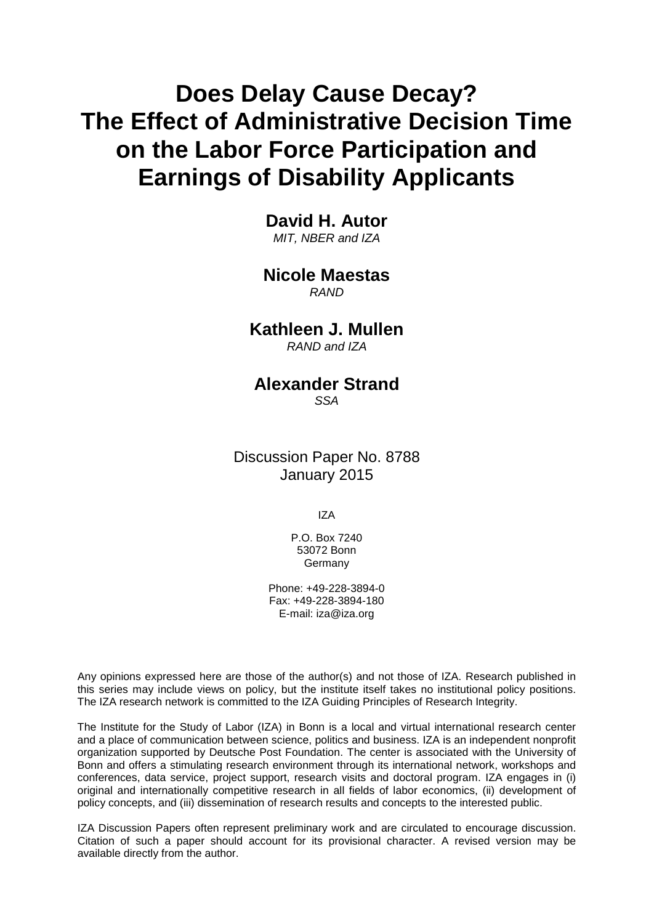# **Does Delay Cause Decay? The Effect of Administrative Decision Time on the Labor Force Participation and Earnings of Disability Applicants**

**David H. Autor** *MIT, NBER and IZA*

## **Nicole Maestas**

*RAND*

## **Kathleen J. Mullen**

*RAND and IZA*

## **Alexander Strand**

*SSA*

Discussion Paper No. 8788 January 2015

IZA

P.O. Box 7240 53072 Bonn Germany

Phone: +49-228-3894-0 Fax: +49-228-3894-180 E-mail: [iza@iza.org](mailto:iza@iza.org)

Any opinions expressed here are those of the author(s) and not those of IZA. Research published in this series may include views on policy, but the institute itself takes no institutional policy positions. The IZA research network is committed to the IZA Guiding Principles of Research Integrity.

<span id="page-1-0"></span>The Institute for the Study of Labor (IZA) in Bonn is a local and virtual international research center and a place of communication between science, politics and business. IZA is an independent nonprofit organization supported by Deutsche Post Foundation. The center is associated with the University of Bonn and offers a stimulating research environment through its international network, workshops and conferences, data service, project support, research visits and doctoral program. IZA engages in (i) original and internationally competitive research in all fields of labor economics, (ii) development of policy concepts, and (iii) dissemination of research results and concepts to the interested public.

IZA Discussion Papers often represent preliminary work and are circulated to encourage discussion. Citation of such a paper should account for its provisional character. A revised version may be available directly from the author.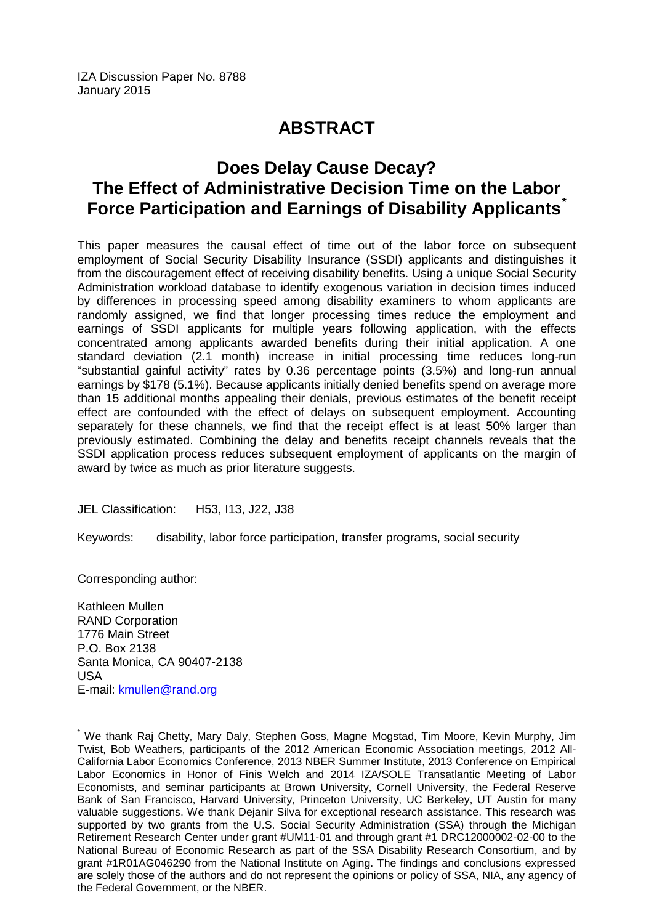## **ABSTRACT**

## **Does Delay Cause Decay? The Effect of Administrative Decision Time on the Labor Force Participation and Earnings of Disability Applicants[\\*](#page-1-0)**

This paper measures the causal effect of time out of the labor force on subsequent employment of Social Security Disability Insurance (SSDI) applicants and distinguishes it from the discouragement effect of receiving disability benefits. Using a unique Social Security Administration workload database to identify exogenous variation in decision times induced by differences in processing speed among disability examiners to whom applicants are randomly assigned, we find that longer processing times reduce the employment and earnings of SSDI applicants for multiple years following application, with the effects concentrated among applicants awarded benefits during their initial application. A one standard deviation (2.1 month) increase in initial processing time reduces long-run "substantial gainful activity" rates by 0.36 percentage points (3.5%) and long-run annual earnings by \$178 (5.1%). Because applicants initially denied benefits spend on average more than 15 additional months appealing their denials, previous estimates of the benefit receipt effect are confounded with the effect of delays on subsequent employment. Accounting separately for these channels, we find that the receipt effect is at least 50% larger than previously estimated. Combining the delay and benefits receipt channels reveals that the SSDI application process reduces subsequent employment of applicants on the margin of award by twice as much as prior literature suggests.

JEL Classification: H53, I13, J22, J38

Keywords: disability, labor force participation, transfer programs, social security

Corresponding author:

Kathleen Mullen RAND Corporation 1776 Main Street P.O. Box 2138 Santa Monica, CA 90407-2138 USA E-mail: [kmullen@rand.org](mailto:kmullen@rand.org)

We thank Raj Chetty, Mary Daly, Stephen Goss, Magne Mogstad, Tim Moore, Kevin Murphy, Jim Twist, Bob Weathers, participants of the 2012 American Economic Association meetings, 2012 All-California Labor Economics Conference, 2013 NBER Summer Institute, 2013 Conference on Empirical Labor Economics in Honor of Finis Welch and 2014 IZA/SOLE Transatlantic Meeting of Labor Economists, and seminar participants at Brown University, Cornell University, the Federal Reserve Bank of San Francisco, Harvard University, Princeton University, UC Berkeley, UT Austin for many valuable suggestions. We thank Dejanir Silva for exceptional research assistance. This research was supported by two grants from the U.S. Social Security Administration (SSA) through the Michigan Retirement Research Center under grant #UM11-01 and through grant #1 DRC12000002-02-00 to the National Bureau of Economic Research as part of the SSA Disability Research Consortium, and by grant #1R01AG046290 from the National Institute on Aging. The findings and conclusions expressed are solely those of the authors and do not represent the opinions or policy of SSA, NIA, any agency of the Federal Government, or the NBER.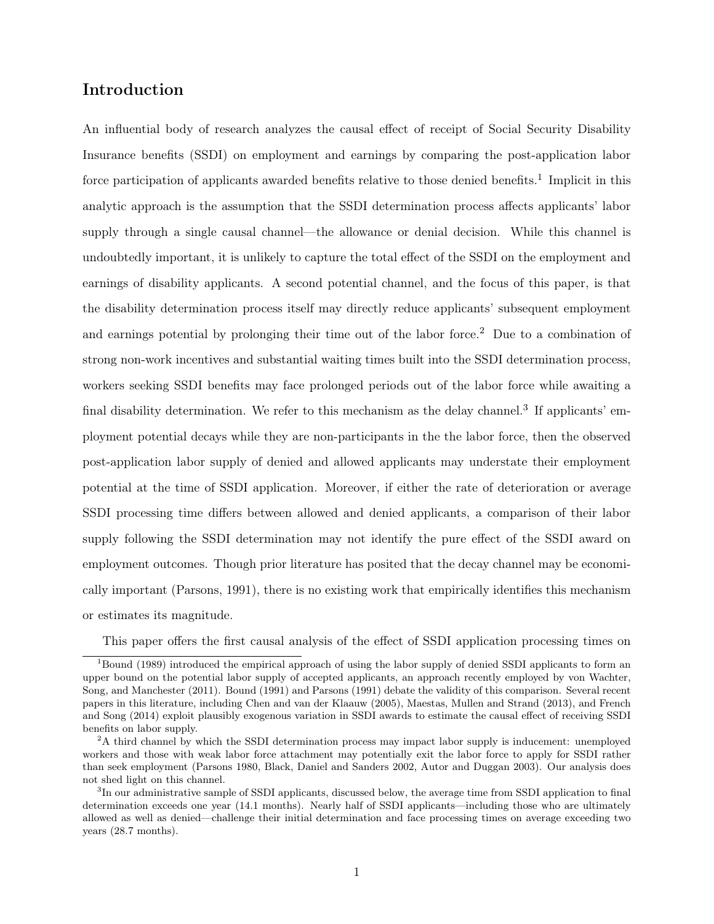## Introduction

An influential body of research analyzes the causal effect of receipt of Social Security Disability Insurance benefits (SSDI) on employment and earnings by comparing the post-application labor force participation of applicants awarded benefits relative to those denied benefits.<sup>1</sup> Implicit in this analytic approach is the assumption that the SSDI determination process affects applicants' labor supply through a single causal channel—the allowance or denial decision. While this channel is undoubtedly important, it is unlikely to capture the total effect of the SSDI on the employment and earnings of disability applicants. A second potential channel, and the focus of this paper, is that the disability determination process itself may directly reduce applicants' subsequent employment and earnings potential by prolonging their time out of the labor force.<sup>2</sup> Due to a combination of strong non-work incentives and substantial waiting times built into the SSDI determination process, workers seeking SSDI benefits may face prolonged periods out of the labor force while awaiting a final disability determination. We refer to this mechanism as the delay channel.<sup>3</sup> If applicants' employment potential decays while they are non-participants in the the labor force, then the observed post-application labor supply of denied and allowed applicants may understate their employment potential at the time of SSDI application. Moreover, if either the rate of deterioration or average SSDI processing time differs between allowed and denied applicants, a comparison of their labor supply following the SSDI determination may not identify the pure effect of the SSDI award on employment outcomes. Though prior literature has posited that the decay channel may be economically important (Parsons, 1991), there is no existing work that empirically identifies this mechanism or estimates its magnitude.

This paper offers the first causal analysis of the effect of SSDI application processing times on

<sup>&</sup>lt;sup>1</sup>Bound (1989) introduced the empirical approach of using the labor supply of denied SSDI applicants to form an upper bound on the potential labor supply of accepted applicants, an approach recently employed by von Wachter, Song, and Manchester (2011). Bound (1991) and Parsons (1991) debate the validity of this comparison. Several recent papers in this literature, including Chen and van der Klaauw (2005), Maestas, Mullen and Strand (2013), and French and Song (2014) exploit plausibly exogenous variation in SSDI awards to estimate the causal effect of receiving SSDI benefits on labor supply.

<sup>&</sup>lt;sup>2</sup>A third channel by which the SSDI determination process may impact labor supply is inducement: unemployed workers and those with weak labor force attachment may potentially exit the labor force to apply for SSDI rather than seek employment (Parsons 1980, Black, Daniel and Sanders 2002, Autor and Duggan 2003). Our analysis does not shed light on this channel.

<sup>&</sup>lt;sup>3</sup>In our administrative sample of SSDI applicants, discussed below, the average time from SSDI application to final determination exceeds one year (14.1 months). Nearly half of SSDI applicants—including those who are ultimately allowed as well as denied—challenge their initial determination and face processing times on average exceeding two years (28.7 months).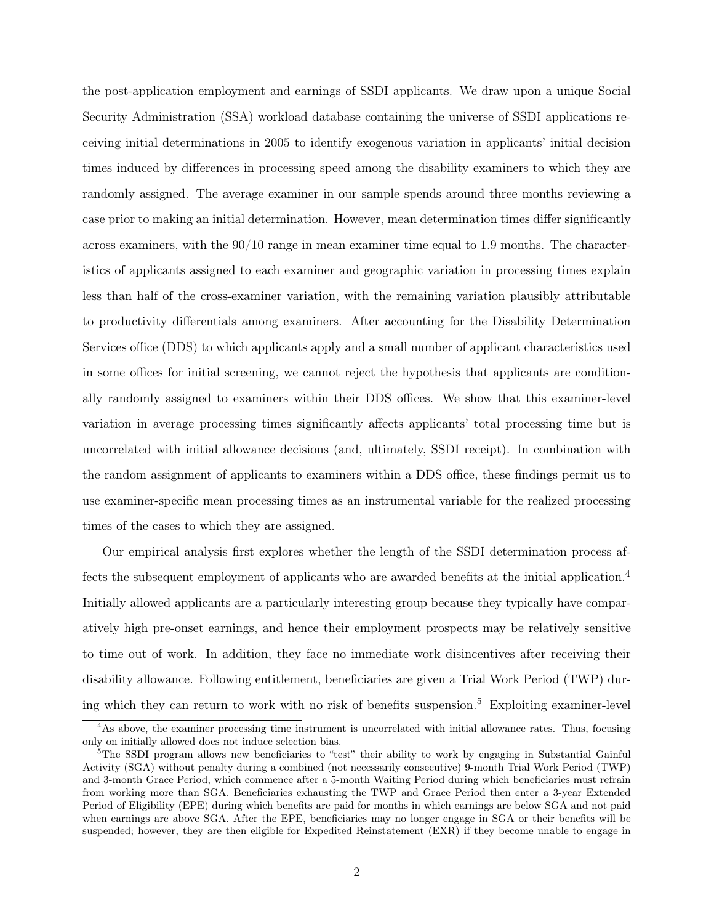the post-application employment and earnings of SSDI applicants. We draw upon a unique Social Security Administration (SSA) workload database containing the universe of SSDI applications receiving initial determinations in 2005 to identify exogenous variation in applicants' initial decision times induced by differences in processing speed among the disability examiners to which they are randomly assigned. The average examiner in our sample spends around three months reviewing a case prior to making an initial determination. However, mean determination times differ significantly across examiners, with the 90/10 range in mean examiner time equal to 1.9 months. The characteristics of applicants assigned to each examiner and geographic variation in processing times explain less than half of the cross-examiner variation, with the remaining variation plausibly attributable to productivity differentials among examiners. After accounting for the Disability Determination Services office (DDS) to which applicants apply and a small number of applicant characteristics used in some offices for initial screening, we cannot reject the hypothesis that applicants are conditionally randomly assigned to examiners within their DDS offices. We show that this examiner-level variation in average processing times significantly affects applicants' total processing time but is uncorrelated with initial allowance decisions (and, ultimately, SSDI receipt). In combination with the random assignment of applicants to examiners within a DDS office, these findings permit us to use examiner-specific mean processing times as an instrumental variable for the realized processing times of the cases to which they are assigned.

Our empirical analysis first explores whether the length of the SSDI determination process affects the subsequent employment of applicants who are awarded benefits at the initial application.<sup>4</sup> Initially allowed applicants are a particularly interesting group because they typically have comparatively high pre-onset earnings, and hence their employment prospects may be relatively sensitive to time out of work. In addition, they face no immediate work disincentives after receiving their disability allowance. Following entitlement, beneficiaries are given a Trial Work Period (TWP) during which they can return to work with no risk of benefits suspension.<sup>5</sup> Exploiting examiner-level

<sup>4</sup>As above, the examiner processing time instrument is uncorrelated with initial allowance rates. Thus, focusing only on initially allowed does not induce selection bias.

<sup>&</sup>lt;sup>5</sup>The SSDI program allows new beneficiaries to "test" their ability to work by engaging in Substantial Gainful Activity (SGA) without penalty during a combined (not necessarily consecutive) 9-month Trial Work Period (TWP) and 3-month Grace Period, which commence after a 5-month Waiting Period during which beneficiaries must refrain from working more than SGA. Beneficiaries exhausting the TWP and Grace Period then enter a 3-year Extended Period of Eligibility (EPE) during which benefits are paid for months in which earnings are below SGA and not paid when earnings are above SGA. After the EPE, beneficiaries may no longer engage in SGA or their benefits will be suspended; however, they are then eligible for Expedited Reinstatement (EXR) if they become unable to engage in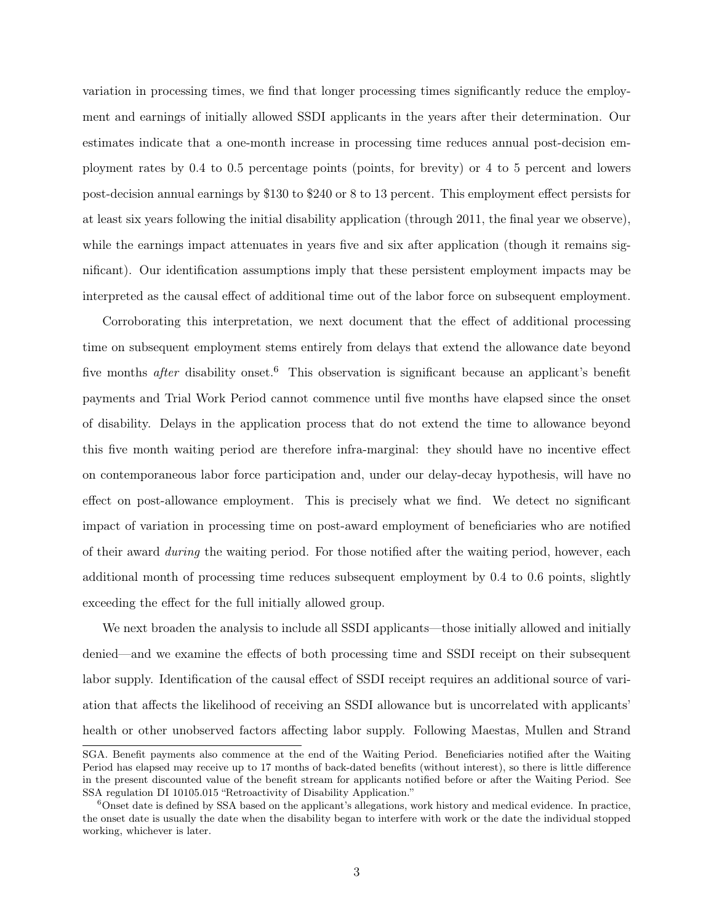variation in processing times, we find that longer processing times significantly reduce the employment and earnings of initially allowed SSDI applicants in the years after their determination. Our estimates indicate that a one-month increase in processing time reduces annual post-decision employment rates by 0.4 to 0.5 percentage points (points, for brevity) or 4 to 5 percent and lowers post-decision annual earnings by \$130 to \$240 or 8 to 13 percent. This employment effect persists for at least six years following the initial disability application (through 2011, the final year we observe), while the earnings impact attenuates in years five and six after application (though it remains significant). Our identification assumptions imply that these persistent employment impacts may be interpreted as the causal effect of additional time out of the labor force on subsequent employment.

Corroborating this interpretation, we next document that the effect of additional processing time on subsequent employment stems entirely from delays that extend the allowance date beyond five months *after* disability onset.<sup>6</sup> This observation is significant because an applicant's benefit payments and Trial Work Period cannot commence until five months have elapsed since the onset of disability. Delays in the application process that do not extend the time to allowance beyond this five month waiting period are therefore infra-marginal: they should have no incentive effect on contemporaneous labor force participation and, under our delay-decay hypothesis, will have no effect on post-allowance employment. This is precisely what we find. We detect no significant impact of variation in processing time on post-award employment of beneficiaries who are notified of their award *during* the waiting period. For those notified after the waiting period, however, each additional month of processing time reduces subsequent employment by 0.4 to 0.6 points, slightly exceeding the effect for the full initially allowed group.

We next broaden the analysis to include all SSDI applicants—those initially allowed and initially denied—and we examine the effects of both processing time and SSDI receipt on their subsequent labor supply. Identification of the causal effect of SSDI receipt requires an additional source of variation that affects the likelihood of receiving an SSDI allowance but is uncorrelated with applicants' health or other unobserved factors affecting labor supply. Following Maestas, Mullen and Strand

SGA. Benefit payments also commence at the end of the Waiting Period. Beneficiaries notified after the Waiting Period has elapsed may receive up to 17 months of back-dated benefits (without interest), so there is little difference in the present discounted value of the benefit stream for applicants notified before or after the Waiting Period. See SSA regulation DI 10105.015 "Retroactivity of Disability Application."

<sup>&</sup>lt;sup>6</sup>Onset date is defined by SSA based on the applicant's allegations, work history and medical evidence. In practice, the onset date is usually the date when the disability began to interfere with work or the date the individual stopped working, whichever is later.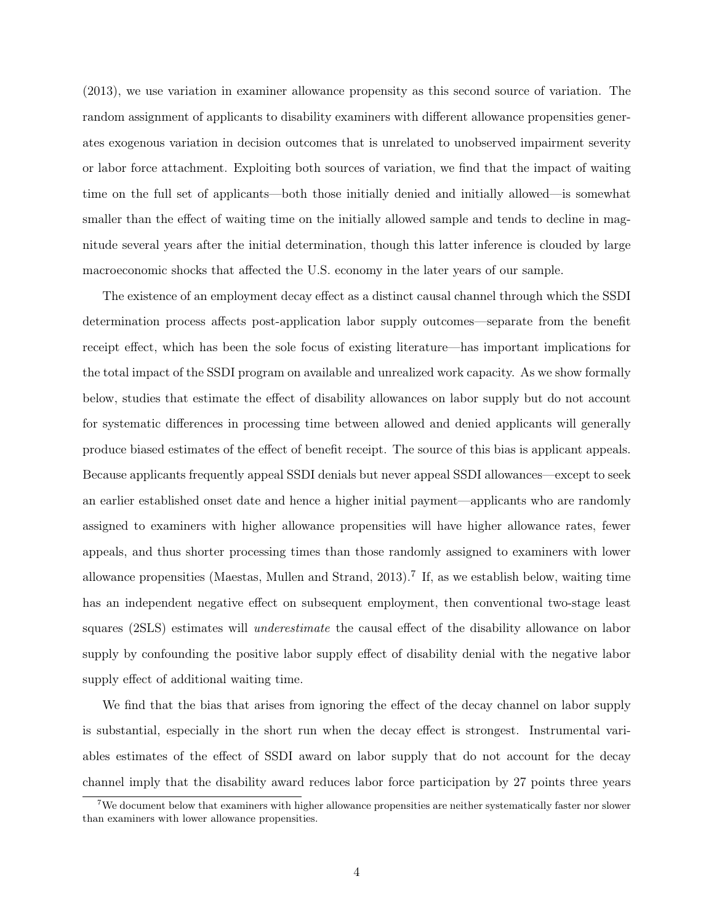(2013), we use variation in examiner allowance propensity as this second source of variation. The random assignment of applicants to disability examiners with different allowance propensities generates exogenous variation in decision outcomes that is unrelated to unobserved impairment severity or labor force attachment. Exploiting both sources of variation, we find that the impact of waiting time on the full set of applicants—both those initially denied and initially allowed—is somewhat smaller than the effect of waiting time on the initially allowed sample and tends to decline in magnitude several years after the initial determination, though this latter inference is clouded by large macroeconomic shocks that affected the U.S. economy in the later years of our sample.

The existence of an employment decay effect as a distinct causal channel through which the SSDI determination process affects post-application labor supply outcomes—separate from the benefit receipt effect, which has been the sole focus of existing literature—has important implications for the total impact of the SSDI program on available and unrealized work capacity. As we show formally below, studies that estimate the effect of disability allowances on labor supply but do not account for systematic differences in processing time between allowed and denied applicants will generally produce biased estimates of the effect of benefit receipt. The source of this bias is applicant appeals. Because applicants frequently appeal SSDI denials but never appeal SSDI allowances—except to seek an earlier established onset date and hence a higher initial payment—applicants who are randomly assigned to examiners with higher allowance propensities will have higher allowance rates, fewer appeals, and thus shorter processing times than those randomly assigned to examiners with lower allowance propensities (Maestas, Mullen and Strand, 2013).<sup>7</sup> If, as we establish below, waiting time has an independent negative effect on subsequent employment, then conventional two-stage least squares (2SLS) estimates will *underestimate* the causal effect of the disability allowance on labor supply by confounding the positive labor supply effect of disability denial with the negative labor supply effect of additional waiting time.

We find that the bias that arises from ignoring the effect of the decay channel on labor supply is substantial, especially in the short run when the decay effect is strongest. Instrumental variables estimates of the effect of SSDI award on labor supply that do not account for the decay channel imply that the disability award reduces labor force participation by 27 points three years

<sup>&</sup>lt;sup>7</sup>We document below that examiners with higher allowance propensities are neither systematically faster nor slower than examiners with lower allowance propensities.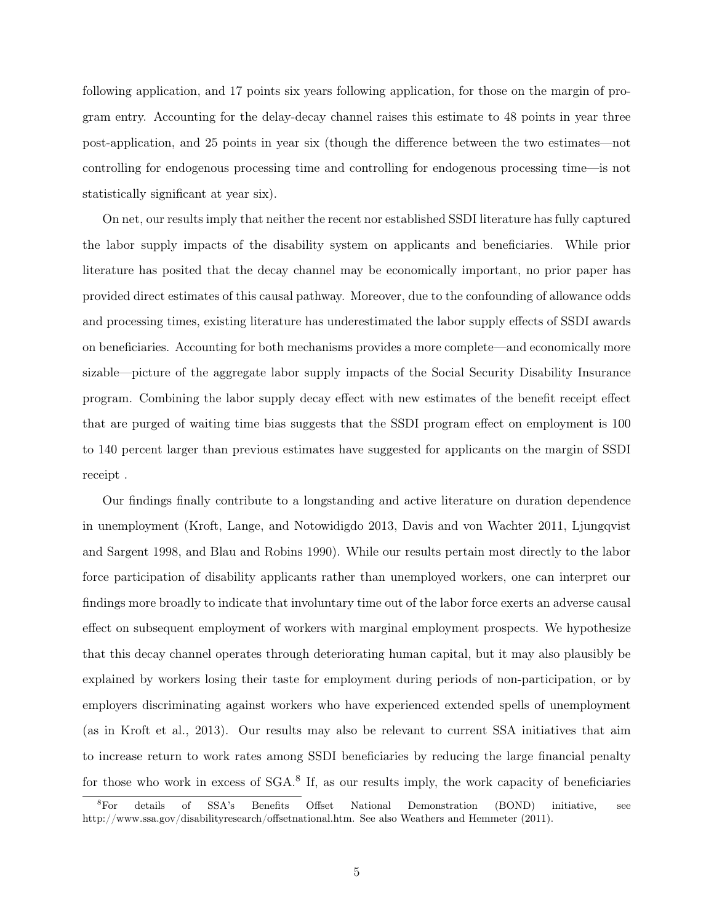following application, and 17 points six years following application, for those on the margin of program entry. Accounting for the delay-decay channel raises this estimate to 48 points in year three post-application, and 25 points in year six (though the difference between the two estimates—not controlling for endogenous processing time and controlling for endogenous processing time—is not statistically significant at year six).

On net, our results imply that neither the recent nor established SSDI literature has fully captured the labor supply impacts of the disability system on applicants and beneficiaries. While prior literature has posited that the decay channel may be economically important, no prior paper has provided direct estimates of this causal pathway. Moreover, due to the confounding of allowance odds and processing times, existing literature has underestimated the labor supply effects of SSDI awards on beneficiaries. Accounting for both mechanisms provides a more complete—and economically more sizable—picture of the aggregate labor supply impacts of the Social Security Disability Insurance program. Combining the labor supply decay effect with new estimates of the benefit receipt effect that are purged of waiting time bias suggests that the SSDI program effect on employment is 100 to 140 percent larger than previous estimates have suggested for applicants on the margin of SSDI receipt .

Our findings finally contribute to a longstanding and active literature on duration dependence in unemployment (Kroft, Lange, and Notowidigdo 2013, Davis and von Wachter 2011, Ljungqvist and Sargent 1998, and Blau and Robins 1990). While our results pertain most directly to the labor force participation of disability applicants rather than unemployed workers, one can interpret our findings more broadly to indicate that involuntary time out of the labor force exerts an adverse causal effect on subsequent employment of workers with marginal employment prospects. We hypothesize that this decay channel operates through deteriorating human capital, but it may also plausibly be explained by workers losing their taste for employment during periods of non-participation, or by employers discriminating against workers who have experienced extended spells of unemployment (as in Kroft et al., 2013). Our results may also be relevant to current SSA initiatives that aim to increase return to work rates among SSDI beneficiaries by reducing the large financial penalty for those who work in excess of SGA.<sup>8</sup> If, as our results imply, the work capacity of beneficiaries

<sup>8</sup>For details of SSA's Benefits Offset National Demonstration (BOND) initiative, see http://www.ssa.gov/disabilityresearch/offsetnational.htm. See also Weathers and Hemmeter (2011).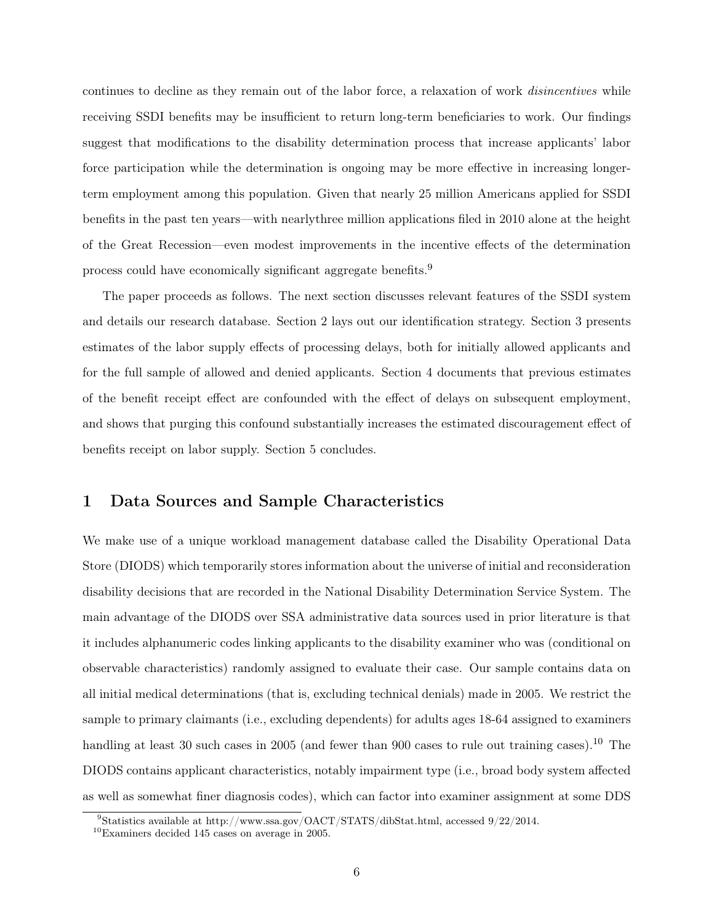continues to decline as they remain out of the labor force, a relaxation of work disincentives while receiving SSDI benefits may be insufficient to return long-term beneficiaries to work. Our findings suggest that modifications to the disability determination process that increase applicants' labor force participation while the determination is ongoing may be more effective in increasing longerterm employment among this population. Given that nearly 25 million Americans applied for SSDI benefits in the past ten years—with nearlythree million applications filed in 2010 alone at the height of the Great Recession—even modest improvements in the incentive effects of the determination process could have economically significant aggregate benefits.<sup>9</sup>

The paper proceeds as follows. The next section discusses relevant features of the SSDI system and details our research database. Section 2 lays out our identification strategy. Section 3 presents estimates of the labor supply effects of processing delays, both for initially allowed applicants and for the full sample of allowed and denied applicants. Section 4 documents that previous estimates of the benefit receipt effect are confounded with the effect of delays on subsequent employment, and shows that purging this confound substantially increases the estimated discouragement effect of benefits receipt on labor supply. Section 5 concludes.

### 1 Data Sources and Sample Characteristics

We make use of a unique workload management database called the Disability Operational Data Store (DIODS) which temporarily stores information about the universe of initial and reconsideration disability decisions that are recorded in the National Disability Determination Service System. The main advantage of the DIODS over SSA administrative data sources used in prior literature is that it includes alphanumeric codes linking applicants to the disability examiner who was (conditional on observable characteristics) randomly assigned to evaluate their case. Our sample contains data on all initial medical determinations (that is, excluding technical denials) made in 2005. We restrict the sample to primary claimants (i.e., excluding dependents) for adults ages 18-64 assigned to examiners handling at least 30 such cases in 2005 (and fewer than 900 cases to rule out training cases).<sup>10</sup> The DIODS contains applicant characteristics, notably impairment type (i.e., broad body system affected as well as somewhat finer diagnosis codes), which can factor into examiner assignment at some DDS

<sup>9</sup>Statistics available at http://www.ssa.gov/OACT/STATS/dibStat.html, accessed 9/22/2014.

 $10$ Examiners decided 145 cases on average in 2005.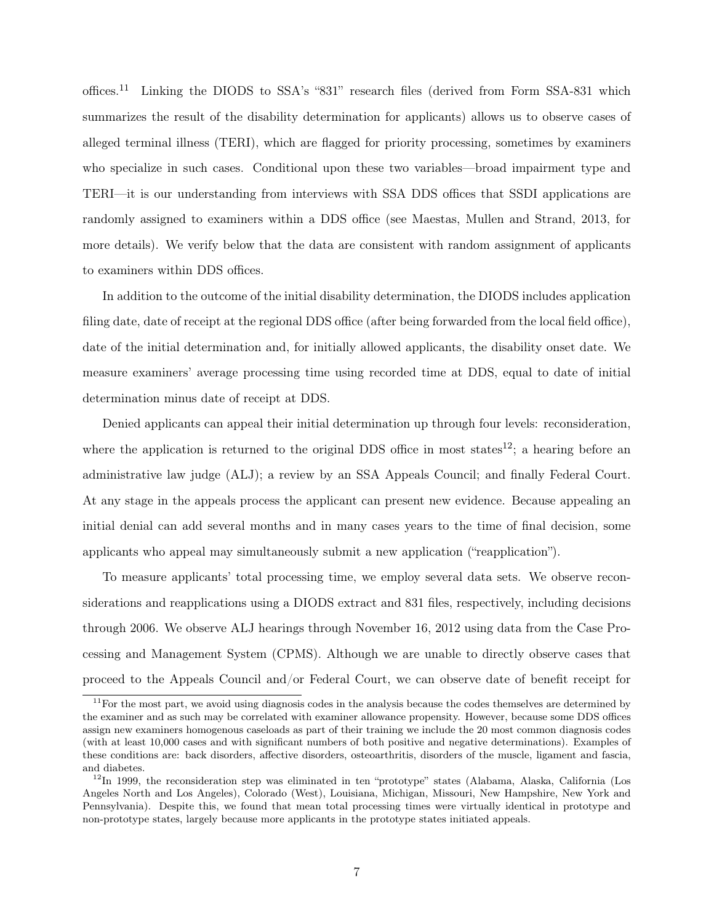offices.<sup>11</sup> Linking the DIODS to SSA's "831" research files (derived from Form SSA-831 which summarizes the result of the disability determination for applicants) allows us to observe cases of alleged terminal illness (TERI), which are flagged for priority processing, sometimes by examiners who specialize in such cases. Conditional upon these two variables—broad impairment type and TERI—it is our understanding from interviews with SSA DDS offices that SSDI applications are randomly assigned to examiners within a DDS office (see Maestas, Mullen and Strand, 2013, for more details). We verify below that the data are consistent with random assignment of applicants to examiners within DDS offices.

In addition to the outcome of the initial disability determination, the DIODS includes application filing date, date of receipt at the regional DDS office (after being forwarded from the local field office), date of the initial determination and, for initially allowed applicants, the disability onset date. We measure examiners' average processing time using recorded time at DDS, equal to date of initial determination minus date of receipt at DDS.

Denied applicants can appeal their initial determination up through four levels: reconsideration, where the application is returned to the original DDS office in most states<sup>12</sup>; a hearing before an administrative law judge (ALJ); a review by an SSA Appeals Council; and finally Federal Court. At any stage in the appeals process the applicant can present new evidence. Because appealing an initial denial can add several months and in many cases years to the time of final decision, some applicants who appeal may simultaneously submit a new application ("reapplication").

To measure applicants' total processing time, we employ several data sets. We observe reconsiderations and reapplications using a DIODS extract and 831 files, respectively, including decisions through 2006. We observe ALJ hearings through November 16, 2012 using data from the Case Processing and Management System (CPMS). Although we are unable to directly observe cases that proceed to the Appeals Council and/or Federal Court, we can observe date of benefit receipt for

<sup>&</sup>lt;sup>11</sup>For the most part, we avoid using diagnosis codes in the analysis because the codes themselves are determined by the examiner and as such may be correlated with examiner allowance propensity. However, because some DDS offices assign new examiners homogenous caseloads as part of their training we include the 20 most common diagnosis codes (with at least 10,000 cases and with significant numbers of both positive and negative determinations). Examples of these conditions are: back disorders, affective disorders, osteoarthritis, disorders of the muscle, ligament and fascia, and diabetes.

<sup>&</sup>lt;sup>12</sup>In 1999, the reconsideration step was eliminated in ten "prototype" states (Alabama, Alaska, California (Los Angeles North and Los Angeles), Colorado (West), Louisiana, Michigan, Missouri, New Hampshire, New York and Pennsylvania). Despite this, we found that mean total processing times were virtually identical in prototype and non-prototype states, largely because more applicants in the prototype states initiated appeals.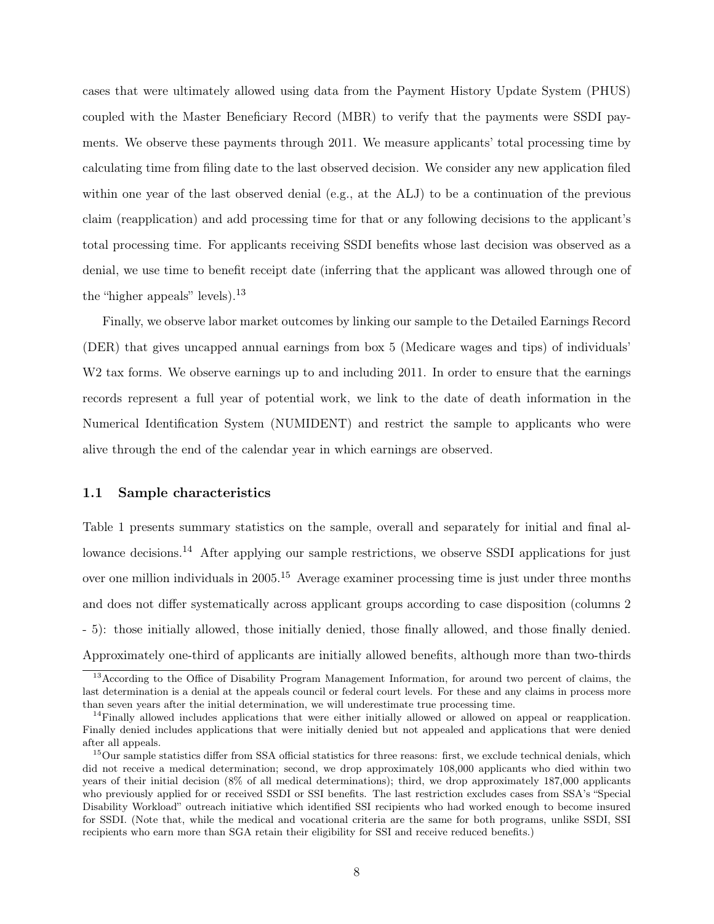cases that were ultimately allowed using data from the Payment History Update System (PHUS) coupled with the Master Beneficiary Record (MBR) to verify that the payments were SSDI payments. We observe these payments through 2011. We measure applicants' total processing time by calculating time from filing date to the last observed decision. We consider any new application filed within one year of the last observed denial (e.g., at the ALJ) to be a continuation of the previous claim (reapplication) and add processing time for that or any following decisions to the applicant's total processing time. For applicants receiving SSDI benefits whose last decision was observed as a denial, we use time to benefit receipt date (inferring that the applicant was allowed through one of the "higher appeals" levels).<sup>13</sup>

Finally, we observe labor market outcomes by linking our sample to the Detailed Earnings Record (DER) that gives uncapped annual earnings from box 5 (Medicare wages and tips) of individuals' W<sub>2</sub> tax forms. We observe earnings up to and including 2011. In order to ensure that the earnings records represent a full year of potential work, we link to the date of death information in the Numerical Identification System (NUMIDENT) and restrict the sample to applicants who were alive through the end of the calendar year in which earnings are observed.

#### 1.1 Sample characteristics

Table 1 presents summary statistics on the sample, overall and separately for initial and final allowance decisions.<sup>14</sup> After applying our sample restrictions, we observe SSDI applications for just over one million individuals in  $2005$ <sup>15</sup> Average examiner processing time is just under three months and does not differ systematically across applicant groups according to case disposition (columns 2 - 5): those initially allowed, those initially denied, those finally allowed, and those finally denied. Approximately one-third of applicants are initially allowed benefits, although more than two-thirds

<sup>&</sup>lt;sup>13</sup> According to the Office of Disability Program Management Information, for around two percent of claims, the last determination is a denial at the appeals council or federal court levels. For these and any claims in process more than seven years after the initial determination, we will underestimate true processing time.

<sup>&</sup>lt;sup>14</sup>Finally allowed includes applications that were either initially allowed or allowed on appeal or reapplication. Finally denied includes applications that were initially denied but not appealed and applications that were denied after all appeals.

 $15$ Our sample statistics differ from SSA official statistics for three reasons: first, we exclude technical denials, which did not receive a medical determination; second, we drop approximately 108,000 applicants who died within two years of their initial decision (8% of all medical determinations); third, we drop approximately 187,000 applicants who previously applied for or received SSDI or SSI benefits. The last restriction excludes cases from SSA's "Special Disability Workload" outreach initiative which identified SSI recipients who had worked enough to become insured for SSDI. (Note that, while the medical and vocational criteria are the same for both programs, unlike SSDI, SSI recipients who earn more than SGA retain their eligibility for SSI and receive reduced benefits.)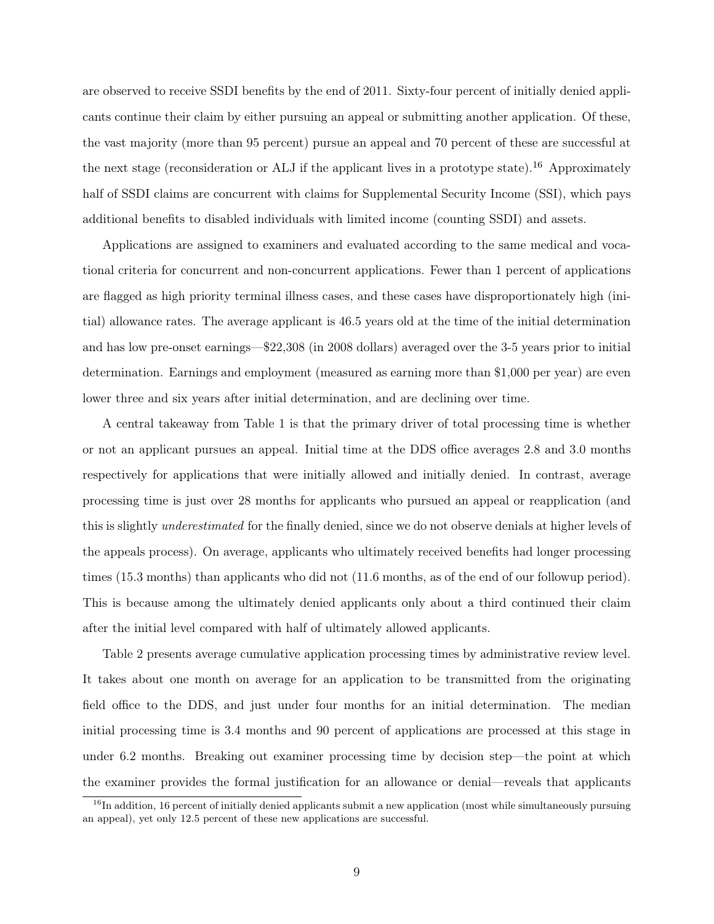are observed to receive SSDI benefits by the end of 2011. Sixty-four percent of initially denied applicants continue their claim by either pursuing an appeal or submitting another application. Of these, the vast majority (more than 95 percent) pursue an appeal and 70 percent of these are successful at the next stage (reconsideration or ALJ if the applicant lives in a prototype state).<sup>16</sup> Approximately half of SSDI claims are concurrent with claims for Supplemental Security Income (SSI), which pays additional benefits to disabled individuals with limited income (counting SSDI) and assets.

Applications are assigned to examiners and evaluated according to the same medical and vocational criteria for concurrent and non-concurrent applications. Fewer than 1 percent of applications are flagged as high priority terminal illness cases, and these cases have disproportionately high (initial) allowance rates. The average applicant is 46.5 years old at the time of the initial determination and has low pre-onset earnings—\$22,308 (in 2008 dollars) averaged over the 3-5 years prior to initial determination. Earnings and employment (measured as earning more than \$1,000 per year) are even lower three and six years after initial determination, and are declining over time.

A central takeaway from Table 1 is that the primary driver of total processing time is whether or not an applicant pursues an appeal. Initial time at the DDS office averages 2.8 and 3.0 months respectively for applications that were initially allowed and initially denied. In contrast, average processing time is just over 28 months for applicants who pursued an appeal or reapplication (and this is slightly *underestimated* for the finally denied, since we do not observe denials at higher levels of the appeals process). On average, applicants who ultimately received benefits had longer processing times (15.3 months) than applicants who did not (11.6 months, as of the end of our followup period). This is because among the ultimately denied applicants only about a third continued their claim after the initial level compared with half of ultimately allowed applicants.

Table 2 presents average cumulative application processing times by administrative review level. It takes about one month on average for an application to be transmitted from the originating field office to the DDS, and just under four months for an initial determination. The median initial processing time is 3.4 months and 90 percent of applications are processed at this stage in under 6.2 months. Breaking out examiner processing time by decision step—the point at which the examiner provides the formal justification for an allowance or denial—reveals that applicants

 $16$ In addition, 16 percent of initially denied applicants submit a new application (most while simultaneously pursuing an appeal), yet only 12.5 percent of these new applications are successful.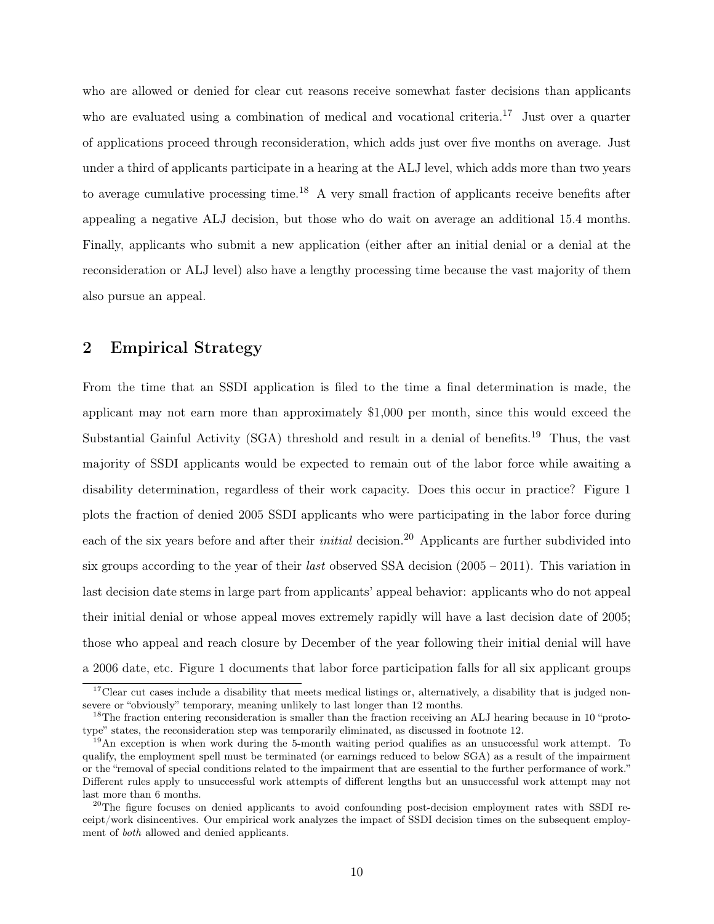who are allowed or denied for clear cut reasons receive somewhat faster decisions than applicants who are evaluated using a combination of medical and vocational criteria.<sup>17</sup> Just over a quarter of applications proceed through reconsideration, which adds just over five months on average. Just under a third of applicants participate in a hearing at the ALJ level, which adds more than two years to average cumulative processing time.<sup>18</sup> A very small fraction of applicants receive benefits after appealing a negative ALJ decision, but those who do wait on average an additional 15.4 months. Finally, applicants who submit a new application (either after an initial denial or a denial at the reconsideration or ALJ level) also have a lengthy processing time because the vast majority of them also pursue an appeal.

## 2 Empirical Strategy

From the time that an SSDI application is filed to the time a final determination is made, the applicant may not earn more than approximately \$1,000 per month, since this would exceed the Substantial Gainful Activity (SGA) threshold and result in a denial of benefits.<sup>19</sup> Thus, the vast majority of SSDI applicants would be expected to remain out of the labor force while awaiting a disability determination, regardless of their work capacity. Does this occur in practice? Figure 1 plots the fraction of denied 2005 SSDI applicants who were participating in the labor force during each of the six years before and after their *initial* decision.<sup>20</sup> Applicants are further subdivided into six groups according to the year of their *last* observed SSA decision  $(2005 - 2011)$ . This variation in last decision date stems in large part from applicants' appeal behavior: applicants who do not appeal their initial denial or whose appeal moves extremely rapidly will have a last decision date of 2005; those who appeal and reach closure by December of the year following their initial denial will have a 2006 date, etc. Figure 1 documents that labor force participation falls for all six applicant groups

 $17$ Clear cut cases include a disability that meets medical listings or, alternatively, a disability that is judged nonsevere or "obviously" temporary, meaning unlikely to last longer than 12 months.

<sup>&</sup>lt;sup>18</sup>The fraction entering reconsideration is smaller than the fraction receiving an ALJ hearing because in 10 "prototype" states, the reconsideration step was temporarily eliminated, as discussed in footnote 12.

 $19$ An exception is when work during the 5-month waiting period qualifies as an unsuccessful work attempt. To qualify, the employment spell must be terminated (or earnings reduced to below SGA) as a result of the impairment or the "removal of special conditions related to the impairment that are essential to the further performance of work." Different rules apply to unsuccessful work attempts of different lengths but an unsuccessful work attempt may not last more than 6 months.

<sup>&</sup>lt;sup>20</sup>The figure focuses on denied applicants to avoid confounding post-decision employment rates with SSDI receipt/work disincentives. Our empirical work analyzes the impact of SSDI decision times on the subsequent employment of both allowed and denied applicants.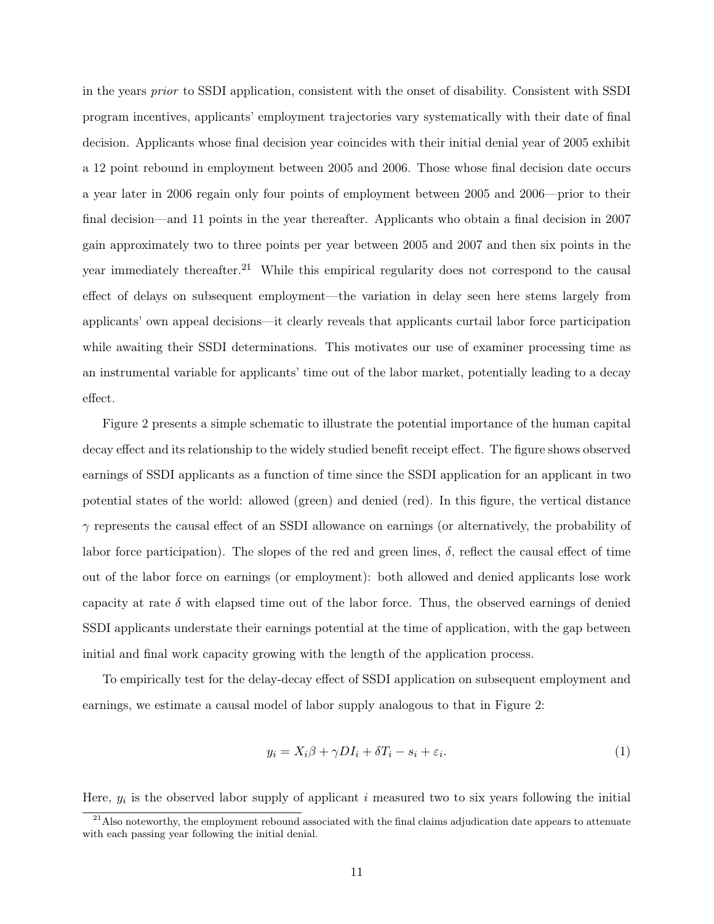in the years prior to SSDI application, consistent with the onset of disability. Consistent with SSDI program incentives, applicants' employment trajectories vary systematically with their date of final decision. Applicants whose final decision year coincides with their initial denial year of 2005 exhibit a 12 point rebound in employment between 2005 and 2006. Those whose final decision date occurs a year later in 2006 regain only four points of employment between 2005 and 2006—prior to their final decision—and 11 points in the year thereafter. Applicants who obtain a final decision in 2007 gain approximately two to three points per year between 2005 and 2007 and then six points in the year immediately thereafter.<sup>21</sup> While this empirical regularity does not correspond to the causal effect of delays on subsequent employment—the variation in delay seen here stems largely from applicants' own appeal decisions—it clearly reveals that applicants curtail labor force participation while awaiting their SSDI determinations. This motivates our use of examiner processing time as an instrumental variable for applicants' time out of the labor market, potentially leading to a decay effect.

Figure 2 presents a simple schematic to illustrate the potential importance of the human capital decay effect and its relationship to the widely studied benefit receipt effect. The figure shows observed earnings of SSDI applicants as a function of time since the SSDI application for an applicant in two potential states of the world: allowed (green) and denied (red). In this figure, the vertical distance  $\gamma$  represents the causal effect of an SSDI allowance on earnings (or alternatively, the probability of labor force participation). The slopes of the red and green lines,  $\delta$ , reflect the causal effect of time out of the labor force on earnings (or employment): both allowed and denied applicants lose work capacity at rate  $\delta$  with elapsed time out of the labor force. Thus, the observed earnings of denied SSDI applicants understate their earnings potential at the time of application, with the gap between initial and final work capacity growing with the length of the application process.

To empirically test for the delay-decay effect of SSDI application on subsequent employment and earnings, we estimate a causal model of labor supply analogous to that in Figure 2:

$$
y_i = X_i \beta + \gamma D I_i + \delta T_i - s_i + \varepsilon_i.
$$
\n<sup>(1)</sup>

Here,  $y_i$  is the observed labor supply of applicant i measured two to six years following the initial

 $21$ Also noteworthy, the employment rebound associated with the final claims adjudication date appears to attenuate with each passing year following the initial denial.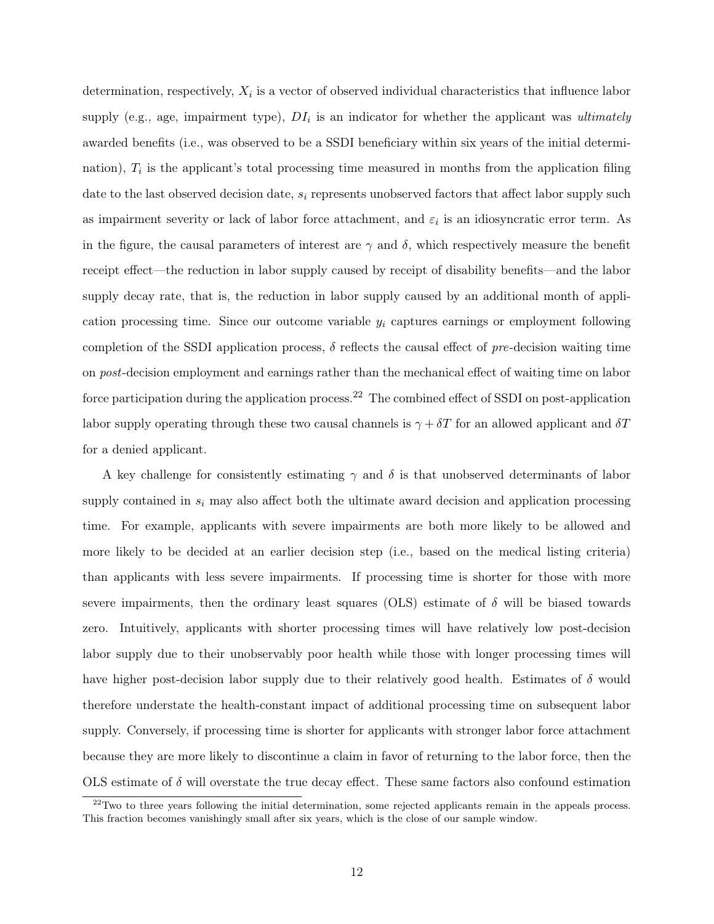determination, respectively,  $X_i$  is a vector of observed individual characteristics that influence labor supply (e.g., age, impairment type),  $DI_i$  is an indicator for whether the applicant was ultimately awarded benefits (i.e., was observed to be a SSDI beneficiary within six years of the initial determination),  $T_i$  is the applicant's total processing time measured in months from the application filing date to the last observed decision date,  $s_i$  represents unobserved factors that affect labor supply such as impairment severity or lack of labor force attachment, and  $\varepsilon_i$  is an idiosyncratic error term. As in the figure, the causal parameters of interest are  $\gamma$  and  $\delta$ , which respectively measure the benefit receipt effect—the reduction in labor supply caused by receipt of disability benefits—and the labor supply decay rate, that is, the reduction in labor supply caused by an additional month of application processing time. Since our outcome variable  $y_i$  captures earnings or employment following completion of the SSDI application process,  $\delta$  reflects the causal effect of pre-decision waiting time on post-decision employment and earnings rather than the mechanical effect of waiting time on labor force participation during the application process.<sup>22</sup> The combined effect of SSDI on post-application labor supply operating through these two causal channels is  $\gamma + \delta T$  for an allowed applicant and  $\delta T$ for a denied applicant.

A key challenge for consistently estimating  $\gamma$  and  $\delta$  is that unobserved determinants of labor supply contained in  $s_i$  may also affect both the ultimate award decision and application processing time. For example, applicants with severe impairments are both more likely to be allowed and more likely to be decided at an earlier decision step (i.e., based on the medical listing criteria) than applicants with less severe impairments. If processing time is shorter for those with more severe impairments, then the ordinary least squares (OLS) estimate of  $\delta$  will be biased towards zero. Intuitively, applicants with shorter processing times will have relatively low post-decision labor supply due to their unobservably poor health while those with longer processing times will have higher post-decision labor supply due to their relatively good health. Estimates of  $\delta$  would therefore understate the health-constant impact of additional processing time on subsequent labor supply. Conversely, if processing time is shorter for applicants with stronger labor force attachment because they are more likely to discontinue a claim in favor of returning to the labor force, then the OLS estimate of  $\delta$  will overstate the true decay effect. These same factors also confound estimation

 $22$ Two to three years following the initial determination, some rejected applicants remain in the appeals process. This fraction becomes vanishingly small after six years, which is the close of our sample window.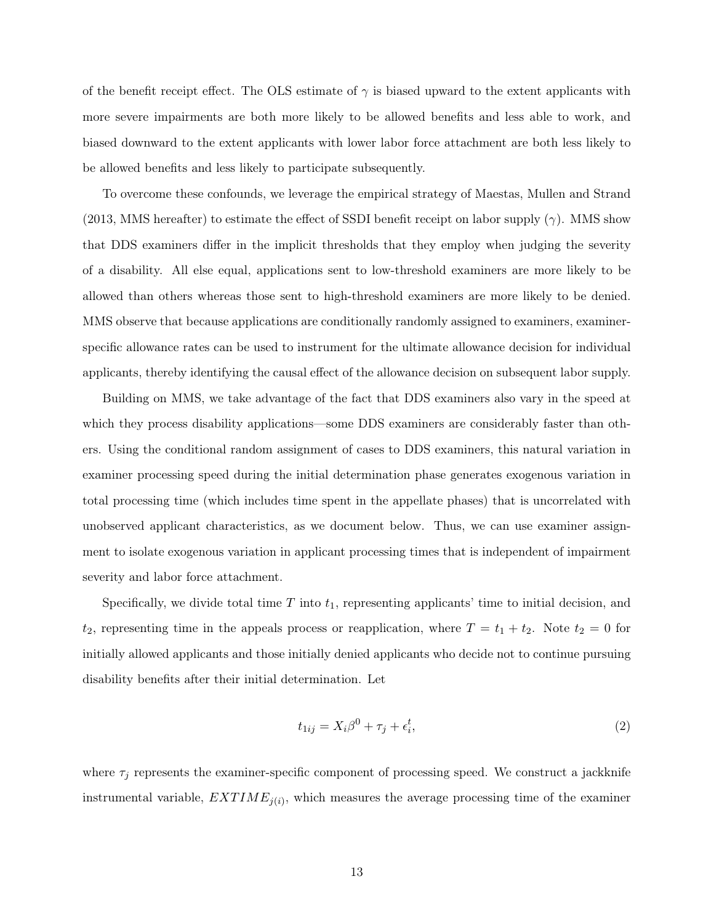of the benefit receipt effect. The OLS estimate of  $\gamma$  is biased upward to the extent applicants with more severe impairments are both more likely to be allowed benefits and less able to work, and biased downward to the extent applicants with lower labor force attachment are both less likely to be allowed benefits and less likely to participate subsequently.

To overcome these confounds, we leverage the empirical strategy of Maestas, Mullen and Strand (2013, MMS hereafter) to estimate the effect of SSDI benefit receipt on labor supply ( $\gamma$ ). MMS show that DDS examiners differ in the implicit thresholds that they employ when judging the severity of a disability. All else equal, applications sent to low-threshold examiners are more likely to be allowed than others whereas those sent to high-threshold examiners are more likely to be denied. MMS observe that because applications are conditionally randomly assigned to examiners, examinerspecific allowance rates can be used to instrument for the ultimate allowance decision for individual applicants, thereby identifying the causal effect of the allowance decision on subsequent labor supply.

Building on MMS, we take advantage of the fact that DDS examiners also vary in the speed at which they process disability applications—some DDS examiners are considerably faster than others. Using the conditional random assignment of cases to DDS examiners, this natural variation in examiner processing speed during the initial determination phase generates exogenous variation in total processing time (which includes time spent in the appellate phases) that is uncorrelated with unobserved applicant characteristics, as we document below. Thus, we can use examiner assignment to isolate exogenous variation in applicant processing times that is independent of impairment severity and labor force attachment.

Specifically, we divide total time  $T$  into  $t_1$ , representing applicants' time to initial decision, and  $t_2$ , representing time in the appeals process or reapplication, where  $T = t_1 + t_2$ . Note  $t_2 = 0$  for initially allowed applicants and those initially denied applicants who decide not to continue pursuing disability benefits after their initial determination. Let

$$
t_{1ij} = X_i \beta^0 + \tau_j + \epsilon_i^t,\tag{2}
$$

where  $\tau_i$  represents the examiner-specific component of processing speed. We construct a jackknife instrumental variable,  $EXTIME_{j(i)}$ , which measures the average processing time of the examiner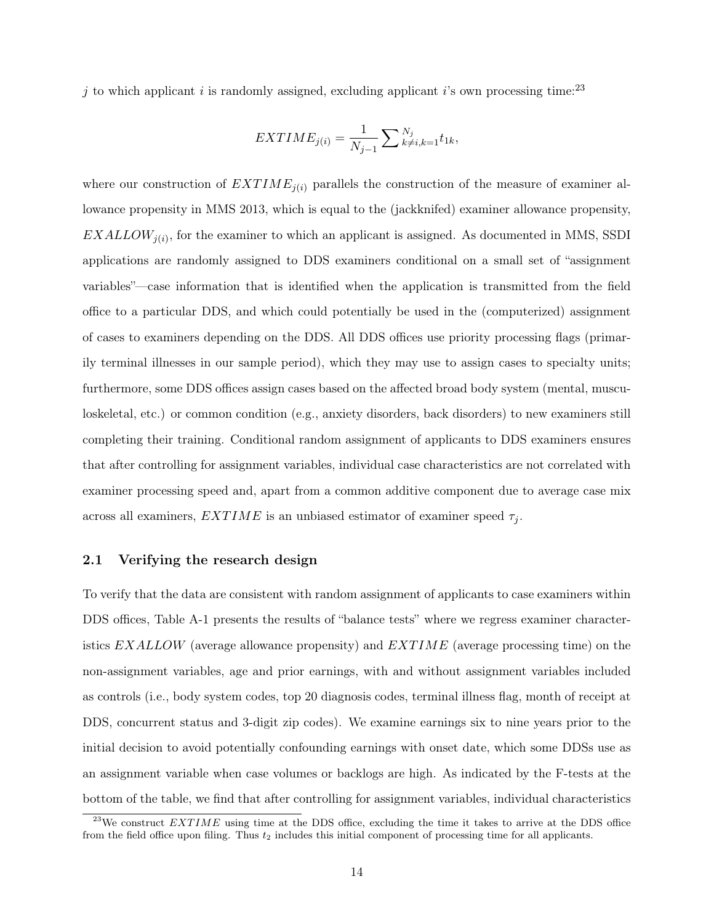j to which applicant i is randomly assigned, excluding applicant i's own processing time:<sup>23</sup>

$$
EXTIME_{j(i)} = \frac{1}{N_{j-1}} \sum_{k \neq i,k=1}^{N_j} t_{1k},
$$

where our construction of  $EXTIME_{i(i)}$  parallels the construction of the measure of examiner allowance propensity in MMS 2013, which is equal to the (jackknifed) examiner allowance propensity,  $EXALLOW_{j(i)}$ , for the examiner to which an applicant is assigned. As documented in MMS, SSDI applications are randomly assigned to DDS examiners conditional on a small set of "assignment variables"—case information that is identified when the application is transmitted from the field office to a particular DDS, and which could potentially be used in the (computerized) assignment of cases to examiners depending on the DDS. All DDS offices use priority processing flags (primarily terminal illnesses in our sample period), which they may use to assign cases to specialty units; furthermore, some DDS offices assign cases based on the affected broad body system (mental, musculoskeletal, etc.) or common condition (e.g., anxiety disorders, back disorders) to new examiners still completing their training. Conditional random assignment of applicants to DDS examiners ensures that after controlling for assignment variables, individual case characteristics are not correlated with examiner processing speed and, apart from a common additive component due to average case mix across all examiners,  $EXTIME$  is an unbiased estimator of examiner speed  $\tau_i$ .

#### 2.1 Verifying the research design

To verify that the data are consistent with random assignment of applicants to case examiners within DDS offices, Table A-1 presents the results of "balance tests" where we regress examiner characteristics  $EXALLOW$  (average allowance propensity) and  $EXTIME$  (average processing time) on the non-assignment variables, age and prior earnings, with and without assignment variables included as controls (i.e., body system codes, top 20 diagnosis codes, terminal illness flag, month of receipt at DDS, concurrent status and 3-digit zip codes). We examine earnings six to nine years prior to the initial decision to avoid potentially confounding earnings with onset date, which some DDSs use as an assignment variable when case volumes or backlogs are high. As indicated by the F-tests at the bottom of the table, we find that after controlling for assignment variables, individual characteristics

<sup>&</sup>lt;sup>23</sup>We construct  $EXTIME$  using time at the DDS office, excluding the time it takes to arrive at the DDS office from the field office upon filing. Thus  $t_2$  includes this initial component of processing time for all applicants.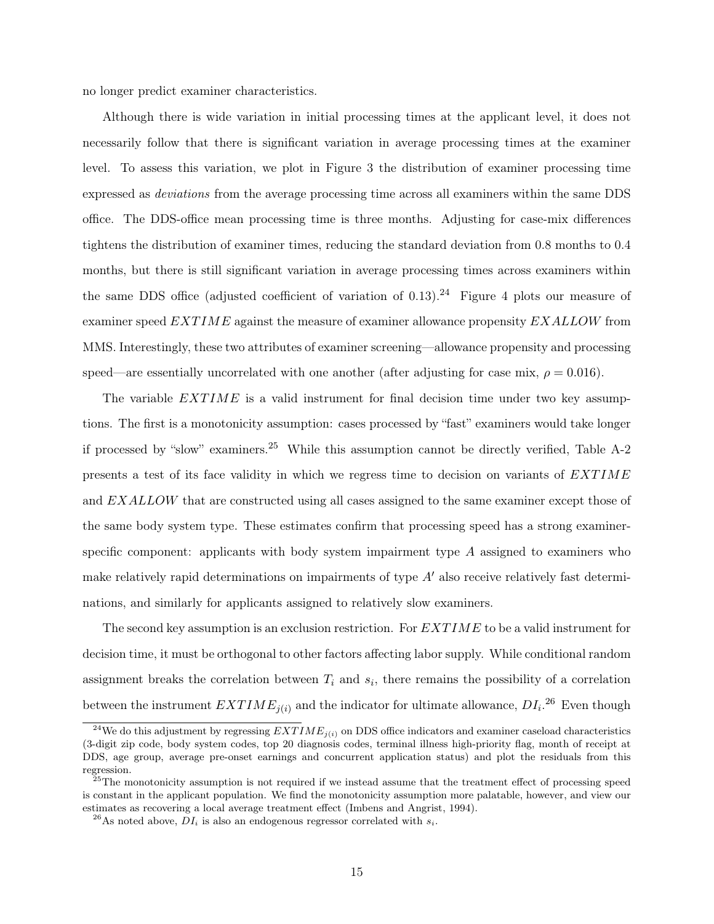no longer predict examiner characteristics.

Although there is wide variation in initial processing times at the applicant level, it does not necessarily follow that there is significant variation in average processing times at the examiner level. To assess this variation, we plot in Figure 3 the distribution of examiner processing time expressed as deviations from the average processing time across all examiners within the same DDS office. The DDS-office mean processing time is three months. Adjusting for case-mix differences tightens the distribution of examiner times, reducing the standard deviation from 0.8 months to 0.4 months, but there is still significant variation in average processing times across examiners within the same DDS office (adjusted coefficient of variation of 0.13).<sup>24</sup> Figure 4 plots our measure of examiner speed  $EXTIME$  against the measure of examiner allowance propensity  $EXALLOW$  from MMS. Interestingly, these two attributes of examiner screening—allowance propensity and processing speed—are essentially uncorrelated with one another (after adjusting for case mix,  $\rho = 0.016$ ).

The variable  $EXTIME$  is a valid instrument for final decision time under two key assumptions. The first is a monotonicity assumption: cases processed by "fast" examiners would take longer if processed by "slow" examiners.<sup>25</sup> While this assumption cannot be directly verified, Table A-2 presents a test of its face validity in which we regress time to decision on variants of  $EXTIME$ and EXALLOW that are constructed using all cases assigned to the same examiner except those of the same body system type. These estimates confirm that processing speed has a strong examinerspecific component: applicants with body system impairment type A assigned to examiners who make relatively rapid determinations on impairments of type  $A'$  also receive relatively fast determinations, and similarly for applicants assigned to relatively slow examiners.

The second key assumption is an exclusion restriction. For  $EXTIME$  to be a valid instrument for decision time, it must be orthogonal to other factors affecting labor supply. While conditional random assignment breaks the correlation between  $T_i$  and  $s_i$ , there remains the possibility of a correlation between the instrument  $EXTIME_{j(i)}$  and the indicator for ultimate allowance,  $DI_i$ <sup>26</sup> Even though

<sup>&</sup>lt;sup>24</sup>We do this adjustment by regressing  $EXTIME_{j(i)}$  on DDS office indicators and examiner caseload characteristics (3-digit zip code, body system codes, top 20 diagnosis codes, terminal illness high-priority flag, month of receipt at DDS, age group, average pre-onset earnings and concurrent application status) and plot the residuals from this regression.

 $25$ The monotonicity assumption is not required if we instead assume that the treatment effect of processing speed is constant in the applicant population. We find the monotonicity assumption more palatable, however, and view our estimates as recovering a local average treatment effect (Imbens and Angrist, 1994).

<sup>&</sup>lt;sup>26</sup>As noted above,  $DI_i$  is also an endogenous regressor correlated with  $s_i$ .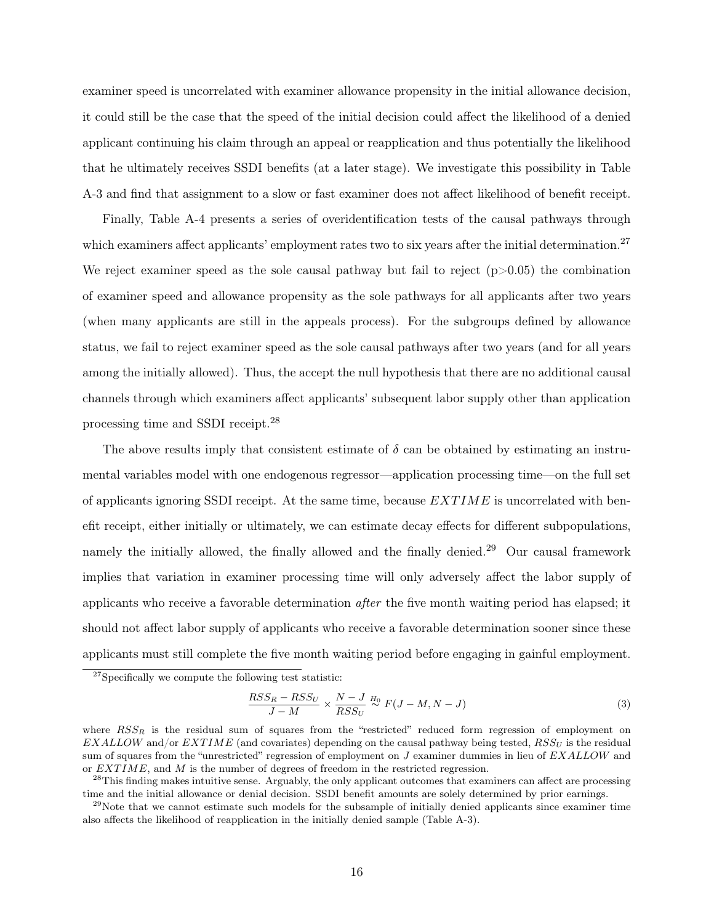examiner speed is uncorrelated with examiner allowance propensity in the initial allowance decision, it could still be the case that the speed of the initial decision could affect the likelihood of a denied applicant continuing his claim through an appeal or reapplication and thus potentially the likelihood that he ultimately receives SSDI benefits (at a later stage). We investigate this possibility in Table A-3 and find that assignment to a slow or fast examiner does not affect likelihood of benefit receipt.

Finally, Table A-4 presents a series of overidentification tests of the causal pathways through which examiners affect applicants' employment rates two to six years after the initial determination.<sup>27</sup> We reject examiner speed as the sole causal pathway but fail to reject  $(p>0.05)$  the combination of examiner speed and allowance propensity as the sole pathways for all applicants after two years (when many applicants are still in the appeals process). For the subgroups defined by allowance status, we fail to reject examiner speed as the sole causal pathways after two years (and for all years among the initially allowed). Thus, the accept the null hypothesis that there are no additional causal channels through which examiners affect applicants' subsequent labor supply other than application processing time and SSDI receipt.<sup>28</sup>

The above results imply that consistent estimate of  $\delta$  can be obtained by estimating an instrumental variables model with one endogenous regressor—application processing time—on the full set of applicants ignoring SSDI receipt. At the same time, because  $EXTIME$  is uncorrelated with benefit receipt, either initially or ultimately, we can estimate decay effects for different subpopulations, namely the initially allowed, the finally allowed and the finally denied.<sup>29</sup> Our causal framework implies that variation in examiner processing time will only adversely affect the labor supply of applicants who receive a favorable determination *after* the five month waiting period has elapsed; it should not affect labor supply of applicants who receive a favorable determination sooner since these applicants must still complete the five month waiting period before engaging in gainful employment.

$$
\frac{RSS_R - RSS_U}{J - M} \times \frac{N - J}{RSS_U} \stackrel{H_0}{\sim} F(J - M, N - J)
$$
\n(3)

<sup>27</sup>Specifically we compute the following test statistic:

where  $RSS_{R}$  is the residual sum of squares from the "restricted" reduced form regression of employment on  $EXALLOW$  and/or  $EXTIME$  (and covariates) depending on the causal pathway being tested,  $RSS_U$  is the residual sum of squares from the "unrestricted" regression of employment on  $J$  examiner dummies in lieu of  $EXALLOW$  and or EXT IME, and M is the number of degrees of freedom in the restricted regression.

<sup>&</sup>lt;sup>28</sup>This finding makes intuitive sense. Arguably, the only applicant outcomes that examiners can affect are processing time and the initial allowance or denial decision. SSDI benefit amounts are solely determined by prior earnings.

<sup>&</sup>lt;sup>29</sup>Note that we cannot estimate such models for the subsample of initially denied applicants since examiner time also affects the likelihood of reapplication in the initially denied sample (Table A-3).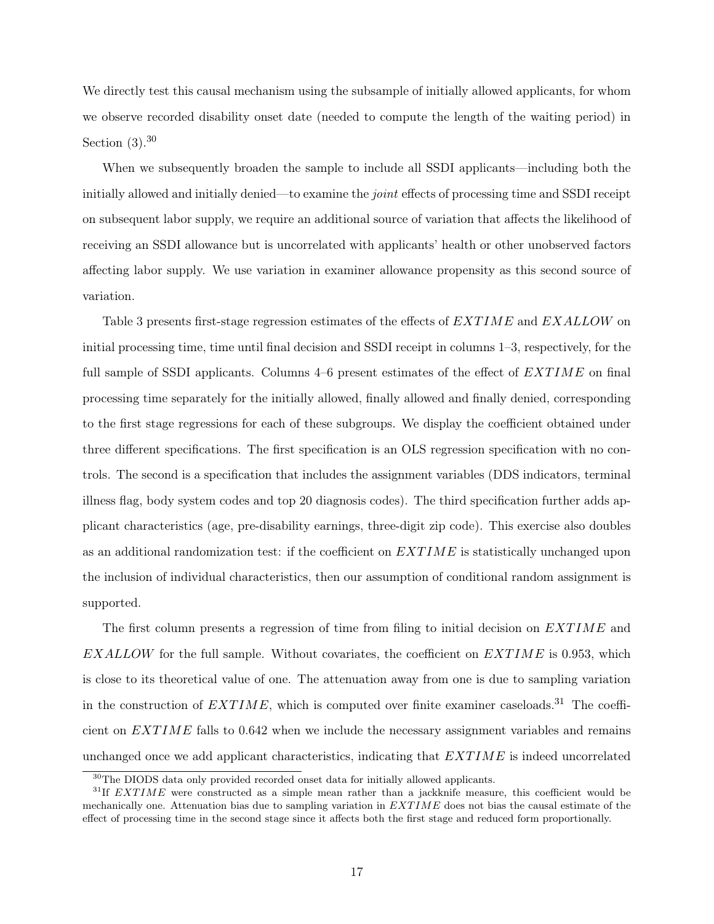We directly test this causal mechanism using the subsample of initially allowed applicants, for whom we observe recorded disability onset date (needed to compute the length of the waiting period) in Section  $(3).^{30}$ 

When we subsequently broaden the sample to include all SSDI applicants—including both the initially allowed and initially denied—to examine the *joint* effects of processing time and SSDI receipt on subsequent labor supply, we require an additional source of variation that affects the likelihood of receiving an SSDI allowance but is uncorrelated with applicants' health or other unobserved factors affecting labor supply. We use variation in examiner allowance propensity as this second source of variation.

Table 3 presents first-stage regression estimates of the effects of EXTIME and EXALLOW on initial processing time, time until final decision and SSDI receipt in columns 1–3, respectively, for the full sample of SSDI applicants. Columns  $4-6$  present estimates of the effect of  $EXTIME$  on final processing time separately for the initially allowed, finally allowed and finally denied, corresponding to the first stage regressions for each of these subgroups. We display the coefficient obtained under three different specifications. The first specification is an OLS regression specification with no controls. The second is a specification that includes the assignment variables (DDS indicators, terminal illness flag, body system codes and top 20 diagnosis codes). The third specification further adds applicant characteristics (age, pre-disability earnings, three-digit zip code). This exercise also doubles as an additional randomization test: if the coefficient on  $EXTIME$  is statistically unchanged upon the inclusion of individual characteristics, then our assumption of conditional random assignment is supported.

The first column presents a regression of time from filing to initial decision on  $EXTIME$  and  $EXALLOW$  for the full sample. Without covariates, the coefficient on  $EXTIME$  is 0.953, which is close to its theoretical value of one. The attenuation away from one is due to sampling variation in the construction of  $EXTIME$ , which is computed over finite examiner caseloads.<sup>31</sup> The coefficient on  $EXTIME$  falls to 0.642 when we include the necessary assignment variables and remains unchanged once we add applicant characteristics, indicating that  $EXTIME$  is indeed uncorrelated

<sup>30</sup>The DIODS data only provided recorded onset data for initially allowed applicants.

 $31$ If EXTIME were constructed as a simple mean rather than a jackknife measure, this coefficient would be mechanically one. Attenuation bias due to sampling variation in  $EXTIME$  does not bias the causal estimate of the effect of processing time in the second stage since it affects both the first stage and reduced form proportionally.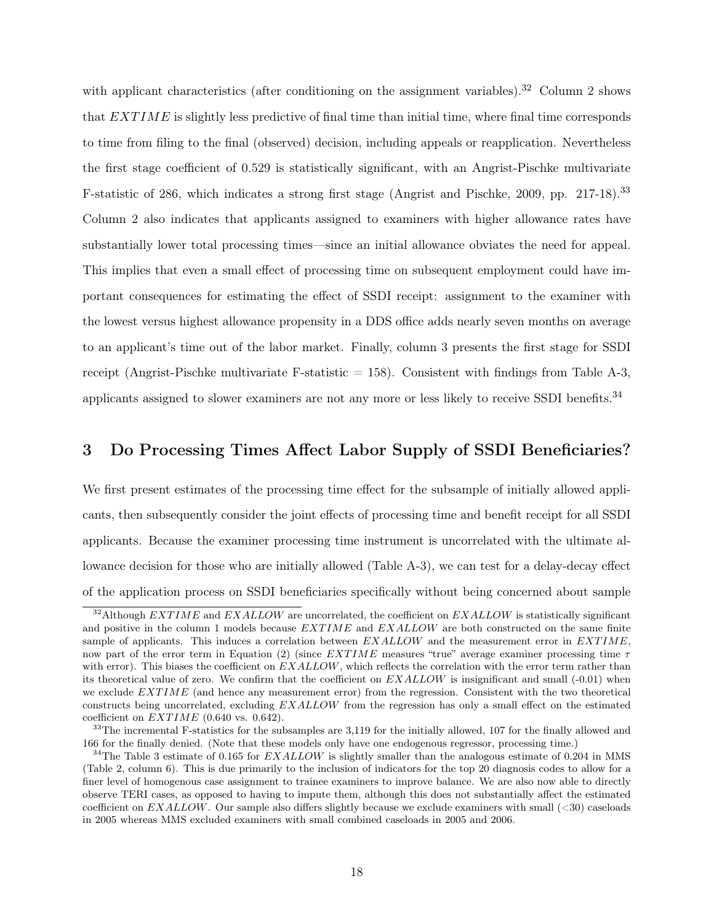with applicant characteristics (after conditioning on the assignment variables).<sup>32</sup> Column 2 shows that  $EXTIME$  is slightly less predictive of final time than initial time, where final time corresponds to time from filing to the final (observed) decision, including appeals or reapplication. Nevertheless the first stage coefficient of 0.529 is statistically significant, with an Angrist-Pischke multivariate F-statistic of 286, which indicates a strong first stage (Angrist and Pischke, 2009, pp. 217-18).<sup>33</sup> Column 2 also indicates that applicants assigned to examiners with higher allowance rates have substantially lower total processing times—since an initial allowance obviates the need for appeal. This implies that even a small effect of processing time on subsequent employment could have important consequences for estimating the effect of SSDI receipt: assignment to the examiner with the lowest versus highest allowance propensity in a DDS office adds nearly seven months on average to an applicant's time out of the labor market. Finally, column 3 presents the first stage for SSDI receipt (Angrist-Pischke multivariate F-statistic  $= 158$ ). Consistent with findings from Table A-3, applicants assigned to slower examiners are not any more or less likely to receive SSDI benefits.<sup>34</sup>

#### 3 Do Processing Times Affect Labor Supply of SSDI Beneficiaries?

We first present estimates of the processing time effect for the subsample of initially allowed applicants, then subsequently consider the joint effects of processing time and benefit receipt for all SSDI applicants. Because the examiner processing time instrument is uncorrelated with the ultimate allowance decision for those who are initially allowed (Table A-3), we can test for a delay-decay effect of the application process on SSDI beneficiaries specifically without being concerned about sample

 $32$ Although EXTIME and EXALLOW are uncorrelated, the coefficient on EXALLOW is statistically significant and positive in the column 1 models because  $EXTIME$  and  $EXALLOW$  are both constructed on the same finite sample of applicants. This induces a correlation between  $EXALLOW$  and the measurement error in  $EXTIME$ , now part of the error term in Equation (2) (since  $EXTIME$  measures "true" average examiner processing time  $\tau$ with error). This biases the coefficient on  $EXALLOW$ , which reflects the correlation with the error term rather than its theoretical value of zero. We confirm that the coefficient on  $EXALLOW$  is insignificant and small (-0.01) when we exclude  $EXTIME$  (and hence any measurement error) from the regression. Consistent with the two theoretical constructs being uncorrelated, excluding EXALLOW from the regression has only a small effect on the estimated coefficient on  $EXTIME$  (0.640 vs. 0.642).

 $33$ The incremental F-statistics for the subsamples are 3,119 for the initially allowed, 107 for the finally allowed and 166 for the finally denied. (Note that these models only have one endogenous regressor, processing time.)

<sup>&</sup>lt;sup>34</sup>The Table 3 estimate of 0.165 for  $EXALLOW$  is slightly smaller than the analogous estimate of 0.204 in MMS (Table 2, column 6). This is due primarily to the inclusion of indicators for the top 20 diagnosis codes to allow for a finer level of homogenous case assignment to trainee examiners to improve balance. We are also now able to directly observe TERI cases, as opposed to having to impute them, although this does not substantially affect the estimated coefficient on  $EXALLOW$ . Our sample also differs slightly because we exclude examiners with small  $(*30*)$  caseloads in 2005 whereas MMS excluded examiners with small combined caseloads in 2005 and 2006.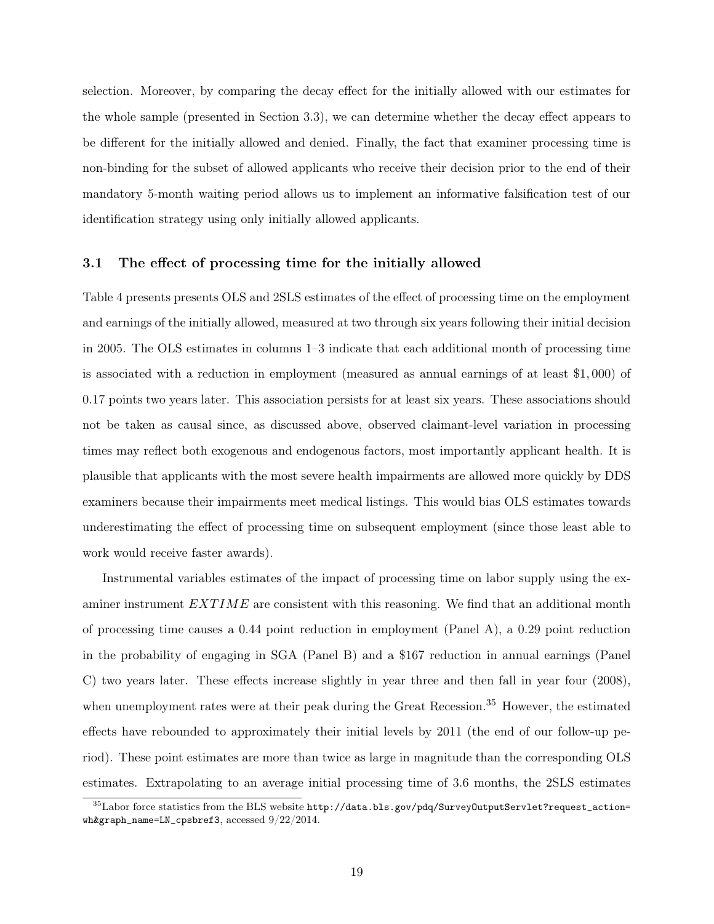selection. Moreover, by comparing the decay effect for the initially allowed with our estimates for the whole sample (presented in Section 3.3), we can determine whether the decay effect appears to be different for the initially allowed and denied. Finally, the fact that examiner processing time is non-binding for the subset of allowed applicants who receive their decision prior to the end of their mandatory 5-month waiting period allows us to implement an informative falsification test of our identification strategy using only initially allowed applicants.

#### 3.1 The effect of processing time for the initially allowed

Table 4 presents presents OLS and 2SLS estimates of the effect of processing time on the employment and earnings of the initially allowed, measured at two through six years following their initial decision in 2005. The OLS estimates in columns 1–3 indicate that each additional month of processing time is associated with a reduction in employment (measured as annual earnings of at least \$1, 000) of 0.17 points two years later. This association persists for at least six years. These associations should not be taken as causal since, as discussed above, observed claimant-level variation in processing times may reflect both exogenous and endogenous factors, most importantly applicant health. It is plausible that applicants with the most severe health impairments are allowed more quickly by DDS examiners because their impairments meet medical listings. This would bias OLS estimates towards underestimating the effect of processing time on subsequent employment (since those least able to work would receive faster awards).

Instrumental variables estimates of the impact of processing time on labor supply using the examiner instrument  $EXTIME$  are consistent with this reasoning. We find that an additional month of processing time causes a 0.44 point reduction in employment (Panel A), a 0.29 point reduction in the probability of engaging in SGA (Panel B) and a \$167 reduction in annual earnings (Panel C) two years later. These effects increase slightly in year three and then fall in year four (2008), when unemployment rates were at their peak during the Great Recession.<sup>35</sup> However, the estimated effects have rebounded to approximately their initial levels by 2011 (the end of our follow-up period). These point estimates are more than twice as large in magnitude than the corresponding OLS estimates. Extrapolating to an average initial processing time of 3.6 months, the 2SLS estimates

 $^{35}\rm{Labor}$  force statistics from the BLS website  ${\tt http://data.bls.gov/pdq/SurveyOutputServlet?request\_action=}$ wh&graph\_name=LN\_cpsbref3, accessed 9/22/2014.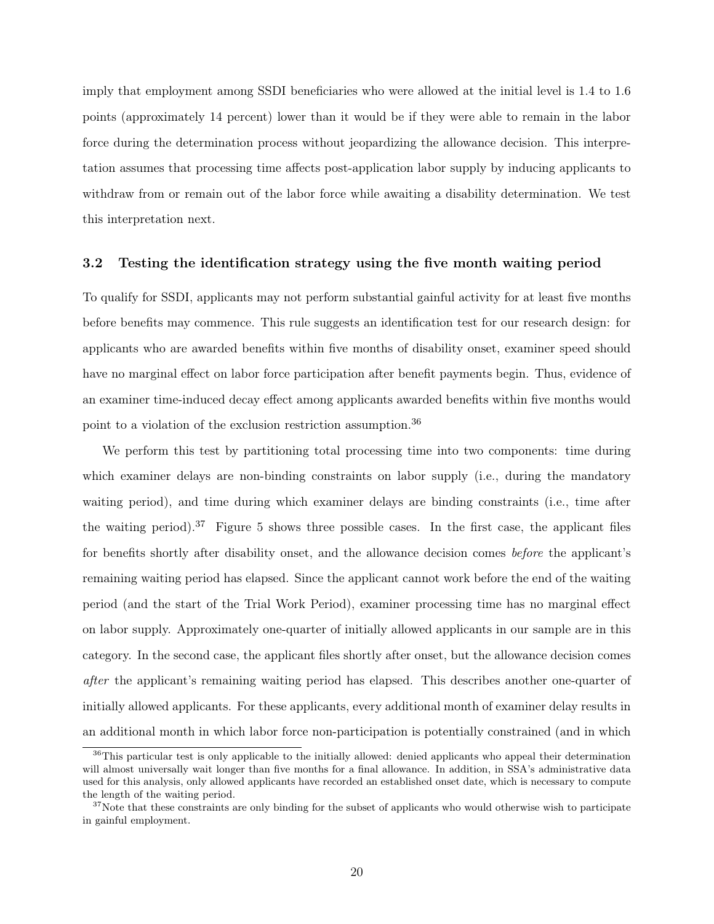imply that employment among SSDI beneficiaries who were allowed at the initial level is 1.4 to 1.6 points (approximately 14 percent) lower than it would be if they were able to remain in the labor force during the determination process without jeopardizing the allowance decision. This interpretation assumes that processing time affects post-application labor supply by inducing applicants to withdraw from or remain out of the labor force while awaiting a disability determination. We test this interpretation next.

#### 3.2 Testing the identification strategy using the five month waiting period

To qualify for SSDI, applicants may not perform substantial gainful activity for at least five months before benefits may commence. This rule suggests an identification test for our research design: for applicants who are awarded benefits within five months of disability onset, examiner speed should have no marginal effect on labor force participation after benefit payments begin. Thus, evidence of an examiner time-induced decay effect among applicants awarded benefits within five months would point to a violation of the exclusion restriction assumption.<sup>36</sup>

We perform this test by partitioning total processing time into two components: time during which examiner delays are non-binding constraints on labor supply (i.e., during the mandatory waiting period), and time during which examiner delays are binding constraints (i.e., time after the waiting period).<sup>37</sup> Figure 5 shows three possible cases. In the first case, the applicant files for benefits shortly after disability onset, and the allowance decision comes before the applicant's remaining waiting period has elapsed. Since the applicant cannot work before the end of the waiting period (and the start of the Trial Work Period), examiner processing time has no marginal effect on labor supply. Approximately one-quarter of initially allowed applicants in our sample are in this category. In the second case, the applicant files shortly after onset, but the allowance decision comes after the applicant's remaining waiting period has elapsed. This describes another one-quarter of initially allowed applicants. For these applicants, every additional month of examiner delay results in an additional month in which labor force non-participation is potentially constrained (and in which

<sup>36</sup>This particular test is only applicable to the initially allowed: denied applicants who appeal their determination will almost universally wait longer than five months for a final allowance. In addition, in SSA's administrative data used for this analysis, only allowed applicants have recorded an established onset date, which is necessary to compute the length of the waiting period.

 $37$ Note that these constraints are only binding for the subset of applicants who would otherwise wish to participate in gainful employment.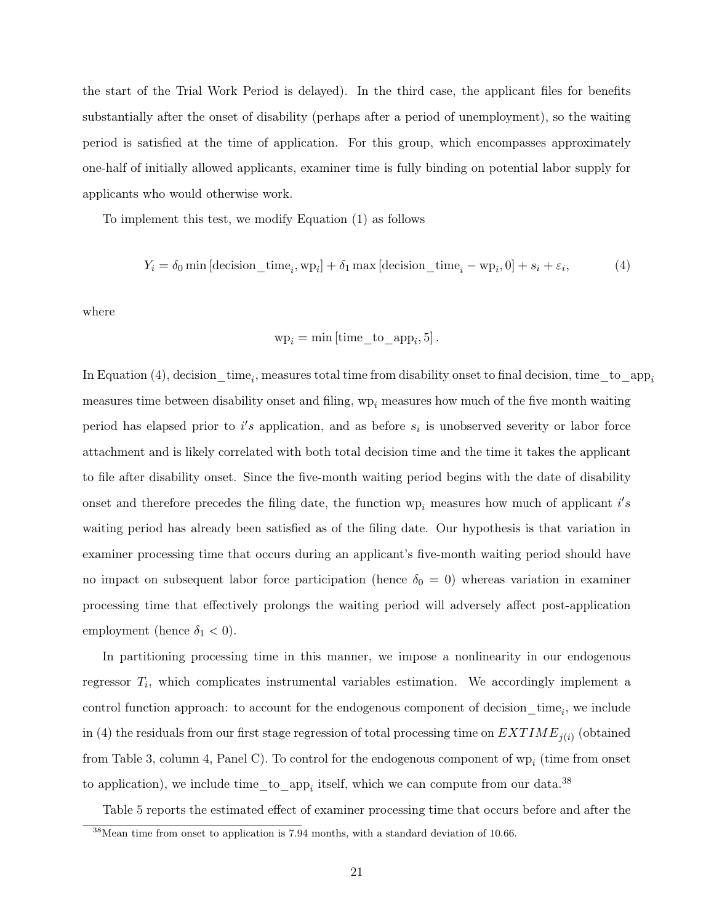the start of the Trial Work Period is delayed). In the third case, the applicant files for benefits substantially after the onset of disability (perhaps after a period of unemployment), so the waiting period is satisfied at the time of application. For this group, which encompasses approximately one-half of initially allowed applicants, examiner time is fully binding on potential labor supply for applicants who would otherwise work.

To implement this test, we modify Equation (1) as follows

$$
Y_i = \delta_0 \min \left[ \text{decision\_time}_i, \text{wp}_i \right] + \delta_1 \max \left[ \text{decision\_time}_i - \text{wp}_i, 0 \right] + s_i + \varepsilon_i,\tag{4}
$$

where

$$
wp_i = min[time_to_app_i, 5].
$$

In Equation (4), decision\_time<sub>i</sub>, measures total time from disability onset to final decision, time\_to\_app<sub>i</sub> measures time between disability onset and filing,  $wp_i$  measures how much of the five month waiting period has elapsed prior to  $i's$  application, and as before  $s_i$  is unobserved severity or labor force attachment and is likely correlated with both total decision time and the time it takes the applicant to file after disability onset. Since the five-month waiting period begins with the date of disability onset and therefore precedes the filing date, the function  $wp_i$  measures how much of applicant  $i's$ waiting period has already been satisfied as of the filing date. Our hypothesis is that variation in examiner processing time that occurs during an applicant's five-month waiting period should have no impact on subsequent labor force participation (hence  $\delta_0 = 0$ ) whereas variation in examiner processing time that effectively prolongs the waiting period will adversely affect post-application employment (hence  $\delta_1 < 0$ ).

In partitioning processing time in this manner, we impose a nonlinearity in our endogenous regressor  $T_i$ , which complicates instrumental variables estimation. We accordingly implement a control function approach: to account for the endogenous component of decision  $\text{time}_i$ , we include in (4) the residuals from our first stage regression of total processing time on  $EXTIME_{j(i)}$  (obtained from Table 3, column 4, Panel C). To control for the endogenous component of  $wp_i$  (time from onset to application), we include  $time_to_app_i$  itself, which we can compute from our data.<sup>38</sup>

Table 5 reports the estimated effect of examiner processing time that occurs before and after the

<sup>38</sup>Mean time from onset to application is 7.94 months, with a standard deviation of 10.66.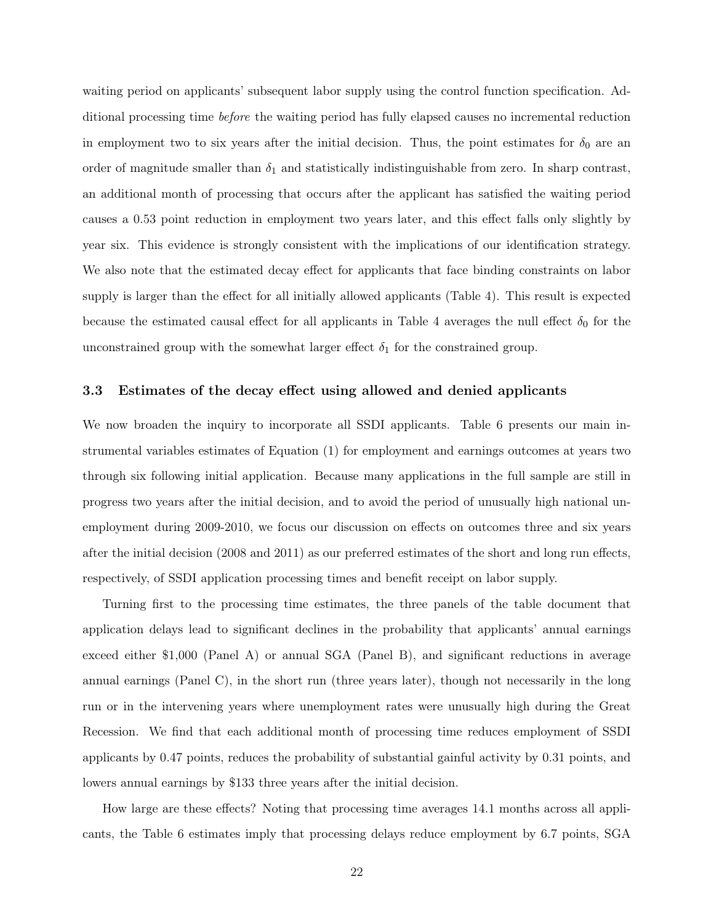waiting period on applicants' subsequent labor supply using the control function specification. Additional processing time before the waiting period has fully elapsed causes no incremental reduction in employment two to six years after the initial decision. Thus, the point estimates for  $\delta_0$  are an order of magnitude smaller than  $\delta_1$  and statistically indistinguishable from zero. In sharp contrast, an additional month of processing that occurs after the applicant has satisfied the waiting period causes a 0.53 point reduction in employment two years later, and this effect falls only slightly by year six. This evidence is strongly consistent with the implications of our identification strategy. We also note that the estimated decay effect for applicants that face binding constraints on labor supply is larger than the effect for all initially allowed applicants (Table 4). This result is expected because the estimated causal effect for all applicants in Table 4 averages the null effect  $\delta_0$  for the unconstrained group with the somewhat larger effect  $\delta_1$  for the constrained group.

#### 3.3 Estimates of the decay effect using allowed and denied applicants

We now broaden the inquiry to incorporate all SSDI applicants. Table 6 presents our main instrumental variables estimates of Equation (1) for employment and earnings outcomes at years two through six following initial application. Because many applications in the full sample are still in progress two years after the initial decision, and to avoid the period of unusually high national unemployment during 2009-2010, we focus our discussion on effects on outcomes three and six years after the initial decision (2008 and 2011) as our preferred estimates of the short and long run effects, respectively, of SSDI application processing times and benefit receipt on labor supply.

Turning first to the processing time estimates, the three panels of the table document that application delays lead to significant declines in the probability that applicants' annual earnings exceed either \$1,000 (Panel A) or annual SGA (Panel B), and significant reductions in average annual earnings (Panel C), in the short run (three years later), though not necessarily in the long run or in the intervening years where unemployment rates were unusually high during the Great Recession. We find that each additional month of processing time reduces employment of SSDI applicants by 0.47 points, reduces the probability of substantial gainful activity by 0.31 points, and lowers annual earnings by \$133 three years after the initial decision.

How large are these effects? Noting that processing time averages 14.1 months across all applicants, the Table 6 estimates imply that processing delays reduce employment by 6.7 points, SGA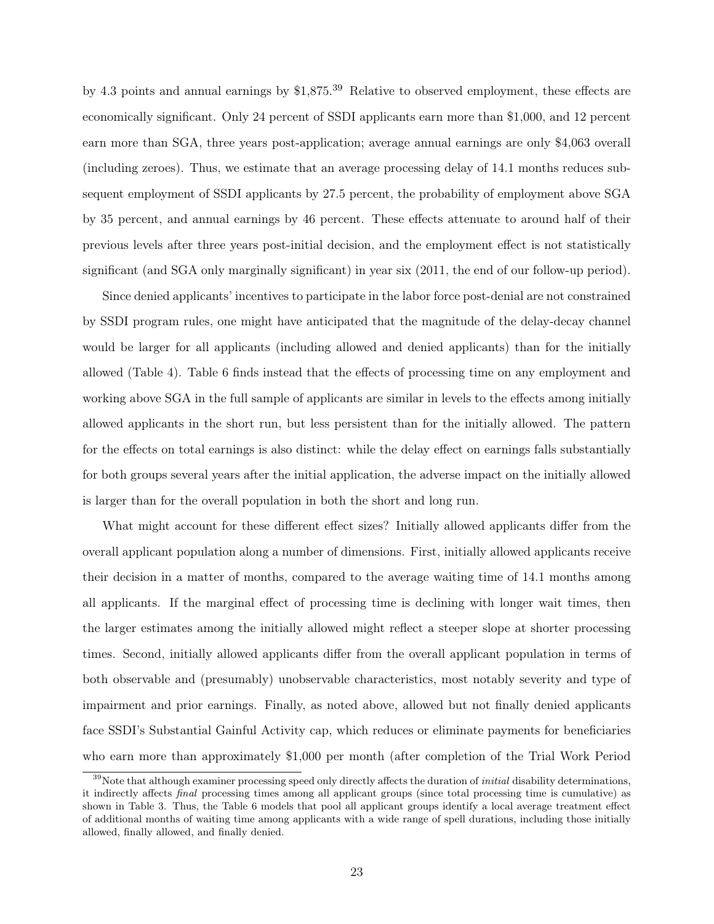by 4.3 points and annual earnings by \$1,875.<sup>39</sup> Relative to observed employment, these effects are economically significant. Only 24 percent of SSDI applicants earn more than \$1,000, and 12 percent earn more than SGA, three years post-application; average annual earnings are only \$4,063 overall (including zeroes). Thus, we estimate that an average processing delay of 14.1 months reduces subsequent employment of SSDI applicants by 27.5 percent, the probability of employment above SGA by 35 percent, and annual earnings by 46 percent. These effects attenuate to around half of their previous levels after three years post-initial decision, and the employment effect is not statistically significant (and SGA only marginally significant) in year six (2011, the end of our follow-up period).

Since denied applicants' incentives to participate in the labor force post-denial are not constrained by SSDI program rules, one might have anticipated that the magnitude of the delay-decay channel would be larger for all applicants (including allowed and denied applicants) than for the initially allowed (Table 4). Table 6 finds instead that the effects of processing time on any employment and working above SGA in the full sample of applicants are similar in levels to the effects among initially allowed applicants in the short run, but less persistent than for the initially allowed. The pattern for the effects on total earnings is also distinct: while the delay effect on earnings falls substantially for both groups several years after the initial application, the adverse impact on the initially allowed is larger than for the overall population in both the short and long run.

What might account for these different effect sizes? Initially allowed applicants differ from the overall applicant population along a number of dimensions. First, initially allowed applicants receive their decision in a matter of months, compared to the average waiting time of 14.1 months among all applicants. If the marginal effect of processing time is declining with longer wait times, then the larger estimates among the initially allowed might reflect a steeper slope at shorter processing times. Second, initially allowed applicants differ from the overall applicant population in terms of both observable and (presumably) unobservable characteristics, most notably severity and type of impairment and prior earnings. Finally, as noted above, allowed but not finally denied applicants face SSDI's Substantial Gainful Activity cap, which reduces or eliminate payments for beneficiaries who earn more than approximately \$1,000 per month (after completion of the Trial Work Period

 $39$ Note that although examiner processing speed only directly affects the duration of *initial* disability determinations, it indirectly affects final processing times among all applicant groups (since total processing time is cumulative) as shown in Table 3. Thus, the Table 6 models that pool all applicant groups identify a local average treatment effect of additional months of waiting time among applicants with a wide range of spell durations, including those initially allowed, finally allowed, and finally denied.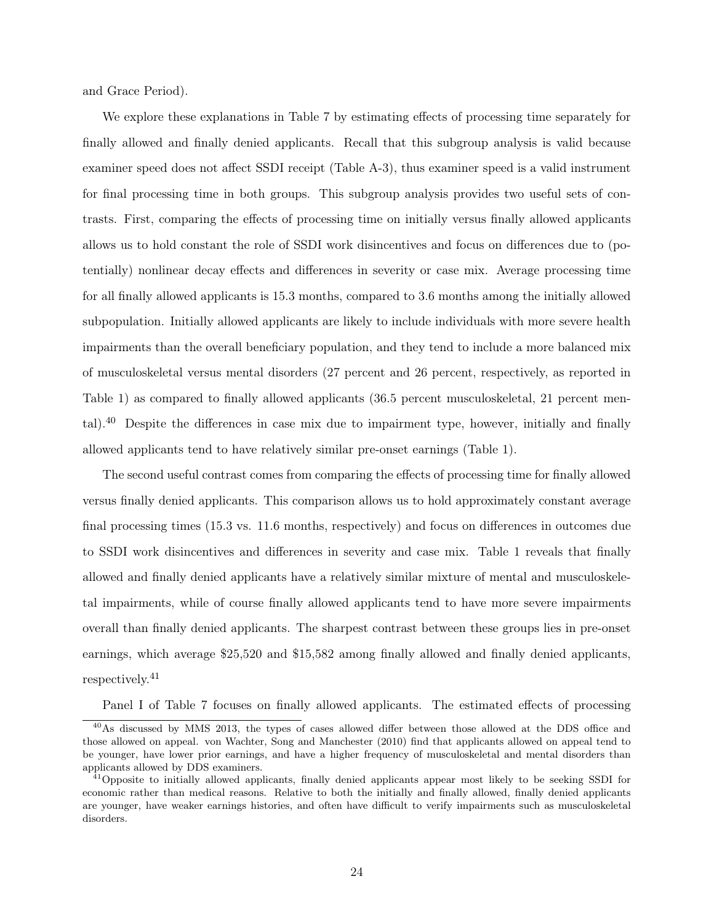and Grace Period).

We explore these explanations in Table 7 by estimating effects of processing time separately for finally allowed and finally denied applicants. Recall that this subgroup analysis is valid because examiner speed does not affect SSDI receipt (Table A-3), thus examiner speed is a valid instrument for final processing time in both groups. This subgroup analysis provides two useful sets of contrasts. First, comparing the effects of processing time on initially versus finally allowed applicants allows us to hold constant the role of SSDI work disincentives and focus on differences due to (potentially) nonlinear decay effects and differences in severity or case mix. Average processing time for all finally allowed applicants is 15.3 months, compared to 3.6 months among the initially allowed subpopulation. Initially allowed applicants are likely to include individuals with more severe health impairments than the overall beneficiary population, and they tend to include a more balanced mix of musculoskeletal versus mental disorders (27 percent and 26 percent, respectively, as reported in Table 1) as compared to finally allowed applicants (36.5 percent musculoskeletal, 21 percent mental).<sup>40</sup> Despite the differences in case mix due to impairment type, however, initially and finally allowed applicants tend to have relatively similar pre-onset earnings (Table 1).

The second useful contrast comes from comparing the effects of processing time for finally allowed versus finally denied applicants. This comparison allows us to hold approximately constant average final processing times (15.3 vs. 11.6 months, respectively) and focus on differences in outcomes due to SSDI work disincentives and differences in severity and case mix. Table 1 reveals that finally allowed and finally denied applicants have a relatively similar mixture of mental and musculoskeletal impairments, while of course finally allowed applicants tend to have more severe impairments overall than finally denied applicants. The sharpest contrast between these groups lies in pre-onset earnings, which average \$25,520 and \$15,582 among finally allowed and finally denied applicants, respectively.<sup>41</sup>

Panel I of Table 7 focuses on finally allowed applicants. The estimated effects of processing

<sup>40</sup>As discussed by MMS 2013, the types of cases allowed differ between those allowed at the DDS office and those allowed on appeal. von Wachter, Song and Manchester (2010) find that applicants allowed on appeal tend to be younger, have lower prior earnings, and have a higher frequency of musculoskeletal and mental disorders than applicants allowed by DDS examiners.

 $^{41}$ Opposite to initially allowed applicants, finally denied applicants appear most likely to be seeking SSDI for economic rather than medical reasons. Relative to both the initially and finally allowed, finally denied applicants are younger, have weaker earnings histories, and often have difficult to verify impairments such as musculoskeletal disorders.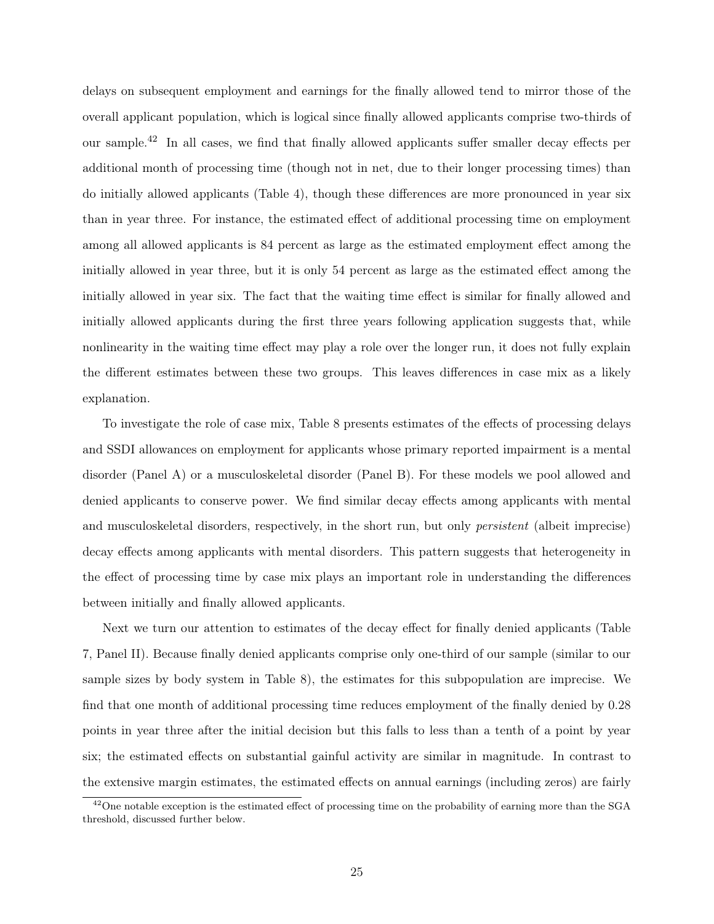delays on subsequent employment and earnings for the finally allowed tend to mirror those of the overall applicant population, which is logical since finally allowed applicants comprise two-thirds of our sample.<sup>42</sup> In all cases, we find that finally allowed applicants suffer smaller decay effects per additional month of processing time (though not in net, due to their longer processing times) than do initially allowed applicants (Table 4), though these differences are more pronounced in year six than in year three. For instance, the estimated effect of additional processing time on employment among all allowed applicants is 84 percent as large as the estimated employment effect among the initially allowed in year three, but it is only 54 percent as large as the estimated effect among the initially allowed in year six. The fact that the waiting time effect is similar for finally allowed and initially allowed applicants during the first three years following application suggests that, while nonlinearity in the waiting time effect may play a role over the longer run, it does not fully explain the different estimates between these two groups. This leaves differences in case mix as a likely explanation.

To investigate the role of case mix, Table 8 presents estimates of the effects of processing delays and SSDI allowances on employment for applicants whose primary reported impairment is a mental disorder (Panel A) or a musculoskeletal disorder (Panel B). For these models we pool allowed and denied applicants to conserve power. We find similar decay effects among applicants with mental and musculoskeletal disorders, respectively, in the short run, but only persistent (albeit imprecise) decay effects among applicants with mental disorders. This pattern suggests that heterogeneity in the effect of processing time by case mix plays an important role in understanding the differences between initially and finally allowed applicants.

Next we turn our attention to estimates of the decay effect for finally denied applicants (Table 7, Panel II). Because finally denied applicants comprise only one-third of our sample (similar to our sample sizes by body system in Table 8), the estimates for this subpopulation are imprecise. We find that one month of additional processing time reduces employment of the finally denied by 0.28 points in year three after the initial decision but this falls to less than a tenth of a point by year six; the estimated effects on substantial gainful activity are similar in magnitude. In contrast to the extensive margin estimates, the estimated effects on annual earnings (including zeros) are fairly

<sup>42</sup>One notable exception is the estimated effect of processing time on the probability of earning more than the SGA threshold, discussed further below.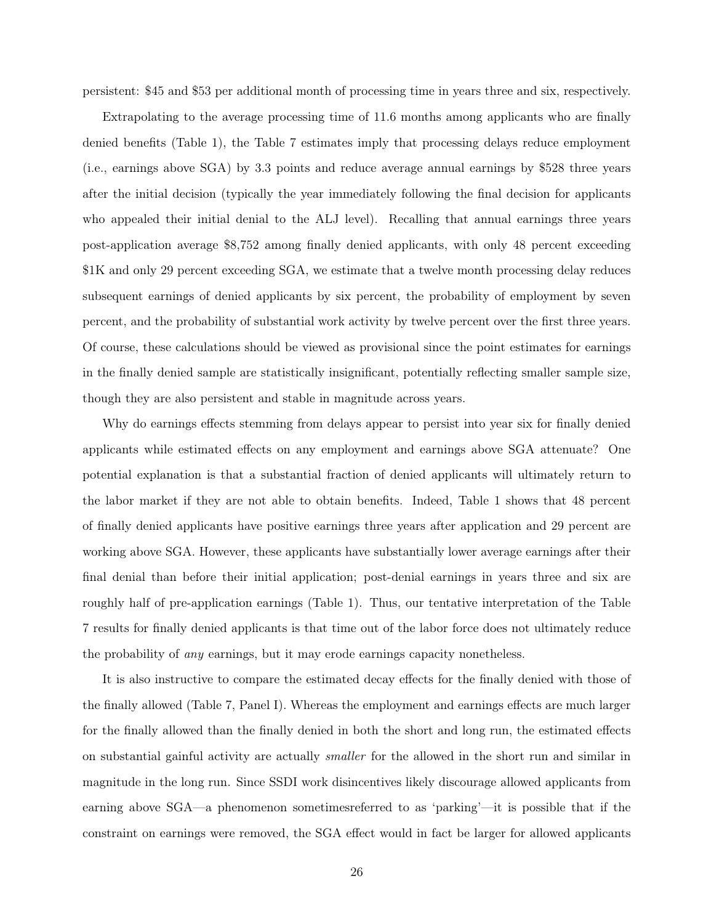persistent: \$45 and \$53 per additional month of processing time in years three and six, respectively.

Extrapolating to the average processing time of 11.6 months among applicants who are finally denied benefits (Table 1), the Table 7 estimates imply that processing delays reduce employment (i.e., earnings above SGA) by 3.3 points and reduce average annual earnings by \$528 three years after the initial decision (typically the year immediately following the final decision for applicants who appealed their initial denial to the ALJ level). Recalling that annual earnings three years post-application average \$8,752 among finally denied applicants, with only 48 percent exceeding \$1K and only 29 percent exceeding SGA, we estimate that a twelve month processing delay reduces subsequent earnings of denied applicants by six percent, the probability of employment by seven percent, and the probability of substantial work activity by twelve percent over the first three years. Of course, these calculations should be viewed as provisional since the point estimates for earnings in the finally denied sample are statistically insignificant, potentially reflecting smaller sample size, though they are also persistent and stable in magnitude across years.

Why do earnings effects stemming from delays appear to persist into year six for finally denied applicants while estimated effects on any employment and earnings above SGA attenuate? One potential explanation is that a substantial fraction of denied applicants will ultimately return to the labor market if they are not able to obtain benefits. Indeed, Table 1 shows that 48 percent of finally denied applicants have positive earnings three years after application and 29 percent are working above SGA. However, these applicants have substantially lower average earnings after their final denial than before their initial application; post-denial earnings in years three and six are roughly half of pre-application earnings (Table 1). Thus, our tentative interpretation of the Table 7 results for finally denied applicants is that time out of the labor force does not ultimately reduce the probability of any earnings, but it may erode earnings capacity nonetheless.

It is also instructive to compare the estimated decay effects for the finally denied with those of the finally allowed (Table 7, Panel I). Whereas the employment and earnings effects are much larger for the finally allowed than the finally denied in both the short and long run, the estimated effects on substantial gainful activity are actually *smaller* for the allowed in the short run and similar in magnitude in the long run. Since SSDI work disincentives likely discourage allowed applicants from earning above SGA—a phenomenon sometimesreferred to as 'parking'—it is possible that if the constraint on earnings were removed, the SGA effect would in fact be larger for allowed applicants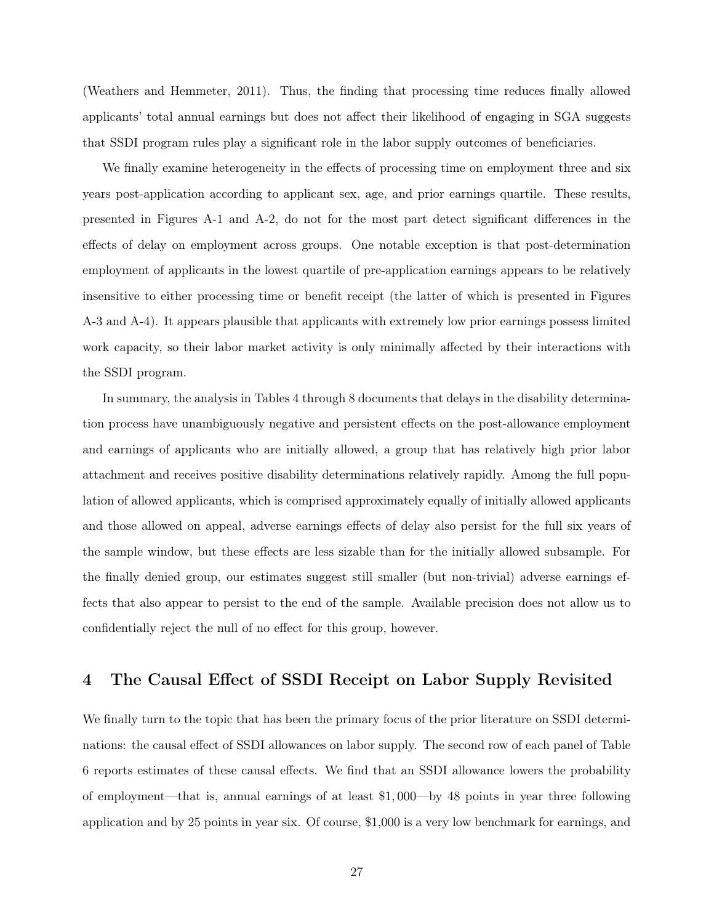(Weathers and Hemmeter, 2011). Thus, the finding that processing time reduces finally allowed applicants' total annual earnings but does not affect their likelihood of engaging in SGA suggests that SSDI program rules play a significant role in the labor supply outcomes of beneficiaries.

We finally examine heterogeneity in the effects of processing time on employment three and six years post-application according to applicant sex, age, and prior earnings quartile. These results, presented in Figures A-1 and A-2, do not for the most part detect significant differences in the effects of delay on employment across groups. One notable exception is that post-determination employment of applicants in the lowest quartile of pre-application earnings appears to be relatively insensitive to either processing time or benefit receipt (the latter of which is presented in Figures A-3 and A-4). It appears plausible that applicants with extremely low prior earnings possess limited work capacity, so their labor market activity is only minimally affected by their interactions with the SSDI program.

In summary, the analysis in Tables 4 through 8 documents that delays in the disability determination process have unambiguously negative and persistent effects on the post-allowance employment and earnings of applicants who are initially allowed, a group that has relatively high prior labor attachment and receives positive disability determinations relatively rapidly. Among the full population of allowed applicants, which is comprised approximately equally of initially allowed applicants and those allowed on appeal, adverse earnings effects of delay also persist for the full six years of the sample window, but these effects are less sizable than for the initially allowed subsample. For the finally denied group, our estimates suggest still smaller (but non-trivial) adverse earnings effects that also appear to persist to the end of the sample. Available precision does not allow us to confidentially reject the null of no effect for this group, however.

## 4 The Causal Effect of SSDI Receipt on Labor Supply Revisited

We finally turn to the topic that has been the primary focus of the prior literature on SSDI determinations: the causal effect of SSDI allowances on labor supply. The second row of each panel of Table 6 reports estimates of these causal effects. We find that an SSDI allowance lowers the probability of employment—that is, annual earnings of at least \$1, 000—by 48 points in year three following application and by 25 points in year six. Of course, \$1,000 is a very low benchmark for earnings, and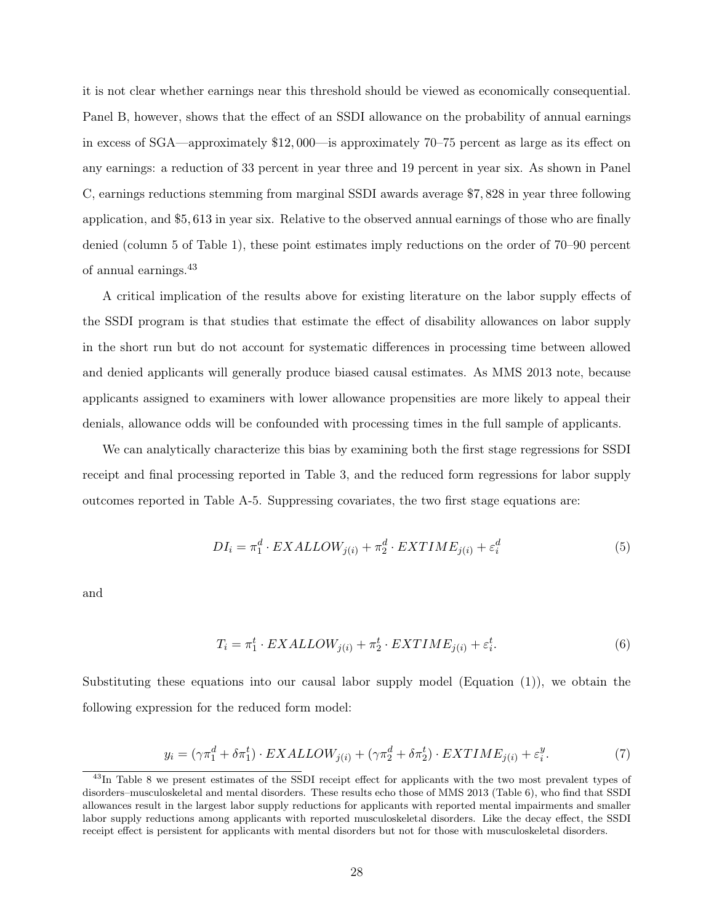it is not clear whether earnings near this threshold should be viewed as economically consequential. Panel B, however, shows that the effect of an SSDI allowance on the probability of annual earnings in excess of SGA—approximately \$12, 000—is approximately 70–75 percent as large as its effect on any earnings: a reduction of 33 percent in year three and 19 percent in year six. As shown in Panel C, earnings reductions stemming from marginal SSDI awards average \$7, 828 in year three following application, and \$5, 613 in year six. Relative to the observed annual earnings of those who are finally denied (column 5 of Table 1), these point estimates imply reductions on the order of 70–90 percent of annual earnings.<sup>43</sup>

A critical implication of the results above for existing literature on the labor supply effects of the SSDI program is that studies that estimate the effect of disability allowances on labor supply in the short run but do not account for systematic differences in processing time between allowed and denied applicants will generally produce biased causal estimates. As MMS 2013 note, because applicants assigned to examiners with lower allowance propensities are more likely to appeal their denials, allowance odds will be confounded with processing times in the full sample of applicants.

We can analytically characterize this bias by examining both the first stage regressions for SSDI receipt and final processing reported in Table 3, and the reduced form regressions for labor supply outcomes reported in Table A-5. Suppressing covariates, the two first stage equations are:

$$
DI_i = \pi_1^d \cdot EXALLOW_{j(i)} + \pi_2^d \cdot EXTIME_{j(i)} + \varepsilon_i^d \tag{5}
$$

and

$$
T_i = \pi_1^t \cdot EXALLOW_{j(i)} + \pi_2^t \cdot EXTIME_{j(i)} + \varepsilon_i^t. \tag{6}
$$

Substituting these equations into our causal labor supply model (Equation (1)), we obtain the following expression for the reduced form model:

$$
y_i = (\gamma \pi_1^d + \delta \pi_1^t) \cdot EXALLOW_{j(i)} + (\gamma \pi_2^d + \delta \pi_2^t) \cdot EXTIME_{j(i)} + \varepsilon_i^y. \tag{7}
$$

<sup>&</sup>lt;sup>43</sup>In Table 8 we present estimates of the SSDI receipt effect for applicants with the two most prevalent types of disorders–musculoskeletal and mental disorders. These results echo those of MMS 2013 (Table 6), who find that SSDI allowances result in the largest labor supply reductions for applicants with reported mental impairments and smaller labor supply reductions among applicants with reported musculoskeletal disorders. Like the decay effect, the SSDI receipt effect is persistent for applicants with mental disorders but not for those with musculoskeletal disorders.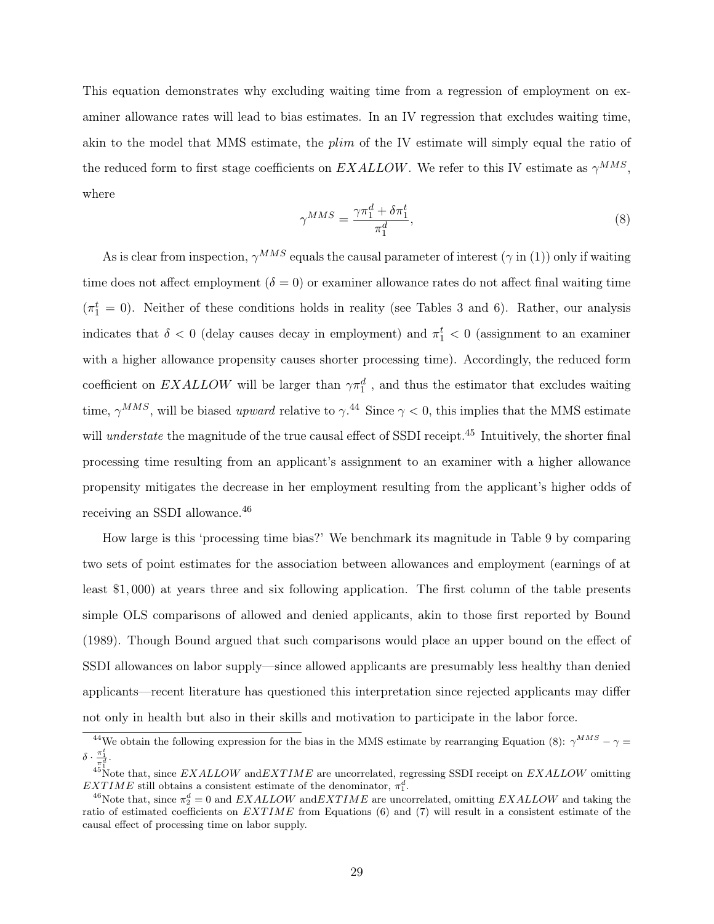This equation demonstrates why excluding waiting time from a regression of employment on examiner allowance rates will lead to bias estimates. In an IV regression that excludes waiting time, akin to the model that MMS estimate, the *plim* of the IV estimate will simply equal the ratio of the reduced form to first stage coefficients on  $EXALLOW$ . We refer to this IV estimate as  $\gamma^{MMS}$ , where

$$
\gamma^{MMS} = \frac{\gamma \pi_1^d + \delta \pi_1^t}{\pi_1^d},\tag{8}
$$

As is clear from inspection,  $\gamma^{MMS}$  equals the causal parameter of interest ( $\gamma$  in (1)) only if waiting time does not affect employment ( $\delta = 0$ ) or examiner allowance rates do not affect final waiting time  $(\pi_1^t = 0)$ . Neither of these conditions holds in reality (see Tables 3 and 6). Rather, our analysis indicates that  $\delta < 0$  (delay causes decay in employment) and  $\pi_1^t < 0$  (assignment to an examiner with a higher allowance propensity causes shorter processing time). Accordingly, the reduced form coefficient on  $EXALLOW$  will be larger than  $\gamma \pi_1^d$ , and thus the estimator that excludes waiting time,  $\gamma^{MMS}$ , will be biased upward relative to  $\gamma^{.44}$  Since  $\gamma$  < 0, this implies that the MMS estimate will *understate* the magnitude of the true causal effect of SSDI receipt.<sup>45</sup> Intuitively, the shorter final processing time resulting from an applicant's assignment to an examiner with a higher allowance propensity mitigates the decrease in her employment resulting from the applicant's higher odds of receiving an SSDI allowance.<sup>46</sup>

How large is this 'processing time bias?' We benchmark its magnitude in Table 9 by comparing two sets of point estimates for the association between allowances and employment (earnings of at least \$1, 000) at years three and six following application. The first column of the table presents simple OLS comparisons of allowed and denied applicants, akin to those first reported by Bound (1989). Though Bound argued that such comparisons would place an upper bound on the effect of SSDI allowances on labor supply—since allowed applicants are presumably less healthy than denied applicants—recent literature has questioned this interpretation since rejected applicants may differ not only in health but also in their skills and motivation to participate in the labor force.

<sup>&</sup>lt;sup>44</sup>We obtain the following expression for the bias in the MMS estimate by rearranging Equation (8):  $\gamma^{MMS} - \gamma =$  $\delta \cdot \frac{\pi_1^t}{\pi_1^d}.$ 

 $45\text{ Note that, since } EXALLOW \text{ and } EXTIME \text{ are uncorrelated, regressing SSDI receipt on } EXALLOW \text{ omitting}$  $EXTIME$  still obtains a consistent estimate of the denominator,  $\pi_1^d$ .

<sup>&</sup>lt;sup>46</sup>Note that, since  $\pi_2^d = 0$  and  $EXALLOW$  and  $EXTIME$  are uncorrelated, omitting  $EXALLOW$  and taking the ratio of estimated coefficients on  $EXTIME$  from Equations (6) and (7) will result in a consistent estimate of the causal effect of processing time on labor supply.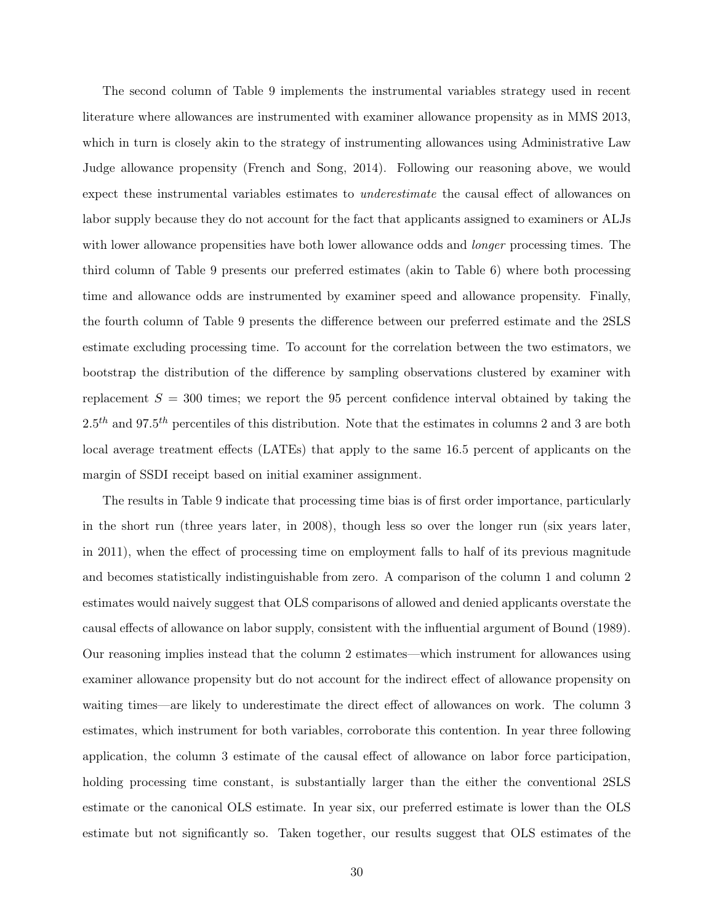The second column of Table 9 implements the instrumental variables strategy used in recent literature where allowances are instrumented with examiner allowance propensity as in MMS 2013, which in turn is closely akin to the strategy of instrumenting allowances using Administrative Law Judge allowance propensity (French and Song, 2014). Following our reasoning above, we would expect these instrumental variables estimates to underestimate the causal effect of allowances on labor supply because they do not account for the fact that applicants assigned to examiners or ALJs with lower allowance propensities have both lower allowance odds and *longer* processing times. The third column of Table 9 presents our preferred estimates (akin to Table 6) where both processing time and allowance odds are instrumented by examiner speed and allowance propensity. Finally, the fourth column of Table 9 presents the difference between our preferred estimate and the 2SLS estimate excluding processing time. To account for the correlation between the two estimators, we bootstrap the distribution of the difference by sampling observations clustered by examiner with replacement  $S = 300$  times; we report the 95 percent confidence interval obtained by taking the  $2.5<sup>th</sup>$  and 97.5<sup>th</sup> percentiles of this distribution. Note that the estimates in columns 2 and 3 are both local average treatment effects (LATEs) that apply to the same 16.5 percent of applicants on the margin of SSDI receipt based on initial examiner assignment.

The results in Table 9 indicate that processing time bias is of first order importance, particularly in the short run (three years later, in 2008), though less so over the longer run (six years later, in 2011), when the effect of processing time on employment falls to half of its previous magnitude and becomes statistically indistinguishable from zero. A comparison of the column 1 and column 2 estimates would naively suggest that OLS comparisons of allowed and denied applicants overstate the causal effects of allowance on labor supply, consistent with the influential argument of Bound (1989). Our reasoning implies instead that the column 2 estimates—which instrument for allowances using examiner allowance propensity but do not account for the indirect effect of allowance propensity on waiting times—are likely to underestimate the direct effect of allowances on work. The column 3 estimates, which instrument for both variables, corroborate this contention. In year three following application, the column 3 estimate of the causal effect of allowance on labor force participation, holding processing time constant, is substantially larger than the either the conventional 2SLS estimate or the canonical OLS estimate. In year six, our preferred estimate is lower than the OLS estimate but not significantly so. Taken together, our results suggest that OLS estimates of the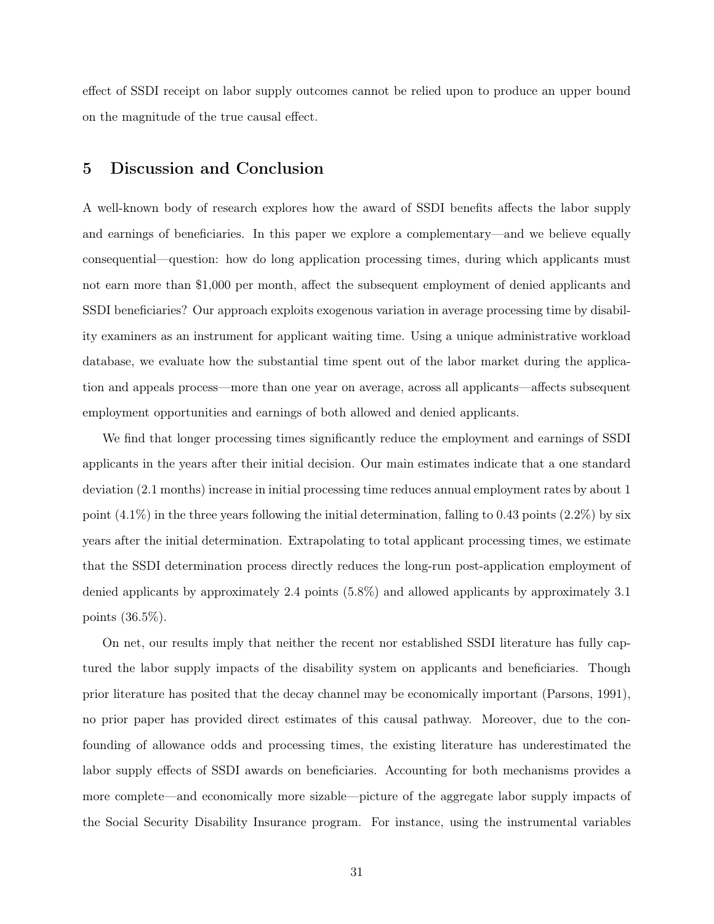effect of SSDI receipt on labor supply outcomes cannot be relied upon to produce an upper bound on the magnitude of the true causal effect.

### 5 Discussion and Conclusion

A well-known body of research explores how the award of SSDI benefits affects the labor supply and earnings of beneficiaries. In this paper we explore a complementary—and we believe equally consequential—question: how do long application processing times, during which applicants must not earn more than \$1,000 per month, affect the subsequent employment of denied applicants and SSDI beneficiaries? Our approach exploits exogenous variation in average processing time by disability examiners as an instrument for applicant waiting time. Using a unique administrative workload database, we evaluate how the substantial time spent out of the labor market during the application and appeals process—more than one year on average, across all applicants—affects subsequent employment opportunities and earnings of both allowed and denied applicants.

We find that longer processing times significantly reduce the employment and earnings of SSDI applicants in the years after their initial decision. Our main estimates indicate that a one standard deviation (2.1 months) increase in initial processing time reduces annual employment rates by about 1 point  $(4.1\%)$  in the three years following the initial determination, falling to 0.43 points  $(2.2\%)$  by six years after the initial determination. Extrapolating to total applicant processing times, we estimate that the SSDI determination process directly reduces the long-run post-application employment of denied applicants by approximately 2.4 points (5.8%) and allowed applicants by approximately 3.1 points (36.5%).

On net, our results imply that neither the recent nor established SSDI literature has fully captured the labor supply impacts of the disability system on applicants and beneficiaries. Though prior literature has posited that the decay channel may be economically important (Parsons, 1991), no prior paper has provided direct estimates of this causal pathway. Moreover, due to the confounding of allowance odds and processing times, the existing literature has underestimated the labor supply effects of SSDI awards on beneficiaries. Accounting for both mechanisms provides a more complete—and economically more sizable—picture of the aggregate labor supply impacts of the Social Security Disability Insurance program. For instance, using the instrumental variables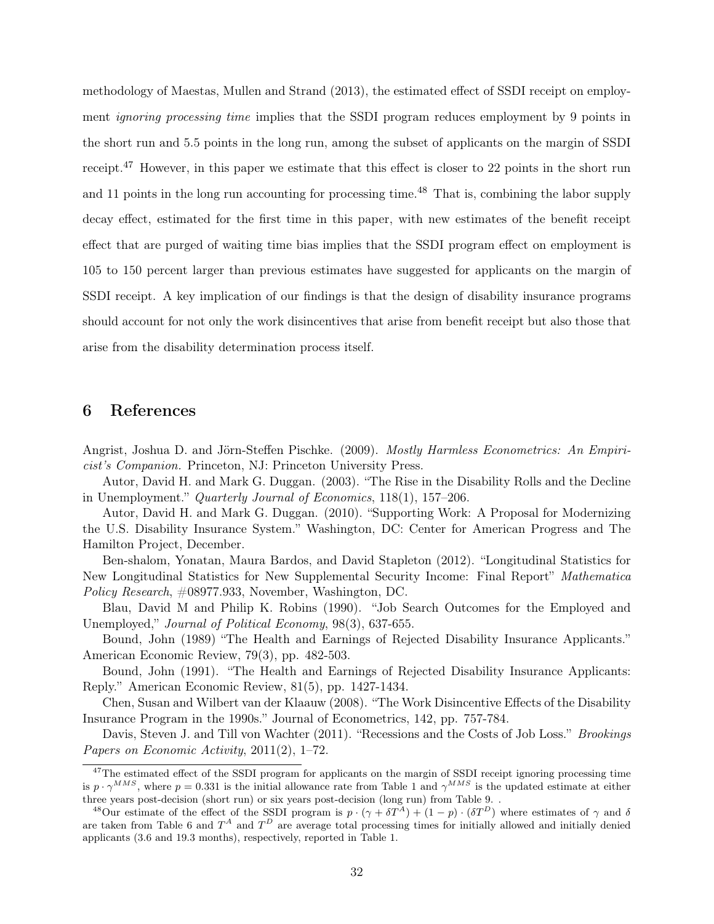methodology of Maestas, Mullen and Strand (2013), the estimated effect of SSDI receipt on employment *ignoring processing time* implies that the SSDI program reduces employment by 9 points in the short run and 5.5 points in the long run, among the subset of applicants on the margin of SSDI receipt.<sup>47</sup> However, in this paper we estimate that this effect is closer to 22 points in the short run and 11 points in the long run accounting for processing time.<sup>48</sup> That is, combining the labor supply decay effect, estimated for the first time in this paper, with new estimates of the benefit receipt effect that are purged of waiting time bias implies that the SSDI program effect on employment is 105 to 150 percent larger than previous estimates have suggested for applicants on the margin of SSDI receipt. A key implication of our findings is that the design of disability insurance programs should account for not only the work disincentives that arise from benefit receipt but also those that arise from the disability determination process itself.

### 6 References

Angrist, Joshua D. and Jörn-Steffen Pischke. (2009). Mostly Harmless Econometrics: An Empiricist's Companion. Princeton, NJ: Princeton University Press.

Autor, David H. and Mark G. Duggan. (2003). "The Rise in the Disability Rolls and the Decline in Unemployment." Quarterly Journal of Economics, 118(1), 157–206.

Autor, David H. and Mark G. Duggan. (2010). "Supporting Work: A Proposal for Modernizing the U.S. Disability Insurance System." Washington, DC: Center for American Progress and The Hamilton Project, December.

Ben-shalom, Yonatan, Maura Bardos, and David Stapleton (2012). "Longitudinal Statistics for New Longitudinal Statistics for New Supplemental Security Income: Final Report" Mathematica Policy Research, #08977.933, November, Washington, DC.

Blau, David M and Philip K. Robins (1990). "Job Search Outcomes for the Employed and Unemployed," *Journal of Political Economy*, 98(3), 637-655.

Bound, John (1989) "The Health and Earnings of Rejected Disability Insurance Applicants." American Economic Review, 79(3), pp. 482-503.

Bound, John (1991). "The Health and Earnings of Rejected Disability Insurance Applicants: Reply." American Economic Review, 81(5), pp. 1427-1434.

Chen, Susan and Wilbert van der Klaauw (2008). "The Work Disincentive Effects of the Disability Insurance Program in the 1990s." Journal of Econometrics, 142, pp. 757-784.

Davis, Steven J. and Till von Wachter (2011). "Recessions and the Costs of Job Loss." *Brookings* Papers on Economic Activity, 2011(2), 1–72.

<sup>&</sup>lt;sup>47</sup>The estimated effect of the SSDI program for applicants on the margin of SSDI receipt ignoring processing time is  $p \cdot \gamma^{MMS}$ , where  $p = 0.331$  is the initial allowance rate from Table 1 and  $\gamma^{MMS}$  is the updated estimate at either three years post-decision (short run) or six years post-decision (long run) from Table 9. .

<sup>&</sup>lt;sup>48</sup>Our estimate of the effect of the SSDI program is  $p \cdot (\gamma + \delta T^A) + (1 - p) \cdot (\delta T^D)$  where estimates of  $\gamma$  and  $\delta$ are taken from Table 6 and  $T^A$  and  $T^D$  are average total processing times for initially allowed and initially denied applicants (3.6 and 19.3 months), respectively, reported in Table 1.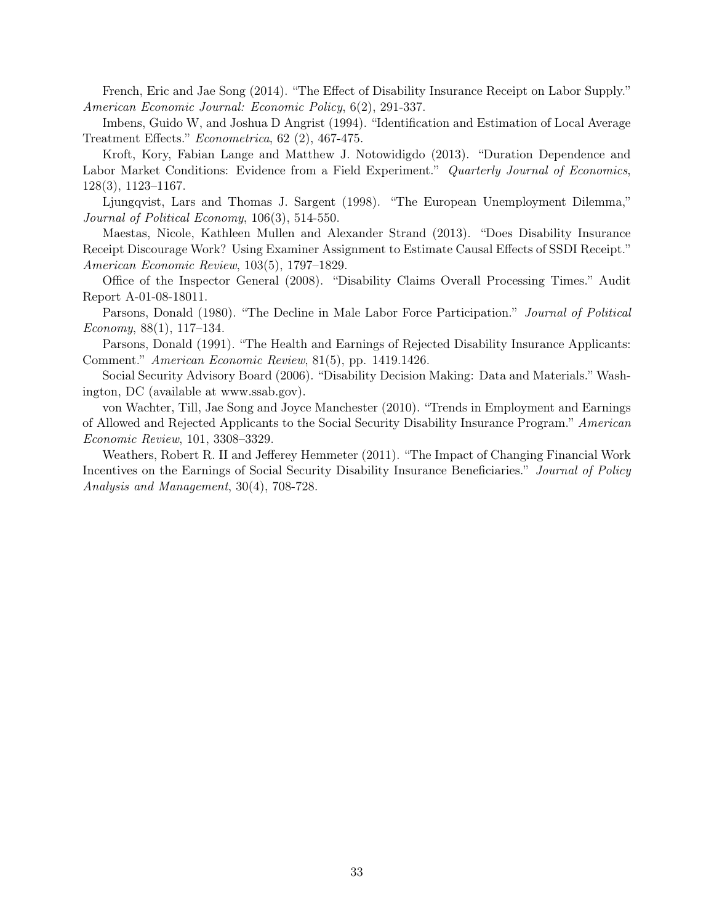French, Eric and Jae Song (2014). "The Effect of Disability Insurance Receipt on Labor Supply." American Economic Journal: Economic Policy, 6(2), 291-337.

Imbens, Guido W, and Joshua D Angrist (1994). "Identification and Estimation of Local Average Treatment Effects." Econometrica, 62 (2), 467-475.

Kroft, Kory, Fabian Lange and Matthew J. Notowidigdo (2013). "Duration Dependence and Labor Market Conditions: Evidence from a Field Experiment." Quarterly Journal of Economics, 128(3), 1123–1167.

Ljungqvist, Lars and Thomas J. Sargent (1998). "The European Unemployment Dilemma," Journal of Political Economy, 106(3), 514-550.

Maestas, Nicole, Kathleen Mullen and Alexander Strand (2013). "Does Disability Insurance Receipt Discourage Work? Using Examiner Assignment to Estimate Causal Effects of SSDI Receipt." American Economic Review, 103(5), 1797–1829.

Office of the Inspector General (2008). "Disability Claims Overall Processing Times." Audit Report A-01-08-18011.

Parsons, Donald (1980). "The Decline in Male Labor Force Participation." *Journal of Political* Economy,  $88(1)$ , 117–134.

Parsons, Donald (1991). "The Health and Earnings of Rejected Disability Insurance Applicants: Comment." American Economic Review, 81(5), pp. 1419.1426.

Social Security Advisory Board (2006). "Disability Decision Making: Data and Materials." Washington, DC (available at www.ssab.gov).

von Wachter, Till, Jae Song and Joyce Manchester (2010). "Trends in Employment and Earnings of Allowed and Rejected Applicants to the Social Security Disability Insurance Program." American Economic Review, 101, 3308–3329.

Weathers, Robert R. II and Jefferey Hemmeter (2011). "The Impact of Changing Financial Work Incentives on the Earnings of Social Security Disability Insurance Beneficiaries." Journal of Policy Analysis and Management, 30(4), 708-728.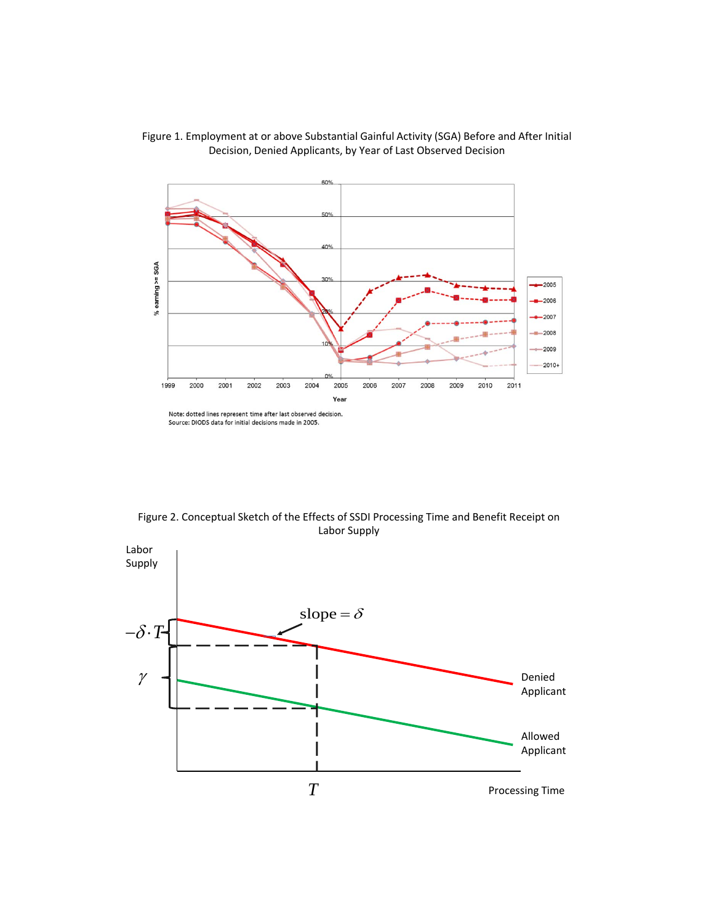

Figure 1. Employment at or above Substantial Gainful Activity (SGA) Before and After Initial Decision, Denied Applicants, by Year of Last Observed Decision

Figure 2. Conceptual Sketch of the Effects of SSDI Processing Time and Benefit Receipt on Labor Supply

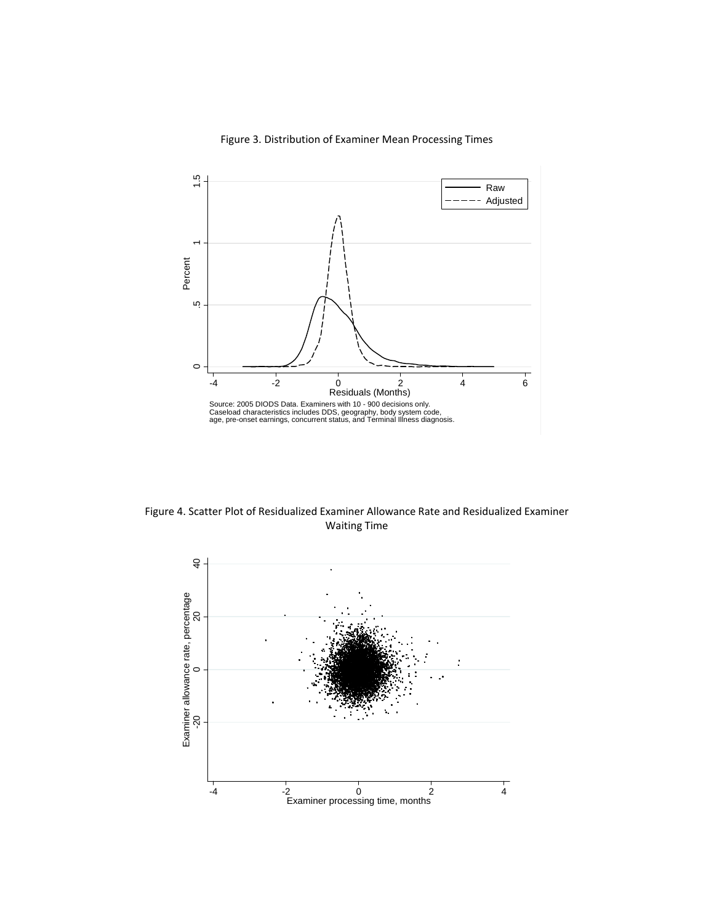

Figure 3. Distribution of Examiner Mean Processing Times

Figure 4. Scatter Plot of Residualized Examiner Allowance Rate and Residualized Examiner Waiting Time

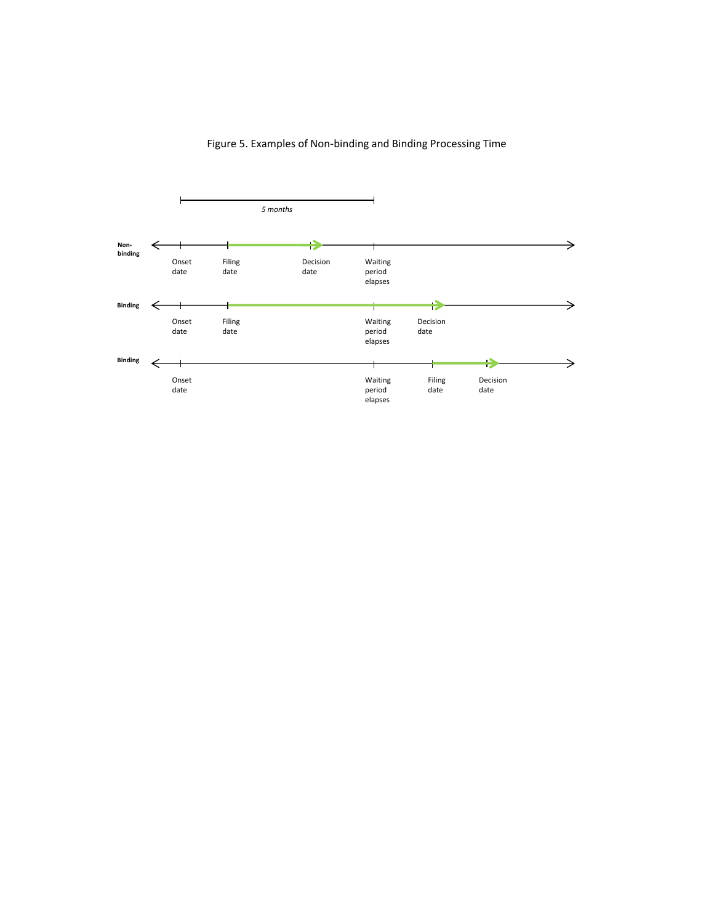### Figure 5. Examples of Non‐binding and Binding Processing Time

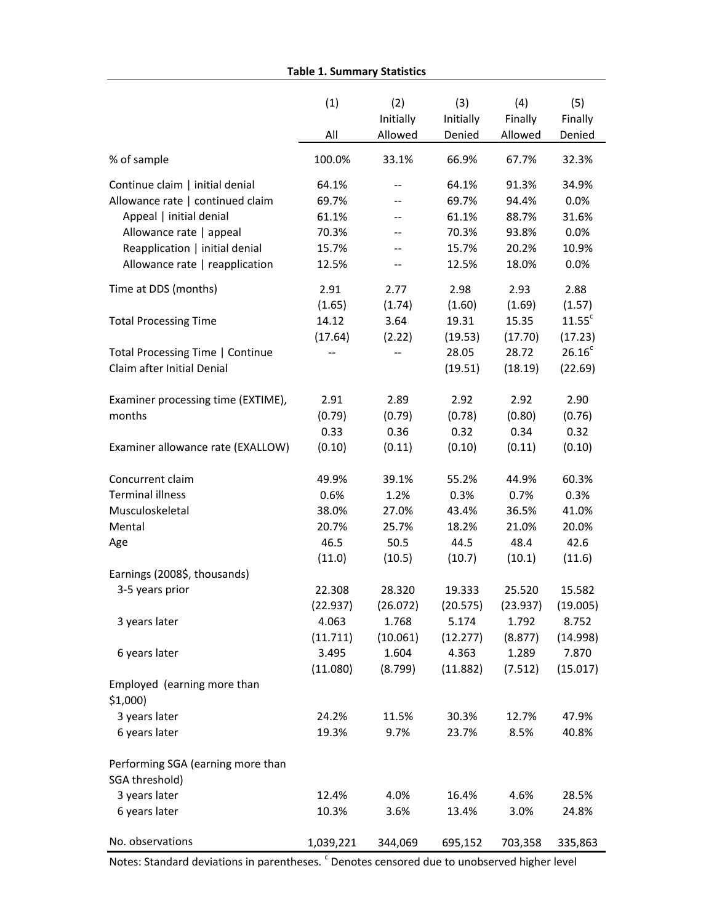**Table 1. Summary Statistics**

|                                                     | (1)       | (2)                      | (3)       | (4)      | (5)                |
|-----------------------------------------------------|-----------|--------------------------|-----------|----------|--------------------|
|                                                     |           | Initially                | Initially | Finally  | Finally            |
|                                                     | All       | Allowed                  | Denied    | Allowed  | Denied             |
| % of sample                                         | 100.0%    | 33.1%                    | 66.9%     | 67.7%    | 32.3%              |
| Continue claim   initial denial                     | 64.1%     | --                       | 64.1%     | 91.3%    | 34.9%              |
| Allowance rate   continued claim                    | 69.7%     | --                       | 69.7%     | 94.4%    | 0.0%               |
| Appeal   initial denial                             | 61.1%     | $\overline{\phantom{a}}$ | 61.1%     | 88.7%    | 31.6%              |
| Allowance rate   appeal                             | 70.3%     | $\overline{\phantom{a}}$ | 70.3%     | 93.8%    | 0.0%               |
| Reapplication   initial denial                      | 15.7%     | $\qquad \qquad -$        | 15.7%     | 20.2%    | 10.9%              |
| Allowance rate   reapplication                      | 12.5%     | --                       | 12.5%     | 18.0%    | 0.0%               |
| Time at DDS (months)                                | 2.91      | 2.77                     | 2.98      | 2.93     | 2.88               |
|                                                     | (1.65)    | (1.74)                   | (1.60)    | (1.69)   | (1.57)             |
| <b>Total Processing Time</b>                        | 14.12     | 3.64                     | 19.31     | 15.35    | 11.55 <sup>c</sup> |
|                                                     | (17.64)   | (2.22)                   | (19.53)   | (17.70)  | (17.23)            |
| Total Processing Time   Continue                    |           |                          | 28.05     | 28.72    | 26.16 <sup>c</sup> |
| Claim after Initial Denial                          |           |                          | (19.51)   | (18.19)  | (22.69)            |
| Examiner processing time (EXTIME),                  | 2.91      | 2.89                     | 2.92      | 2.92     | 2.90               |
| months                                              | (0.79)    | (0.79)                   | (0.78)    | (0.80)   | (0.76)             |
|                                                     | 0.33      | 0.36                     | 0.32      | 0.34     | 0.32               |
| Examiner allowance rate (EXALLOW)                   | (0.10)    | (0.11)                   | (0.10)    | (0.11)   | (0.10)             |
| Concurrent claim                                    | 49.9%     | 39.1%                    | 55.2%     | 44.9%    | 60.3%              |
| <b>Terminal illness</b>                             | 0.6%      | 1.2%                     | 0.3%      | 0.7%     | 0.3%               |
| Musculoskeletal                                     | 38.0%     | 27.0%                    | 43.4%     | 36.5%    | 41.0%              |
| Mental                                              | 20.7%     | 25.7%                    | 18.2%     | 21.0%    | 20.0%              |
| Age                                                 | 46.5      | 50.5                     | 44.5      | 48.4     | 42.6               |
|                                                     | (11.0)    | (10.5)                   | (10.7)    | (10.1)   | (11.6)             |
| Earnings (2008\$, thousands)                        |           |                          |           |          |                    |
| 3-5 years prior                                     | 22.308    | 28.320                   | 19.333    | 25.520   | 15.582             |
|                                                     | (22.937)  | (26.072)                 | (20.575)  | (23.937) | (19.005)           |
| 3 years later                                       | 4.063     | 1.768                    | 5.174     | 1.792    | 8.752              |
|                                                     | (11.711)  | (10.061)                 | (12.277)  | (8.877)  | (14.998)           |
| 6 years later                                       | 3.495     | 1.604                    | 4.363     | 1.289    | 7.870              |
|                                                     | (11.080)  | (8.799)                  | (11.882)  | (7.512)  | (15.017)           |
| Employed (earning more than<br>$$1,000$ )           |           |                          |           |          |                    |
| 3 years later                                       | 24.2%     | 11.5%                    | 30.3%     | 12.7%    | 47.9%              |
| 6 years later                                       | 19.3%     | 9.7%                     | 23.7%     | 8.5%     | 40.8%              |
| Performing SGA (earning more than<br>SGA threshold) |           |                          |           |          |                    |
| 3 years later                                       | 12.4%     | 4.0%                     | 16.4%     | 4.6%     | 28.5%              |
| 6 years later                                       | 10.3%     | 3.6%                     | 13.4%     | 3.0%     | 24.8%              |
| No. observations                                    | 1,039,221 | 344,069                  | 695,152   | 703,358  | 335,863            |

Notes: Standard deviations in parentheses. <sup>c</sup> Denotes censored due to unobserved higher level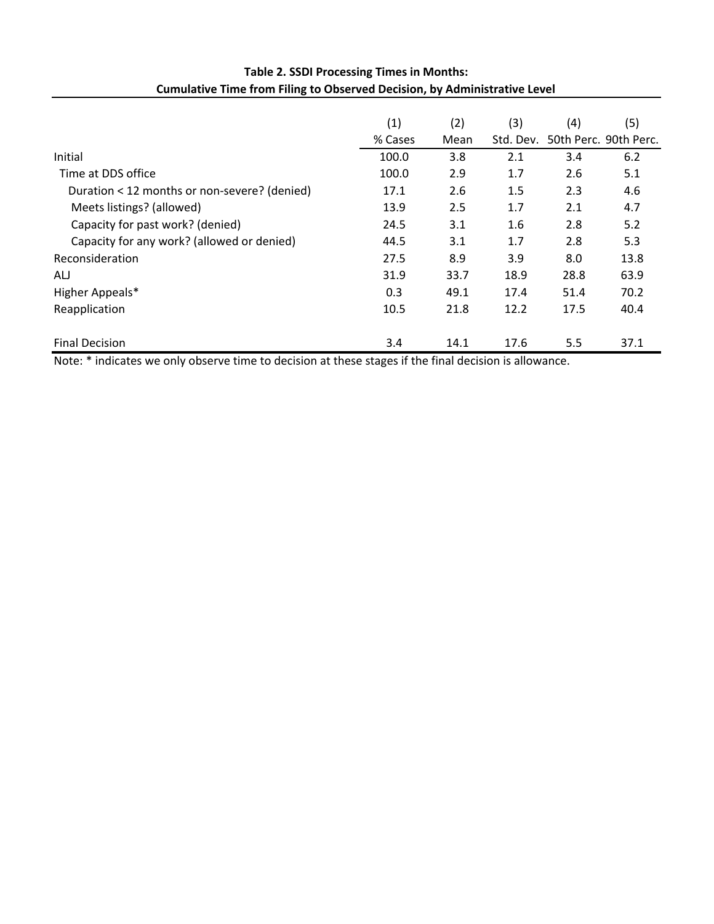|                                              | (1)     | (2)  | (3)       | (4)  | (5)                   |
|----------------------------------------------|---------|------|-----------|------|-----------------------|
|                                              | % Cases | Mean | Std. Dev. |      | 50th Perc. 90th Perc. |
| Initial                                      | 100.0   | 3.8  | 2.1       | 3.4  | 6.2                   |
| Time at DDS office                           | 100.0   | 2.9  | 1.7       | 2.6  | 5.1                   |
| Duration < 12 months or non-severe? (denied) | 17.1    | 2.6  | 1.5       | 2.3  | 4.6                   |
| Meets listings? (allowed)                    | 13.9    | 2.5  | 1.7       | 2.1  | 4.7                   |
| Capacity for past work? (denied)             | 24.5    | 3.1  | 1.6       | 2.8  | 5.2                   |
| Capacity for any work? (allowed or denied)   | 44.5    | 3.1  | 1.7       | 2.8  | 5.3                   |
| Reconsideration                              | 27.5    | 8.9  | 3.9       | 8.0  | 13.8                  |
| ALJ                                          | 31.9    | 33.7 | 18.9      | 28.8 | 63.9                  |
| Higher Appeals*                              | 0.3     | 49.1 | 17.4      | 51.4 | 70.2                  |
| Reapplication                                | 10.5    | 21.8 | 12.2      | 17.5 | 40.4                  |
| <b>Final Decision</b>                        | 3.4     | 14.1 | 17.6      | 5.5  | 37.1                  |

## **Table 2. SSDI Processing Times in Months: Cumulative Time from Filing to Observed Decision, by Administrative Level**

Note: \* indicates we only observe time to decision at these stages if the final decision is allowance.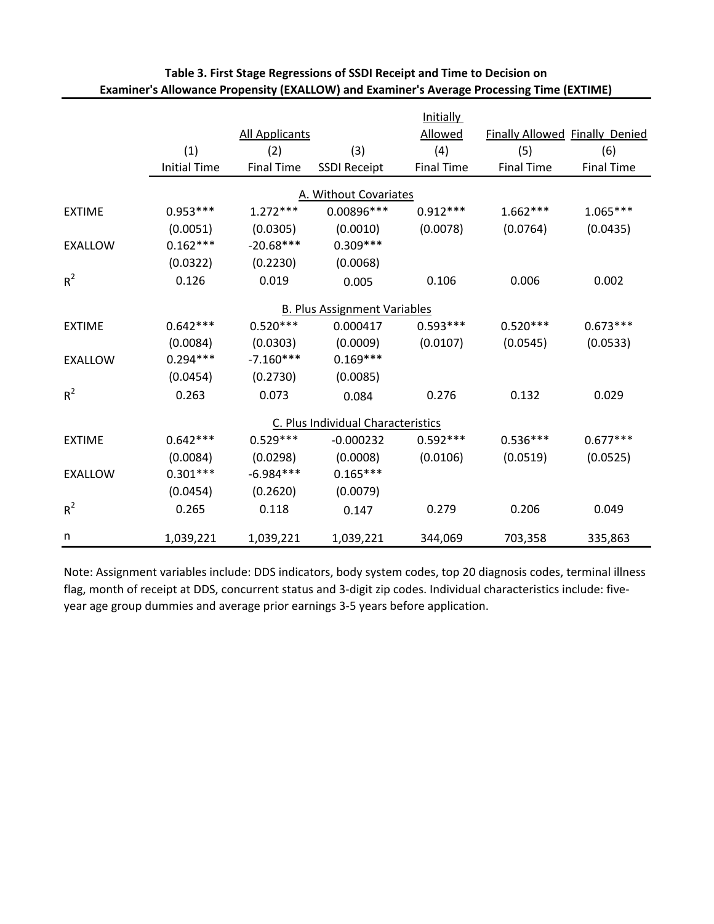|                |                     |                       |                                     | <b>Initially</b>  |                                |                   |
|----------------|---------------------|-----------------------|-------------------------------------|-------------------|--------------------------------|-------------------|
|                |                     | <b>All Applicants</b> |                                     | Allowed           | Finally Allowed Finally Denied |                   |
|                | (1)                 | (2)                   | (3)                                 | (4)               | (5)                            | (6)               |
|                | <b>Initial Time</b> | <b>Final Time</b>     | <b>SSDI Receipt</b>                 | <b>Final Time</b> | <b>Final Time</b>              | <b>Final Time</b> |
|                |                     |                       | A. Without Covariates               |                   |                                |                   |
| <b>EXTIME</b>  | $0.953***$          | $1.272***$            | 0.00896 ***                         | $0.912***$        | $1.662***$                     | $1.065***$        |
|                | (0.0051)            | (0.0305)              | (0.0010)                            | (0.0078)          | (0.0764)                       | (0.0435)          |
| <b>EXALLOW</b> | $0.162***$          | $-20.68***$           | $0.309***$                          |                   |                                |                   |
|                | (0.0322)            | (0.2230)              | (0.0068)                            |                   |                                |                   |
| $R^2$          | 0.126               | 0.019                 | 0.005                               | 0.106             | 0.006                          | 0.002             |
|                |                     |                       | <b>B. Plus Assignment Variables</b> |                   |                                |                   |
| <b>EXTIME</b>  | $0.642***$          | $0.520***$            | 0.000417                            | $0.593***$        | $0.520***$                     | $0.673***$        |
|                | (0.0084)            | (0.0303)              | (0.0009)                            | (0.0107)          | (0.0545)                       | (0.0533)          |
| <b>EXALLOW</b> | $0.294***$          | $-7.160***$           | $0.169***$                          |                   |                                |                   |
|                | (0.0454)            | (0.2730)              | (0.0085)                            |                   |                                |                   |
| $R^2$          | 0.263               | 0.073                 | 0.084                               | 0.276             | 0.132                          | 0.029             |
|                |                     |                       | C. Plus Individual Characteristics  |                   |                                |                   |
| <b>EXTIME</b>  | $0.642***$          | $0.529***$            | $-0.000232$                         | $0.592***$        | $0.536***$                     | $0.677***$        |
|                | (0.0084)            | (0.0298)              | (0.0008)                            | (0.0106)          | (0.0519)                       | (0.0525)          |
| <b>EXALLOW</b> | $0.301***$          | $-6.984***$           | $0.165***$                          |                   |                                |                   |
|                | (0.0454)            | (0.2620)              | (0.0079)                            |                   |                                |                   |
| $R^2$          | 0.265               | 0.118                 | 0.147                               | 0.279             | 0.206                          | 0.049             |
| n              | 1,039,221           | 1,039,221             | 1,039,221                           | 344,069           | 703,358                        | 335,863           |

## **Table 3. First Stage Regressions of SSDI Receipt and Time to Decision on Examiner's Allowance Propensity (EXALLOW) and Examiner's Average Processing Time (EXTIME)**

Note: Assignment variables include: DDS indicators, body system codes, top 20 diagnosis codes, terminal illness flag, month of receipt at DDS, concurrent status and 3‐digit zip codes. Individual characteristics include: five‐ year age group dummies and average prior earnings 3‐5 years before application.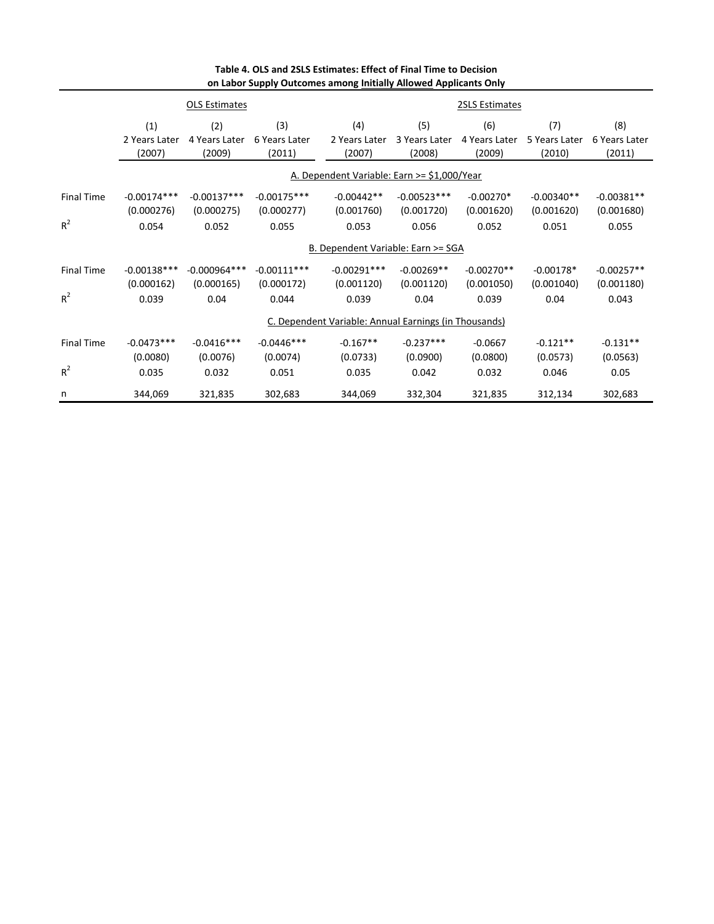|                   |                                                       | <b>OLS Estimates</b>           |                                |                                             |                                | 2SLS Estimates                 |                                |                                |  |
|-------------------|-------------------------------------------------------|--------------------------------|--------------------------------|---------------------------------------------|--------------------------------|--------------------------------|--------------------------------|--------------------------------|--|
|                   | (1)<br>2 Years Later<br>(2007)                        | (2)<br>4 Years Later<br>(2009) | (3)<br>6 Years Later<br>(2011) | (4)<br>2 Years Later<br>(2007)              | (5)<br>3 Years Later<br>(2008) | (6)<br>4 Years Later<br>(2009) | (7)<br>5 Years Later<br>(2010) | (8)<br>6 Years Later<br>(2011) |  |
|                   |                                                       |                                |                                | A. Dependent Variable: Earn >= \$1,000/Year |                                |                                |                                |                                |  |
| <b>Final Time</b> | $-0.00174***$<br>(0.000276)                           | $-0.00137***$<br>(0.000275)    | $-0.00175***$<br>(0.000277)    | $-0.00442**$<br>(0.001760)                  | $-0.00523***$<br>(0.001720)    | $-0.00270*$<br>(0.001620)      | $-0.00340**$<br>(0.001620)     | $-0.00381**$<br>(0.001680)     |  |
| $R^2$             | 0.054                                                 | 0.052                          | 0.055                          | 0.053                                       | 0.056                          | 0.052                          | 0.051                          | 0.055                          |  |
|                   | B. Dependent Variable: Earn >= SGA                    |                                |                                |                                             |                                |                                |                                |                                |  |
| <b>Final Time</b> | $-0.00138***$<br>(0.000162)                           | $-0.000964***$<br>(0.000165)   | $-0.00111***$<br>(0.000172)    | $-0.00291***$<br>(0.001120)                 | $-0.00269**$<br>(0.001120)     | $-0.00270**$<br>(0.001050)     | $-0.00178*$<br>(0.001040)      | $-0.00257**$<br>(0.001180)     |  |
| $R^2$             | 0.039                                                 | 0.04                           | 0.044                          | 0.039                                       | 0.04                           | 0.039                          | 0.04                           | 0.043                          |  |
|                   | C. Dependent Variable: Annual Earnings (in Thousands) |                                |                                |                                             |                                |                                |                                |                                |  |
| <b>Final Time</b> | $-0.0473***$<br>(0.0080)                              | $-0.0416***$<br>(0.0076)       | $-0.0446***$<br>(0.0074)       | $-0.167**$<br>(0.0733)                      | $-0.237***$<br>(0.0900)        | $-0.0667$<br>(0.0800)          | $-0.121**$<br>(0.0573)         | $-0.131**$<br>(0.0563)         |  |
| $R^2$             | 0.035                                                 | 0.032                          | 0.051                          | 0.035                                       | 0.042                          | 0.032                          | 0.046                          | 0.05                           |  |
| n                 | 344,069                                               | 321,835                        | 302,683                        | 344,069                                     | 332,304                        | 321,835                        | 312,134                        | 302,683                        |  |

#### **Table 4. OLS and 2SLS Estimates: Effect of Final Time to Decision on Labor Supply Outcomes among Initially Allowed Applicants Only**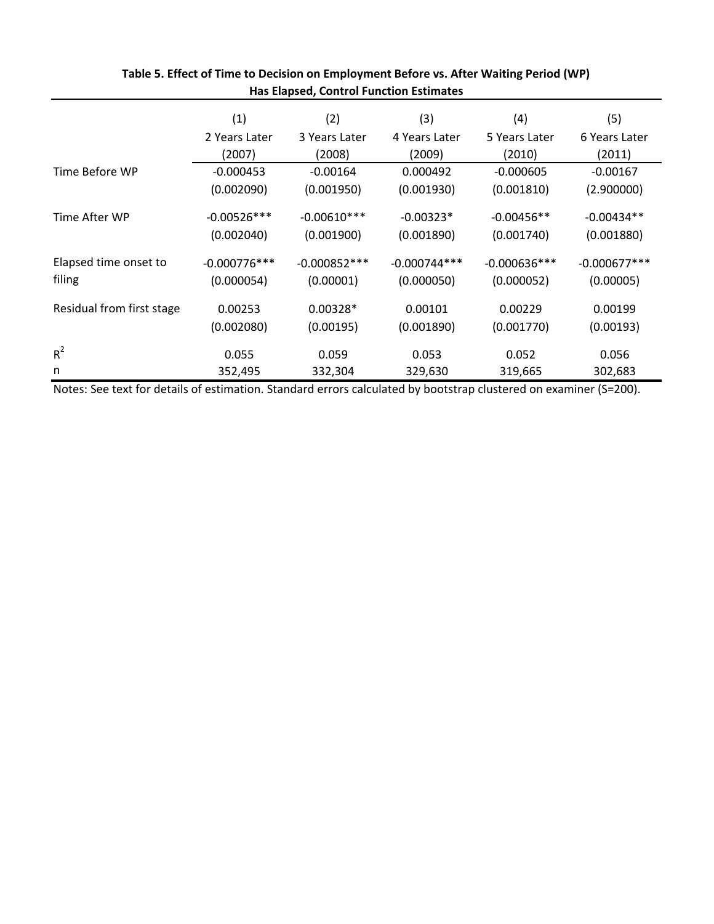|                           | (1)            | (2)            | (3)            | (4)            | (5)            |
|---------------------------|----------------|----------------|----------------|----------------|----------------|
|                           | 2 Years Later  | 3 Years Later  | 4 Years Later  | 5 Years Later  | 6 Years Later  |
|                           | (2007)         | (2008)         | (2009)         | (2010)         | (2011)         |
| Time Before WP            | $-0.000453$    | $-0.00164$     | 0.000492       | $-0.000605$    | $-0.00167$     |
|                           | (0.002090)     | (0.001950)     | (0.001930)     | (0.001810)     | (2.900000)     |
| Time After WP             | $-0.00526***$  | $-0.00610***$  | $-0.00323*$    | $-0.00456**$   | $-0.00434**$   |
|                           | (0.002040)     | (0.001900)     | (0.001890)     | (0.001740)     | (0.001880)     |
| Elapsed time onset to     | $-0.000776***$ | $-0.000852***$ | $-0.000744***$ | $-0.000636***$ | $-0.000677***$ |
| filing                    | (0.000054)     | (0.00001)      | (0.000050)     | (0.000052)     | (0.00005)      |
| Residual from first stage | 0.00253        | $0.00328*$     | 0.00101        | 0.00229        | 0.00199        |
|                           | (0.002080)     | (0.00195)      | (0.001890)     | (0.001770)     | (0.00193)      |
| $R^2$                     | 0.055          | 0.059          | 0.053          | 0.052          | 0.056          |
| n                         | 352,495        | 332,304        | 329,630        | 319,665        | 302,683        |

## **Table 5. Effect of Time to Decision on Employment Before vs. After Waiting Period (WP) Has Elapsed, Control Function Estimates**

Notes: See text for details of estimation. Standard errors calculated by bootstrap clustered on examiner (S=200).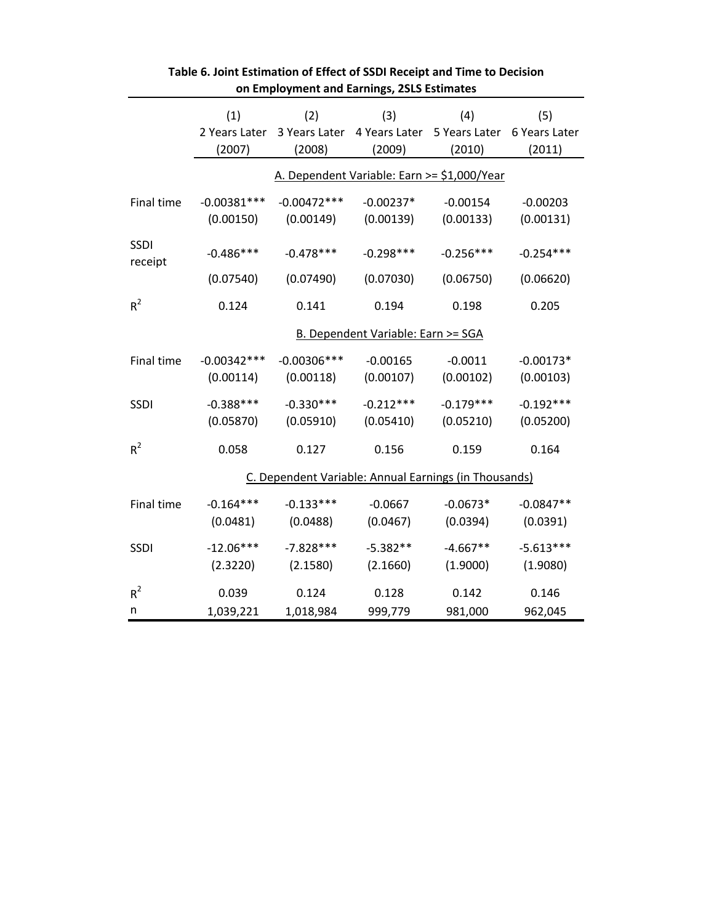|                 |               | on employment and earnings, 25L5 estimates |                                                                       |             |             |
|-----------------|---------------|--------------------------------------------|-----------------------------------------------------------------------|-------------|-------------|
|                 | (1)           | (2)                                        | (3)                                                                   | (4)         | (5)         |
|                 |               |                                            | 2 Years Later 3 Years Later 4 Years Later 5 Years Later 6 Years Later |             |             |
|                 | (2007)        | (2008)                                     | (2009)                                                                | (2010)      | (2011)      |
|                 |               |                                            | A. Dependent Variable: Earn >= \$1,000/Year                           |             |             |
| Final time      | $-0.00381***$ | $-0.00472***$                              | $-0.00237*$                                                           | $-0.00154$  | $-0.00203$  |
|                 | (0.00150)     | (0.00149)                                  | (0.00139)                                                             | (0.00133)   | (0.00131)   |
| SSDI<br>receipt | $-0.486***$   | $-0.478***$                                | $-0.298***$                                                           | $-0.256***$ | $-0.254***$ |
|                 | (0.07540)     | (0.07490)                                  | (0.07030)                                                             | (0.06750)   | (0.06620)   |
| $R^2$           | 0.124         | 0.141                                      | 0.194                                                                 | 0.198       | 0.205       |
|                 |               |                                            | <b>B. Dependent Variable: Earn &gt;= SGA</b>                          |             |             |
| Final time      | $-0.00342***$ | $-0.00306***$                              | $-0.00165$                                                            | $-0.0011$   | $-0.00173*$ |
|                 | (0.00114)     | (0.00118)                                  | (0.00107)                                                             | (0.00102)   | (0.00103)   |
| <b>SSDI</b>     | $-0.388***$   | $-0.330***$                                | $-0.212***$                                                           | $-0.179***$ | $-0.192***$ |
|                 | (0.05870)     | (0.05910)                                  | (0.05410)                                                             | (0.05210)   | (0.05200)   |
| $R^2$           | 0.058         | 0.127                                      | 0.156                                                                 | 0.159       | 0.164       |
|                 |               |                                            | C. Dependent Variable: Annual Earnings (in Thousands)                 |             |             |
| Final time      | $-0.164***$   | $-0.133***$                                | $-0.0667$                                                             | $-0.0673*$  | $-0.0847**$ |
|                 | (0.0481)      | (0.0488)                                   | (0.0467)                                                              | (0.0394)    | (0.0391)    |
| <b>SSDI</b>     | $-12.06***$   | $-7.828***$                                | $-5.382**$                                                            | $-4.667**$  | $-5.613***$ |
|                 | (2.3220)      | (2.1580)                                   | (2.1660)                                                              | (1.9000)    | (1.9080)    |
| $R^2$           | 0.039         | 0.124                                      | 0.128                                                                 | 0.142       | 0.146       |
| n               | 1,039,221     | 1,018,984                                  | 999,779                                                               | 981,000     | 962,045     |

| Table 6. Joint Estimation of Effect of SSDI Receipt and Time to Decision |
|--------------------------------------------------------------------------|
| on Employment and Earnings, 2SLS Estimates                               |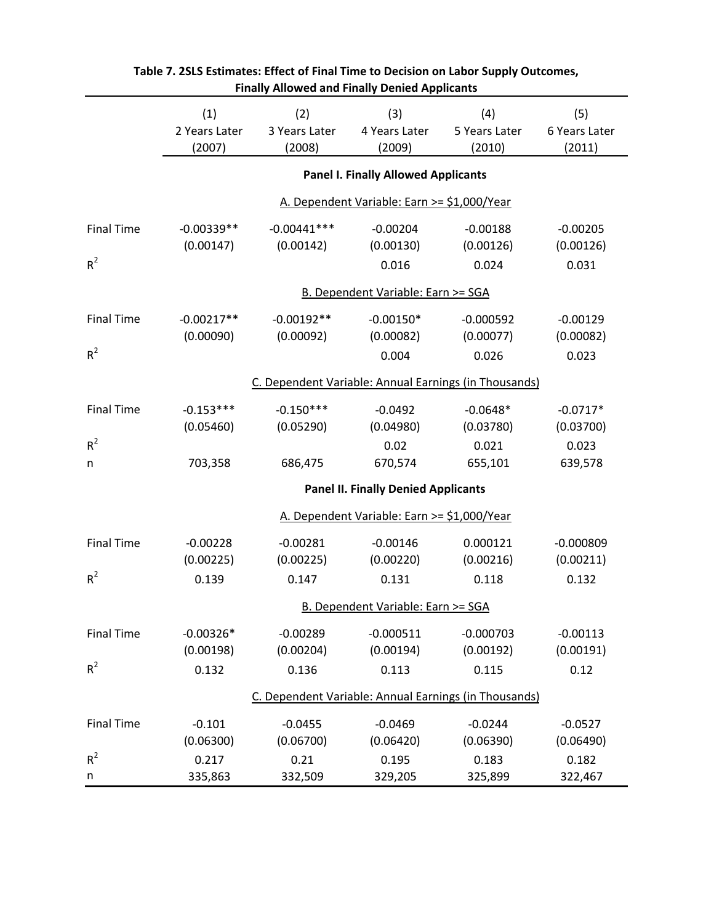|                                            |                                |                                | <b>Finally Allowed and Finally Denied Applicants</b> |                                                       |                                |  |  |
|--------------------------------------------|--------------------------------|--------------------------------|------------------------------------------------------|-------------------------------------------------------|--------------------------------|--|--|
|                                            | (1)<br>2 Years Later<br>(2007) | (2)<br>3 Years Later<br>(2008) | (3)<br>4 Years Later<br>(2009)                       | (4)<br>5 Years Later<br>(2010)                        | (5)<br>6 Years Later<br>(2011) |  |  |
|                                            |                                |                                | <b>Panel I. Finally Allowed Applicants</b>           |                                                       |                                |  |  |
|                                            |                                |                                | A. Dependent Variable: Earn >= \$1,000/Year          |                                                       |                                |  |  |
| <b>Final Time</b>                          | $-0.00339**$                   | $-0.00441***$                  | $-0.00204$                                           | $-0.00188$                                            | $-0.00205$                     |  |  |
|                                            | (0.00147)                      | (0.00142)                      | (0.00130)                                            | (0.00126)                                             | (0.00126)                      |  |  |
| $R^2$                                      |                                |                                | 0.016                                                | 0.024                                                 | 0.031                          |  |  |
|                                            |                                |                                | B. Dependent Variable: Earn >= SGA                   |                                                       |                                |  |  |
| <b>Final Time</b>                          | $-0.00217**$                   | $-0.00192**$                   | $-0.00150*$                                          | $-0.000592$                                           | $-0.00129$                     |  |  |
|                                            | (0.00090)                      | (0.00092)                      | (0.00082)                                            | (0.00077)                                             | (0.00082)                      |  |  |
| $R^2$                                      |                                |                                | 0.004                                                | 0.026                                                 | 0.023                          |  |  |
|                                            |                                |                                |                                                      | C. Dependent Variable: Annual Earnings (in Thousands) |                                |  |  |
| <b>Final Time</b>                          | $-0.153***$                    | $-0.150***$                    | $-0.0492$                                            | $-0.0648*$                                            | $-0.0717*$                     |  |  |
|                                            | (0.05460)                      | (0.05290)                      | (0.04980)                                            | (0.03780)                                             | (0.03700)                      |  |  |
| $R^2$                                      |                                |                                | 0.02                                                 | 0.021                                                 | 0.023                          |  |  |
| n                                          | 703,358                        | 686,475                        | 670,574                                              | 655,101                                               | 639,578                        |  |  |
| <b>Panel II. Finally Denied Applicants</b> |                                |                                |                                                      |                                                       |                                |  |  |
|                                            |                                |                                | A. Dependent Variable: Earn >= \$1,000/Year          |                                                       |                                |  |  |
| <b>Final Time</b>                          | $-0.00228$                     | $-0.00281$                     | $-0.00146$                                           | 0.000121                                              | $-0.000809$                    |  |  |
|                                            | (0.00225)                      | (0.00225)                      | (0.00220)                                            | (0.00216)                                             | (0.00211)                      |  |  |
| $R^2$                                      | 0.139                          | 0.147                          | 0.131                                                | 0.118                                                 | 0.132                          |  |  |
|                                            |                                |                                | <b>B. Dependent Variable: Earn &gt;= SGA</b>         |                                                       |                                |  |  |
| <b>Final Time</b>                          | $-0.00326*$                    | $-0.00289$                     | $-0.000511$                                          | $-0.000703$                                           | $-0.00113$                     |  |  |
|                                            | (0.00198)                      | (0.00204)                      | (0.00194)                                            | (0.00192)                                             | (0.00191)                      |  |  |
| $R^2$                                      | 0.132                          | 0.136                          | 0.113                                                | 0.115                                                 | 0.12                           |  |  |
|                                            |                                |                                |                                                      | C. Dependent Variable: Annual Earnings (in Thousands) |                                |  |  |
| <b>Final Time</b>                          | $-0.101$                       | $-0.0455$                      | $-0.0469$                                            | $-0.0244$                                             | $-0.0527$                      |  |  |
|                                            | (0.06300)                      | (0.06700)                      | (0.06420)                                            | (0.06390)                                             | (0.06490)                      |  |  |
| $R^2$                                      | 0.217                          | 0.21                           | 0.195                                                | 0.183                                                 | 0.182                          |  |  |
| n                                          | 335,863                        | 332,509                        | 329,205                                              | 325,899                                               | 322,467                        |  |  |

| Table 7. 2SLS Estimates: Effect of Final Time to Decision on Labor Supply Outcomes, |
|-------------------------------------------------------------------------------------|
| <b>Finally Allowed and Finally Denied Applicants</b>                                |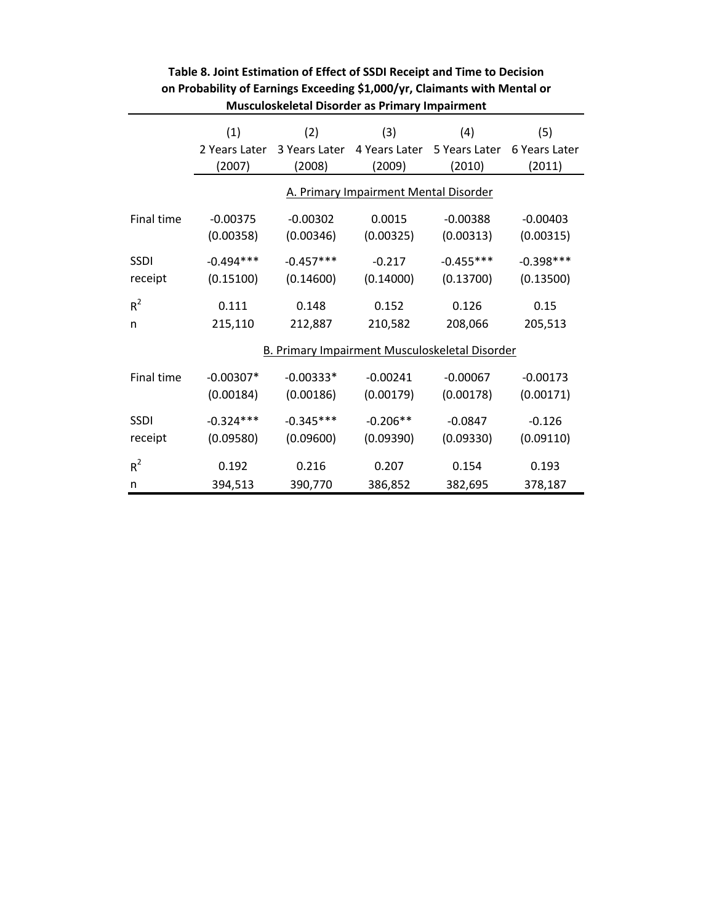|                   | (1)<br>2 Years Later<br>(2007)                        | (2)<br>3 Years Later<br>(2008) | (3)<br>4 Years Later<br>(2009)        | (4)<br>5 Years Later<br>(2010) | (5)<br>6 Years Later<br>(2011) |  |  |  |
|-------------------|-------------------------------------------------------|--------------------------------|---------------------------------------|--------------------------------|--------------------------------|--|--|--|
|                   |                                                       |                                | A. Primary Impairment Mental Disorder |                                |                                |  |  |  |
| <b>Final time</b> | $-0.00375$<br>(0.00358)                               | $-0.00302$<br>(0.00346)        | 0.0015<br>(0.00325)                   | $-0.00388$<br>(0.00313)        | $-0.00403$<br>(0.00315)        |  |  |  |
| <b>SSDI</b>       | $-0.494***$                                           | $-0.457***$                    | $-0.217$                              | $-0.455***$                    | $-0.398***$                    |  |  |  |
| receipt           | (0.15100)                                             | (0.14600)                      | (0.14000)                             | (0.13700)                      | (0.13500)                      |  |  |  |
| $R^2$             | 0.111                                                 | 0.148                          | 0.152                                 | 0.126                          | 0.15                           |  |  |  |
| n                 | 215,110                                               | 212,887                        | 210,582                               | 208,066                        | 205,513                        |  |  |  |
|                   | <b>B. Primary Impairment Musculoskeletal Disorder</b> |                                |                                       |                                |                                |  |  |  |
| <b>Final time</b> | $-0.00307*$<br>(0.00184)                              | $-0.00333*$<br>(0.00186)       | $-0.00241$<br>(0.00179)               | $-0.00067$<br>(0.00178)        | $-0.00173$<br>(0.00171)        |  |  |  |
| <b>SSDI</b>       | $-0.324***$                                           | $-0.345***$                    | $-0.206**$                            | $-0.0847$                      | $-0.126$                       |  |  |  |
| receipt           | (0.09580)                                             | (0.09600)                      | (0.09390)                             | (0.09330)                      | (0.09110)                      |  |  |  |
| $R^2$             | 0.192                                                 | 0.216                          | 0.207                                 | 0.154                          | 0.193                          |  |  |  |
| n                 | 394,513                                               | 390,770                        | 386,852                               | 382,695                        | 378,187                        |  |  |  |

## **Table 8. Joint Estimation of Effect of SSDI Receipt and Time to Decision on Probability of Earnings Exceeding \$1,000/yr, Claimants with Mental or Musculoskeletal Disorder as Primary Impairment**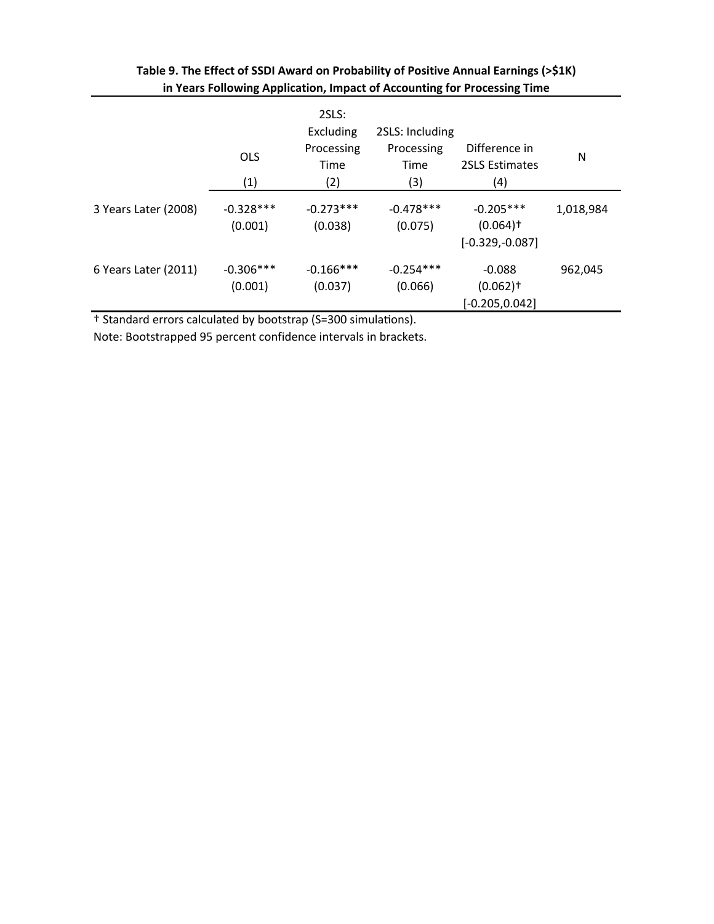|                      | <b>OLS</b><br>(1)       | 2SLS:<br>Excluding<br>Processing<br>Time<br>(2) | 2SLS: Including<br>Processing<br>Time<br>(3) | Difference in<br><b>2SLS Estimates</b><br>(4)              | N         |
|----------------------|-------------------------|-------------------------------------------------|----------------------------------------------|------------------------------------------------------------|-----------|
| 3 Years Later (2008) | $-0.328***$<br>(0.001)  | $-0.273***$<br>(0.038)                          | $-0.478$ ***<br>(0.075)                      | $-0.205***$<br>$(0.064)$ <sup>+</sup><br>$[-0.329,-0.087]$ | 1,018,984 |
| 6 Years Later (2011) | $-0.306$ ***<br>(0.001) | $-0.166***$<br>(0.037)                          | $-0.254***$<br>(0.066)                       | $-0.088$<br>$(0.062)$ <sup>+</sup><br>$[-0.205, 0.042]$    | 962,045   |

## **Table 9. The Effect of SSDI Award on Probability of Positive Annual Earnings (>\$1K) in Years Following Application, Impact of Accounting for Processing Time**

<sup>†</sup> Standard errors calculated by bootstrap (S=300 simulations).

Note: Bootstrapped 95 percent confidence intervals in brackets.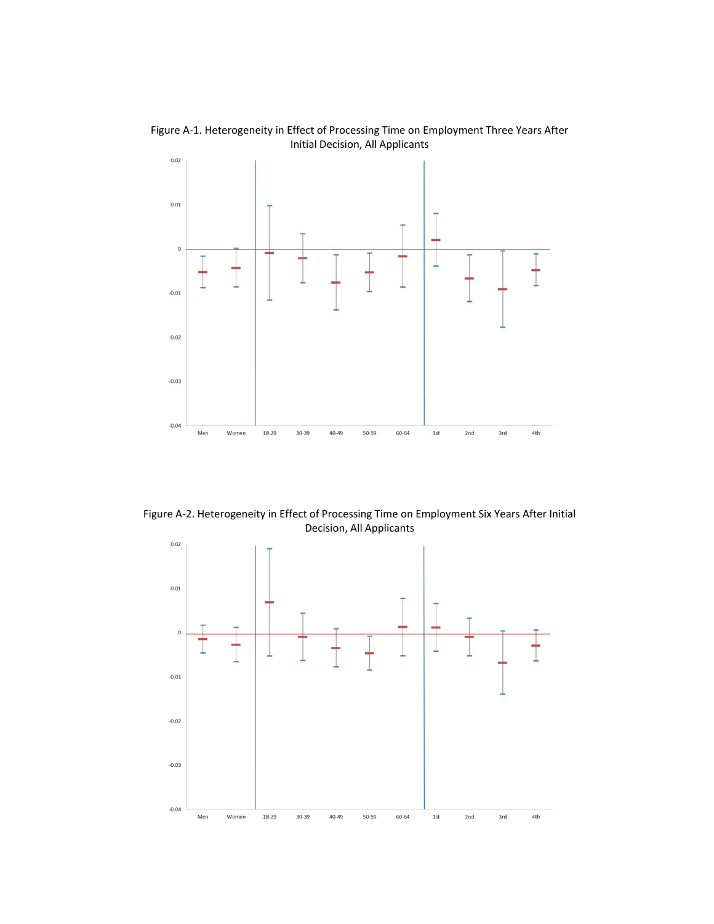

Figure A‐1. Heterogeneity in Effect of Processing Time on Employment Three Years After Initial Decision, All Applicants

Figure A‐2. Heterogeneity in Effect of Processing Time on Employment Six Years After Initial Decision, All Applicants

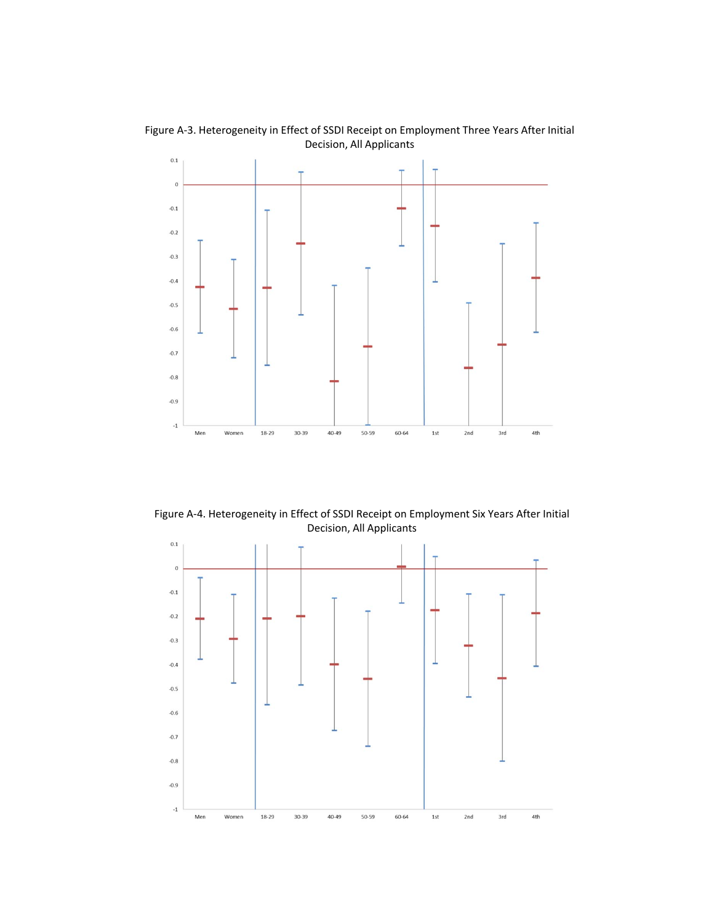

Figure A‐3. Heterogeneity in Effect of SSDI Receipt on Employment Three Years After Initial Decision, All Applicants

Figure A‐4. Heterogeneity in Effect of SSDI Receipt on Employment Six Years After Initial Decision, All Applicants

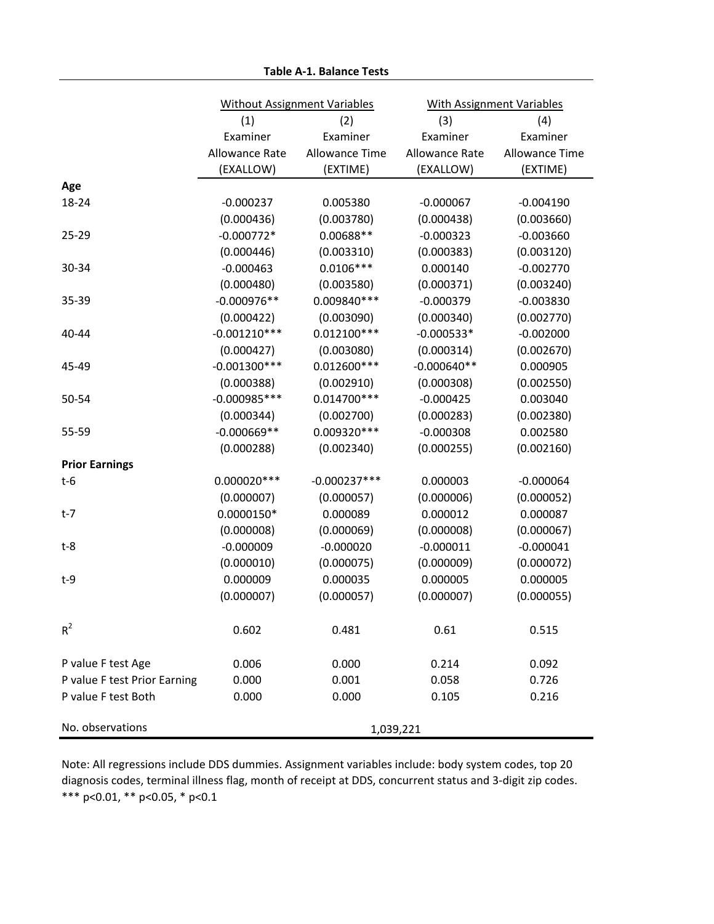|                                                     | <b>Without Assignment Variables</b> |                       |                | With Assignment Variables |
|-----------------------------------------------------|-------------------------------------|-----------------------|----------------|---------------------------|
|                                                     | (1)                                 | (2)                   | (3)            | (4)                       |
|                                                     | Examiner                            | Examiner              | Examiner       | Examiner                  |
|                                                     | Allowance Rate                      | <b>Allowance Time</b> | Allowance Rate | <b>Allowance Time</b>     |
|                                                     | (EXALLOW)                           | (EXTIME)              | (EXALLOW)      | (EXTIME)                  |
| Age                                                 |                                     |                       |                |                           |
| 18-24                                               | $-0.000237$                         | 0.005380              | $-0.000067$    | $-0.004190$               |
|                                                     | (0.000436)                          | (0.003780)            | (0.000438)     | (0.003660)                |
| $25 - 29$                                           | $-0.000772*$                        | 0.00688**             | $-0.000323$    | $-0.003660$               |
|                                                     | (0.000446)                          | (0.003310)            | (0.000383)     | (0.003120)                |
| 30-34                                               | $-0.000463$                         | $0.0106***$           | 0.000140       | $-0.002770$               |
|                                                     | (0.000480)                          | (0.003580)            | (0.000371)     | (0.003240)                |
| 35-39                                               | $-0.000976**$                       | 0.009840 ***          | $-0.000379$    | $-0.003830$               |
|                                                     | (0.000422)                          | (0.003090)            | (0.000340)     | (0.002770)                |
| 40-44                                               | $-0.001210***$                      | $0.012100***$         | $-0.000533*$   | $-0.002000$               |
|                                                     | (0.000427)                          | (0.003080)            | (0.000314)     | (0.002670)                |
| 45-49                                               | $-0.001300***$                      | $0.012600***$         | $-0.000640**$  | 0.000905                  |
|                                                     | (0.000388)                          | (0.002910)            | (0.000308)     | (0.002550)                |
| 50-54                                               | $-0.000985***$                      | $0.014700***$         | $-0.000425$    | 0.003040                  |
|                                                     | (0.000344)                          | (0.002700)            | (0.000283)     | (0.002380)                |
| 55-59                                               | $-0.000669**$                       | 0.009320 ***          | $-0.000308$    | 0.002580                  |
|                                                     | (0.000288)                          | (0.002340)            | (0.000255)     | (0.002160)                |
| <b>Prior Earnings</b>                               |                                     |                       |                |                           |
| $t-6$                                               | $0.000020***$                       | $-0.000237***$        | 0.000003       | $-0.000064$               |
|                                                     | (0.000007)                          | (0.000057)            | (0.000006)     | (0.000052)                |
| t-7                                                 | $0.0000150*$                        | 0.000089              | 0.000012       | 0.000087                  |
|                                                     | (0.000008)                          | (0.000069)            | (0.000008)     | (0.000067)                |
| $t-8$                                               | $-0.000009$                         | $-0.000020$           | $-0.000011$    | $-0.000041$               |
|                                                     | (0.000010)                          | (0.000075)            | (0.000009)     | (0.000072)                |
| $t-9$                                               | 0.000009                            | 0.000035              | 0.000005       | 0.000005                  |
|                                                     | (0.000007)                          | (0.000057)            | (0.000007)     | (0.000055)                |
| $R^2$                                               | 0.602                               | 0.481                 | 0.61           | 0.515                     |
|                                                     |                                     |                       |                |                           |
| P value F test Age                                  | 0.006<br>0.000                      | 0.000<br>0.001        | 0.214          | 0.092<br>0.726            |
| P value F test Prior Earning<br>P value F test Both | 0.000                               | 0.000                 | 0.058<br>0.105 | 0.216                     |
|                                                     |                                     |                       |                |                           |
| No. observations                                    |                                     | 1,039,221             |                |                           |

\*\*\* p<0.01, \*\* p<0.05, \* p<0.1 Note: All regressions include DDS dummies. Assignment variables include: body system codes, top 20 diagnosis codes, terminal illness flag, month of receipt at DDS, concurrent status and 3‐digit zip codes.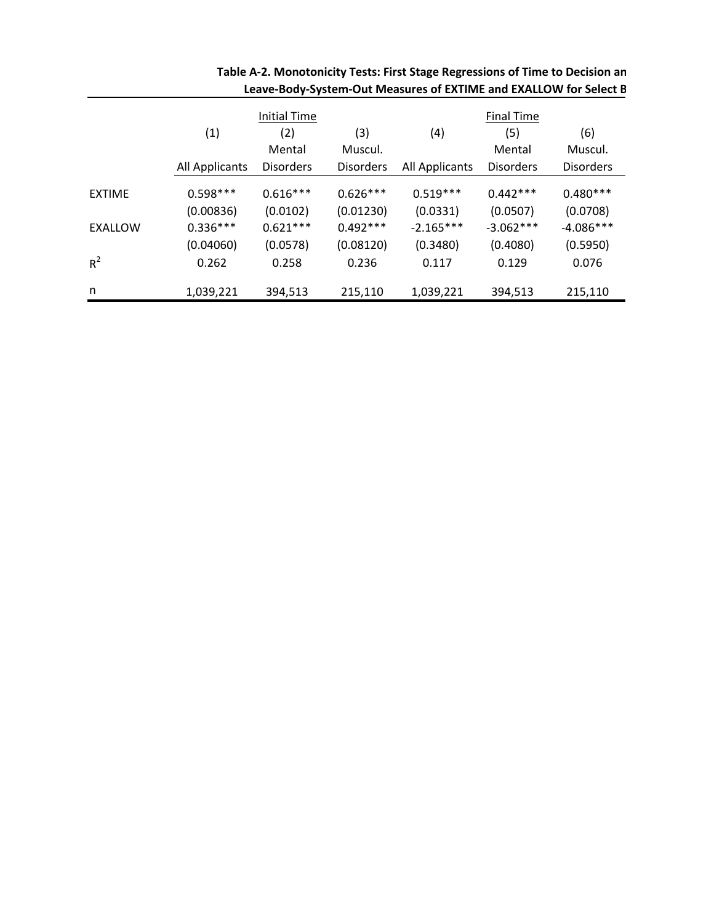|               | Initial Time          |                  |                  | <b>Final Time</b> |                  |                  |  |
|---------------|-----------------------|------------------|------------------|-------------------|------------------|------------------|--|
|               | (1)                   | (2)              | (3)              | (4)               | (5)              | (6)              |  |
|               |                       | Mental           | Muscul.          |                   | Mental           | Muscul.          |  |
|               | <b>All Applicants</b> | <b>Disorders</b> | <b>Disorders</b> | All Applicants    | <b>Disorders</b> | <b>Disorders</b> |  |
| <b>EXTIME</b> | $0.598***$            | $0.616***$       | $0.626***$       | $0.519***$        | $0.442***$       | $0.480***$       |  |
|               | (0.00836)             | (0.0102)         | (0.01230)        | (0.0331)          | (0.0507)         | (0.0708)         |  |
| EXALLOW       | $0.336***$            | $0.621***$       | $0.492***$       | $-2.165***$       | $-3.062***$      | $-4.086***$      |  |
|               | (0.04060)             | (0.0578)         | (0.08120)        | (0.3480)          | (0.4080)         | (0.5950)         |  |
| $R^2$         | 0.262                 | 0.258            | 0.236            | 0.117             | 0.129            | 0.076            |  |
| n             | 1,039,221             | 394,513          | 215,110          | 1,039,221         | 394,513          | 215,110          |  |

| Table A-2. Monotonicity Tests: First Stage Regressions of Time to Decision an |  |
|-------------------------------------------------------------------------------|--|
| Leave-Body-System-Out Measures of EXTIME and EXALLOW for Select B             |  |
|                                                                               |  |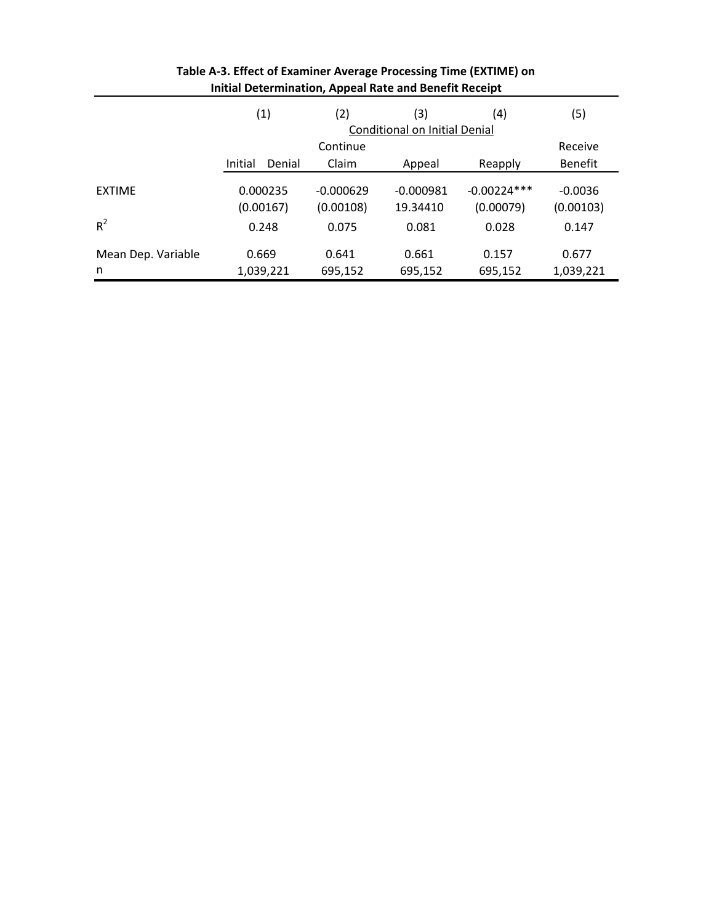|                    | (1)                   | (2)                      | (3)                                  | (4)                        | (5)                    |
|--------------------|-----------------------|--------------------------|--------------------------------------|----------------------------|------------------------|
|                    |                       |                          | <b>Conditional on Initial Denial</b> |                            |                        |
|                    |                       | Continue                 |                                      |                            | Receive                |
|                    | Initial<br>Denial     | Claim                    | Appeal                               | Reapply                    | <b>Benefit</b>         |
| <b>EXTIME</b>      | 0.000235<br>(0.00167) | $-0.000629$<br>(0.00108) | $-0.000981$<br>19.34410              | $-0.00224***$<br>(0.00079) | $-0.0036$<br>(0.00103) |
| $R^2$              | 0.248                 | 0.075                    | 0.081                                | 0.028                      | 0.147                  |
| Mean Dep. Variable | 0.669                 | 0.641                    | 0.661                                | 0.157                      | 0.677                  |
| n                  | 1,039,221             | 695,152                  | 695,152                              | 695,152                    | 1,039,221              |

| Table A-3. Effect of Examiner Average Processing Time (EXTIME) on |
|-------------------------------------------------------------------|
| Initial Determination, Appeal Rate and Benefit Receipt            |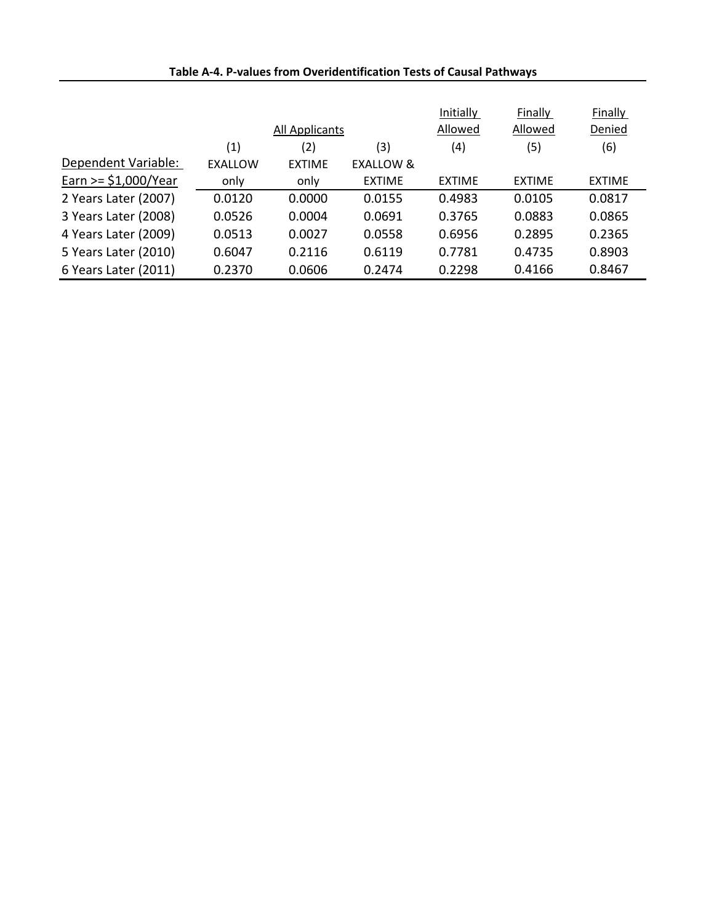|                        |                | All Applicants |                      | Initially<br>Allowed | Finally<br>Allowed | Finally<br>Denied |
|------------------------|----------------|----------------|----------------------|----------------------|--------------------|-------------------|
|                        | (1)            | (2)            | (3)                  | (4)                  | (5)                | (6)               |
| Dependent Variable:    | <b>EXALLOW</b> | <b>EXTIME</b>  | <b>FXALLOW &amp;</b> |                      |                    |                   |
| Earn $>=$ \$1,000/Year | only           | only           | <b>EXTIME</b>        | <b>EXTIME</b>        | <b>EXTIME</b>      | <b>EXTIME</b>     |
| 2 Years Later (2007)   | 0.0120         | 0.0000         | 0.0155               | 0.4983               | 0.0105             | 0.0817            |
| 3 Years Later (2008)   | 0.0526         | 0.0004         | 0.0691               | 0.3765               | 0.0883             | 0.0865            |
| 4 Years Later (2009)   | 0.0513         | 0.0027         | 0.0558               | 0.6956               | 0.2895             | 0.2365            |
| 5 Years Later (2010)   | 0.6047         | 0.2116         | 0.6119               | 0.7781               | 0.4735             | 0.8903            |
| 6 Years Later (2011)   | 0.2370         | 0.0606         | 0.2474               | 0.2298               | 0.4166             | 0.8467            |